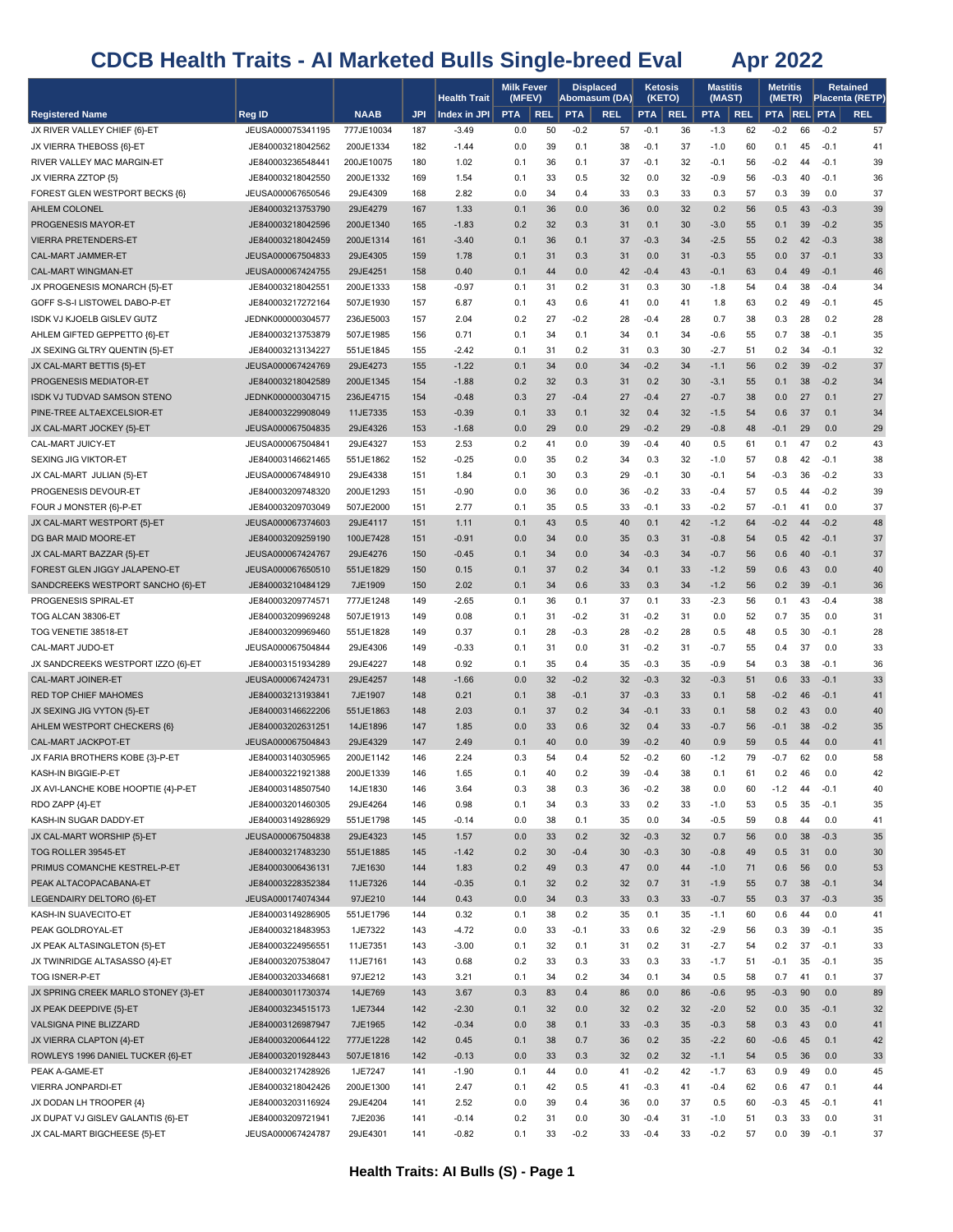|                                                             |                                        |                        |            | <b>Health Trait</b> | <b>Milk Fever</b><br>(MFEV) |            |                  | <b>Displaced</b><br>Abomasum (DA) |                  | Ketosis<br>(KETO) | <b>Mastitis</b><br>(MAST) |            | <b>Metritis</b><br>(METR) |          |                  | <b>Retained</b><br>Placenta (RETP) |
|-------------------------------------------------------------|----------------------------------------|------------------------|------------|---------------------|-----------------------------|------------|------------------|-----------------------------------|------------------|-------------------|---------------------------|------------|---------------------------|----------|------------------|------------------------------------|
| <b>Registered Name</b>                                      | Reg ID                                 | <b>NAAB</b>            | <b>JPI</b> | Index in JPI        | <b>PTA</b>                  | <b>REL</b> | <b>PTA</b>       | <b>REL</b>                        | <b>PTA</b>       | <b>REL</b>        | <b>PTA</b>                | <b>REL</b> | <b>PTA REL PTA</b>        |          |                  | <b>REL</b>                         |
| JX RIVER VALLEY CHIEF {6}-ET                                | JEUSA000075341195                      | 777JE10034             | 187        | $-3.49$             | 0.0                         | 50         | $-0.2$           | 57                                | $-0.1$           | 36                | $-1.3$                    | 62         | $-0.2$                    | 66       | $-0.2$           | 57                                 |
| JX VIERRA THEBOSS {6}-ET                                    | JE840003218042562                      | 200JE1334              | 182        | $-1.44$             | 0.0                         | 39         | 0.1              | 38                                | $-0.1$           | 37                | $-1.0$                    | 60         | 0.1                       | 45       | $-0.1$           | 41                                 |
| RIVER VALLEY MAC MARGIN-ET                                  | JE840003236548441                      | 200JE10075             | 180        | 1.02                | 0.1                         | 36         | 0.1              | 37                                | $-0.1$           | 32                | -0.1                      | 56         | $-0.2$                    | 44       | $-0.1$           | 39                                 |
| JX VIERRA ZZTOP {5}                                         | JE840003218042550                      | 200JE1332              | 169        | 1.54                | 0.1                         | 33         | 0.5              | 32                                | 0.0              | 32                | $-0.9$                    | 56         | $-0.3$                    | 40       | $-0.1$           | 36                                 |
| FOREST GLEN WESTPORT BECKS {6}                              | JEUSA000067650546                      | 29JE4309               | 168        | 2.82                | 0.0                         | 34         | 0.4              | 33                                | 0.3              | 33                | 0.3                       | 57         | 0.3                       | 39       | 0.0              | 37                                 |
| AHLEM COLONEL                                               | JE840003213753790                      | 29JE4279               | 167        | 1.33                | 0.1                         | 36         | 0.0              | 36                                | 0.0              | 32                | 0.2                       | 56         | 0.5                       | 43       | $-0.3$           | 39                                 |
| PROGENESIS MAYOR-ET                                         | JE840003218042596                      | 200JE1340              | 165        | $-1.83$             | 0.2                         | 32         | 0.3              | 31                                | 0.1              | 30                | $-3.0$                    | 55         | 0.1                       | 39       | $-0.2$           | 35                                 |
| <b>VIERRA PRETENDERS-ET</b>                                 | JE840003218042459                      | 200JE1314              | 161        | $-3.40$             | 0.1                         | 36         | 0.1              | 37                                | $-0.3$           | 34                | $-2.5$                    | 55         | 0.2                       | 42       | $-0.3$           | 38                                 |
| CAL-MART JAMMER-ET                                          | JEUSA000067504833                      | 29JE4305               | 159        | 1.78                | 0.1                         | 31         | 0.3              | 31                                | 0.0              | 31                | $-0.3$                    | 55         | 0.0                       | 37       | $-0.1$           | 33                                 |
| CAL-MART WINGMAN-ET                                         | JEUSA000067424755                      | 29JE4251               | 158        | 0.40                | 0.1                         | 44         | 0.0              | 42                                | $-0.4$           | 43                | $-0.1$                    | 63         | 0.4                       | 49       | $-0.1$           | 46                                 |
| JX PROGENESIS MONARCH {5}-ET                                | JE840003218042551<br>JE840003217272164 | 200JE1333<br>507JE1930 | 158        | $-0.97$             | 0.1                         | 31<br>43   | 0.2              | 31                                | 0.3<br>0.0       | 30<br>41          | $-1.8$                    | 54         | 0.4                       | 38       | $-0.4$<br>$-0.1$ | 34                                 |
| GOFF S-S-I LISTOWEL DABO-P-ET<br>ISDK VJ KJOELB GISLEV GUTZ | JEDNK000000304577                      | 236JE5003              | 157<br>157 | 6.87<br>2.04        | 0.1<br>0.2                  | 27         | 0.6<br>$-0.2$    | 41<br>28                          | $-0.4$           | 28                | 1.8<br>0.7                | 63<br>38   | 0.2<br>0.3                | 49<br>28 | 0.2              | 45<br>28                           |
| AHLEM GIFTED GEPPETTO {6}-ET                                | JE840003213753879                      | 507JE1985              | 156        | 0.71                | 0.1                         | 34         | 0.1              | 34                                | 0.1              | 34                | -0.6                      | 55         | 0.7                       | 38       | $-0.1$           | 35                                 |
| JX SEXING GLTRY QUENTIN {5}-ET                              | JE840003213134227                      | 551JE1845              | 155        | $-2.42$             | 0.1                         | 31         | 0.2              | 31                                | 0.3              | 30                | $-2.7$                    | 51         | 0.2                       | 34       | $-0.1$           | 32                                 |
| JX CAL-MART BETTIS {5}-ET                                   | JEUSA000067424769                      | 29JE4273               | 155        | $-1.22$             | 0.1                         | 34         | 0.0              | 34                                | $-0.2$           | 34                | $-1.1$                    | 56         | 0.2                       | 39       | $-0.2$           | 37                                 |
| PROGENESIS MEDIATOR-ET                                      | JE840003218042589                      | 200JE1345              | 154        | $-1.88$             | 0.2                         | 32         | 0.3              | 31                                | 0.2              | 30                | $-3.1$                    | 55         | 0.1                       | 38       | $-0.2$           | 34                                 |
| ISDK VJ TUDVAD SAMSON STENO                                 | JEDNK000000304715                      | 236JE4715              | 154        | $-0.48$             | 0.3                         | 27         | $-0.4$           | 27                                | $-0.4$           | 27                | $-0.7$                    | 38         | 0.0                       | 27       | 0.1              | 27                                 |
| PINE-TREE ALTAEXCELSIOR-ET                                  | JE840003229908049                      | 11JE7335               | 153        | $-0.39$             | 0.1                         | 33         | 0.1              | 32                                | 0.4              | 32                | $-1.5$                    | 54         | 0.6                       | 37       | 0.1              | 34                                 |
| JX CAL-MART JOCKEY {5}-ET                                   | JEUSA000067504835                      | 29JE4326               | 153        | $-1.68$             | 0.0                         | 29         | 0.0              | 29                                | $-0.2$           | 29                | $-0.8$                    | 48         | $-0.1$                    | 29       | 0.0              | 29                                 |
| CAL-MART JUICY-ET                                           | JEUSA000067504841                      | 29JE4327               | 153        | 2.53                | 0.2                         | 41         | 0.0              | 39                                | $-0.4$           | 40                | 0.5                       | 61         | 0.1                       | 47       | 0.2              | 43                                 |
| SEXING JIG VIKTOR-ET                                        | JE840003146621465                      | 551JE1862              | 152        | $-0.25$             | 0.0                         | 35         | 0.2              | 34                                | 0.3              | 32                | $-1.0$                    | 57         | 0.8                       | 42       | $-0.1$           | 38                                 |
| JX CAL-MART JULIAN {5}-ET                                   | JEUSA000067484910                      | 29JE4338               | 151        | 1.84                | 0.1                         | 30         | 0.3              | 29                                | $-0.1$           | 30                | $-0.1$                    | 54         | $-0.3$                    | 36       | $-0.2$           | 33                                 |
| PROGENESIS DEVOUR-ET                                        | JE840003209748320                      | 200JE1293              | 151        | $-0.90$             | 0.0                         | 36         | 0.0              | 36                                | $-0.2$           | 33                | -0.4                      | 57         | 0.5                       | 44       | $-0.2$           | 39                                 |
| FOUR J MONSTER {6}-P-ET                                     | JE840003209703049                      | 507JE2000              | 151        | 2.77                | 0.1                         | 35         | 0.5              | 33                                | $-0.1$           | 33                | $-0.2$                    | 57         | $-0.1$                    | 41       | 0.0              | 37                                 |
| JX CAL-MART WESTPORT {5}-ET                                 | JEUSA000067374603                      | 29JE4117               | 151        | 1.11                | 0.1                         | 43         | 0.5              | 40                                | 0.1              | 42                | $-1.2$                    | 64         | $-0.2$                    | 44       | $-0.2$           | 48                                 |
| DG BAR MAID MOORE-ET                                        | JE840003209259190                      | 100JE7428              | 151        | $-0.91$             | 0.0                         | 34         | 0.0              | 35                                | 0.3              | 31                | $-0.8$                    | 54         | 0.5                       | 42       | $-0.1$           | 37                                 |
| JX CAL-MART BAZZAR {5}-ET                                   | JEUSA000067424767                      | 29JE4276               | 150        | $-0.45$             | 0.1                         | 34         | 0.0              | 34                                | $-0.3$           | 34                | $-0.7$                    | 56         | 0.6                       | 40       | $-0.1$           | 37                                 |
| FOREST GLEN JIGGY JALAPENO-ET                               | JEUSA000067650510                      | 551JE1829              | 150        | 0.15                | 0.1                         | 37         | 0.2              | 34                                | 0.1              | 33                | $-1.2$                    | 59         | 0.6                       | 43       | 0.0              | 40                                 |
| SANDCREEKS WESTPORT SANCHO {6}-ET                           | JE840003210484129                      | 7JE1909                | 150        | 2.02                | 0.1                         | 34         | 0.6              | 33                                | 0.3              | 34                | $-1.2$                    | 56         | 0.2                       | 39       | $-0.1$           | 36                                 |
| PROGENESIS SPIRAL-ET                                        | JE840003209774571                      | 777JE1248              | 149        | $-2.65$             | 0.1                         | 36         | 0.1              | 37                                | 0.1              | 33                | -2.3                      | 56         | 0.1                       | 43       | $-0.4$           | 38                                 |
| TOG ALCAN 38306-ET                                          | JE840003209969248                      | 507JE1913              | 149<br>149 | 0.08                | 0.1                         | 31         | $-0.2$<br>$-0.3$ | 31<br>28                          | $-0.2$<br>$-0.2$ | 31<br>28          | 0.0                       | 52<br>48   | 0.7                       | 35<br>30 | 0.0<br>$-0.1$    | 31                                 |
| TOG VENETIE 38518-ET<br>CAL-MART JUDO-ET                    | JE840003209969460<br>JEUSA000067504844 | 551JE1828<br>29JE4306  | 149        | 0.37<br>$-0.33$     | 0.1<br>0.1                  | 28<br>31   | 0.0              | 31                                | $-0.2$           | 31                | 0.5<br>-0.7               | 55         | 0.5<br>0.4                | 37       | 0.0              | 28<br>33                           |
| JX SANDCREEKS WESTPORT IZZO {6}-ET                          | JE840003151934289                      | 29JE4227               | 148        | 0.92                | 0.1                         | 35         | 0.4              | 35                                | $-0.3$           | 35                | $-0.9$                    | 54         | 0.3                       | 38       | $-0.1$           | 36                                 |
| CAL-MART JOINER-ET                                          | JEUSA000067424731                      | 29JE4257               | 148        | $-1.66$             | 0.0                         | 32         | $-0.2$           | 32                                | $-0.3$           | 32                | $-0.3$                    | 51         | 0.6                       | 33       | $-0.1$           | 33                                 |
| <b>RED TOP CHIEF MAHOMES</b>                                | JE840003213193841                      | 7JE1907                | 148        | 0.21                | 0.1                         | 38         | $-0.1$           | 37                                | $-0.3$           | 33                | 0.1                       | 58         | $-0.2$                    | 46       | $-0.1$           | 41                                 |
| JX SEXING JIG VYTON {5}-ET                                  | JE840003146622206                      | 551JE1863              | 148        | 2.03                | 0.1                         | 37         | 0.2              | 34                                | $-0.1$           | 33                | 0.1                       | 58         | 0.2                       | 43       | 0.0              | 40                                 |
| AHLEM WESTPORT CHECKERS {6}                                 | JE840003202631251                      | 14JE1896               | 147        | 1.85                | 0.0                         | 33         | 0.6              | 32                                | 0.4              | 33                | $-0.7$                    | 56         | $-0.1$                    | 38       | $-0.2$           | 35                                 |
| CAL-MART JACKPOT-ET                                         | JEUSA000067504843                      | 29JE4329               | 147        | 2.49                | 0.1                         | 40         | 0.0              | 39                                | $-0.2$           | 40                | 0.9                       | 59         | 0.5                       | 44       | 0.0              | 41                                 |
| JX FARIA BROTHERS KOBE {3}-P-ET                             | JE840003140305965                      | 200JE1142              | 146        | 2.24                | 0.3                         | 54         | 0.4              | 52                                | $-0.2$           | 60                | $-1.2$                    | 79         | $-0.7$                    | 62       | 0.0              | 58                                 |
| KASH-IN BIGGIE-P-ET                                         | JE840003221921388                      | 200JE1339              | 146        | 1.65                | 0.1                         | 40         | 0.2              | 39                                | $-0.4$           | 38                | 0.1                       | 61         | 0.2                       | 46       | 0.0              | 42                                 |
| JX AVI-LANCHE KOBE HOOPTIE {4}-P-ET                         | JE840003148507540                      | 14JE1830               | 146        | 3.64                | 0.3                         | 38         | 0.3              | 36                                | $-0.2$           | 38                | 0.0                       | 60         | $-1.2$                    | 44       | $-0.1$           | 40                                 |
| RDO ZAPP {4}-ET                                             | JE840003201460305                      | 29JE4264               | 146        | 0.98                | 0.1                         | 34         | 0.3              | 33                                | 0.2              | 33                | $-1.0$                    | 53         | 0.5                       | 35       | $-0.1$           | 35                                 |
| KASH-IN SUGAR DADDY-ET                                      | JE840003149286929                      | 551JE1798              | 145        | $-0.14$             | 0.0                         | 38         | 0.1              | 35                                | 0.0              | 34                | $-0.5$                    | 59         | 0.8                       | 44       | 0.0              | 41                                 |
| JX CAL-MART WORSHIP {5}-ET                                  | JEUSA000067504838                      | 29JE4323               | 145        | 1.57                | 0.0                         | 33         | 0.2              | 32                                | $-0.3$           | 32                | 0.7                       | 56         | 0.0                       | 38       | $-0.3$           | 35                                 |
| TOG ROLLER 39545-ET                                         | JE840003217483230                      | 551JE1885              | 145        | $-1.42$             | 0.2                         | 30         | $-0.4$           | 30                                | $-0.3$           | 30                | $-0.8$                    | 49         | 0.5                       | 31       | 0.0              | 30                                 |
| PRIMUS COMANCHE KESTREL-P-ET                                | JE840003006436131                      | 7JE1630                | 144        | 1.83                | 0.2                         | 49         | 0.3              | 47                                | 0.0              | 44                | $-1.0$                    | 71         | 0.6                       | 56       | 0.0              | 53                                 |
| PEAK ALTACOPACABANA-ET                                      | JE840003228352384                      | 11JE7326               | 144        | $-0.35$             | 0.1                         | 32         | 0.2              | 32                                | 0.7              | 31                | $-1.9$                    | 55         | 0.7                       | 38       | $-0.1$           | 34                                 |
| LEGENDAIRY DELTORO {6}-ET<br>KASH-IN SUAVECITO-ET           | JEUSA000174074344<br>JE840003149286905 | 97JE210<br>551JE1796   | 144<br>144 | 0.43<br>0.32        | 0.0<br>0.1                  | 34<br>38   | 0.3<br>0.2       | 33<br>35                          | 0.3<br>0.1       | 33<br>35          | $-0.7$<br>$-1.1$          | 55<br>60   | 0.3<br>0.6                | 37<br>44 | $-0.3$<br>0.0    | 35<br>41                           |
| PEAK GOLDROYAL-ET                                           | JE840003218483953                      | 1JE7322                | 143        | $-4.72$             | 0.0                         | 33         | $-0.1$           | 33                                | 0.6              | 32                | $-2.9$                    | 56         | 0.3                       | 39       | $-0.1$           | 35                                 |
| JX PEAK ALTASINGLETON {5}-ET                                | JE840003224956551                      | 11JE7351               | 143        | $-3.00$             | 0.1                         | 32         | 0.1              | 31                                | 0.2              | 31                | $-2.7$                    | 54         | 0.2                       | 37       | $-0.1$           | 33                                 |
| JX TWINRIDGE ALTASASSO {4}-ET                               | JE840003207538047                      | 11JE7161               | 143        | 0.68                | 0.2                         | 33         | 0.3              | 33                                | 0.3              | 33                | $-1.7$                    | 51         | $-0.1$                    | 35       | $-0.1$           | 35                                 |
| TOG ISNER-P-ET                                              | JE840003203346681                      | 97JE212                | 143        | 3.21                | 0.1                         | 34         | 0.2              | 34                                | 0.1              | 34                | 0.5                       | 58         | 0.7                       | 41       | 0.1              | 37                                 |
| JX SPRING CREEK MARLO STONEY {3}-ET                         | JE840003011730374                      | 14JE769                | 143        | 3.67                | 0.3                         | 83         | 0.4              | 86                                | 0.0              | 86                | $-0.6$                    | 95         | $-0.3$                    | 90       | 0.0              | 89                                 |
| JX PEAK DEEPDIVE {5}-ET                                     | JE840003234515173                      | 1JE7344                | 142        | $-2.30$             | 0.1                         | 32         | 0.0              | 32                                | 0.2              | 32                | $-2.0$                    | 52         | 0.0                       | 35       | $-0.1$           | 32                                 |
| VALSIGNA PINE BLIZZARD                                      | JE840003126987947                      | 7JE1965                | 142        | $-0.34$             | 0.0                         | 38         | 0.1              | 33                                | $-0.3$           | 35                | $-0.3$                    | 58         | 0.3                       | 43       | 0.0              | 41                                 |
| JX VIERRA CLAPTON {4}-ET                                    | JE840003200644122                      | 777JE1228              | 142        | 0.45                | 0.1                         | 38         | 0.7              | 36                                | 0.2              | 35                | $-2.2$                    | 60         | $-0.6$                    | 45       | 0.1              | 42                                 |
| ROWLEYS 1996 DANIEL TUCKER {6}-ET                           | JE840003201928443                      | 507JE1816              | 142        | $-0.13$             | 0.0                         | 33         | 0.3              | 32                                | 0.2              | 32                | $-1.1$                    | 54         | 0.5                       | 36       | 0.0              | 33                                 |
| PEAK A-GAME-ET                                              | JE840003217428926                      | 1JE7247                | 141        | $-1.90$             | 0.1                         | 44         | 0.0              | 41                                | $-0.2$           | 42                | $-1.7$                    | 63         | 0.9                       | 49       | 0.0              | 45                                 |
| VIERRA JONPARDI-ET                                          | JE840003218042426                      | 200JE1300              | 141        | 2.47                | 0.1                         | 42         | 0.5              | 41                                | $-0.3$           | 41                | $-0.4$                    | 62         | 0.6                       | 47       | 0.1              | 44                                 |
| JX DODAN LH TROOPER {4}                                     | JE840003203116924                      | 29JE4204               | 141        | 2.52                | 0.0                         | 39         | 0.4              | 36                                | 0.0              | 37                | 0.5                       | 60         | $-0.3$                    | 45       | $-0.1$           | 41                                 |
| JX DUPAT VJ GISLEV GALANTIS {6}-ET                          | JE840003209721941                      | 7JE2036                | 141        | $-0.14$             | 0.2                         | 31         | 0.0              | 30                                | $-0.4$           | 31                | $-1.0$                    | 51         | 0.3                       | 33       | 0.0              | 31                                 |
| JX CAL-MART BIGCHEESE {5}-ET                                | JEUSA000067424787                      | 29JE4301               | 141        | $-0.82$             | 0.1                         | 33         | $-0.2$           | 33                                | $-0.4$           | 33                | $-0.2$                    | 57         | 0.0                       | 39       | $-0.1$           | 37                                 |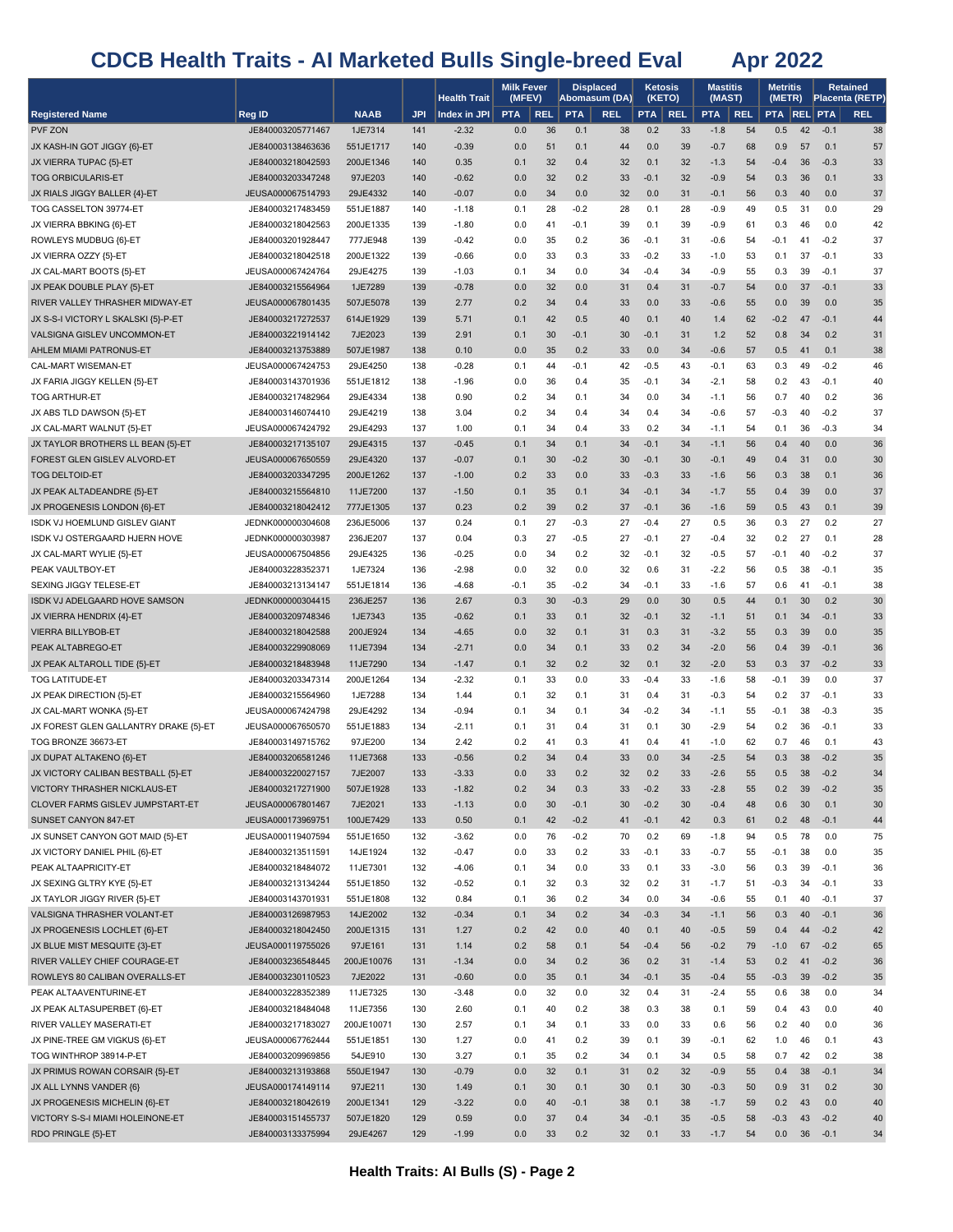|                                                                |                                        |                       |            | <b>Health Trait</b> | <b>Milk Fever</b><br>(MFEV) |            |            | <b>Displaced</b><br>Abomasum (DA) |            | Ketosis<br>(KETO) | <b>Mastitis</b><br>(MAST) |            | Metritis<br>(METR) |          |                  | Retained<br>Placenta (RETP) |
|----------------------------------------------------------------|----------------------------------------|-----------------------|------------|---------------------|-----------------------------|------------|------------|-----------------------------------|------------|-------------------|---------------------------|------------|--------------------|----------|------------------|-----------------------------|
| <b>Registered Name</b>                                         | Reg ID                                 | <b>NAAB</b>           | <b>JPI</b> | Index in JPI        | <b>PTA</b>                  | <b>REL</b> | <b>PTA</b> | <b>REL</b>                        | PTA        | <b>REL</b>        | <b>PTA</b>                | <b>REL</b> | <b>PTA REL PTA</b> |          |                  | <b>REL</b>                  |
| PVF ZON                                                        | JE840003205771467                      | 1JE7314               | 141        | $-2.32$             | 0.0                         | 36         | 0.1        | 38                                | 0.2        | 33                | $-1.8$                    | 54         | 0.5                | 42       | $-0.1$           | 38                          |
| JX KASH-IN GOT JIGGY {6}-ET                                    | JE840003138463636                      | 551JE1717             | 140        | $-0.39$             | 0.0                         | 51         | 0.1        | 44                                | 0.0        | 39                | $-0.7$                    | 68         | 0.9                | 57       | 0.1              | 57                          |
| JX VIERRA TUPAC {5}-ET                                         | JE840003218042593                      | 200JE1346             | 140        | 0.35                | 0.1                         | 32         | 0.4        | 32                                | 0.1        | 32                | $-1.3$                    | 54         | $-0.4$             | 36       | $-0.3$           | 33                          |
| <b>TOG ORBICULARIS-ET</b>                                      | JE840003203347248                      | 97JE203               | 140        | $-0.62$             | 0.0                         | 32         | 0.2        | 33                                | $-0.1$     | 32                | $-0.9$                    | 54         | 0.3                | 36       | 0.1              | 33                          |
| JX RIALS JIGGY BALLER {4}-ET                                   | JEUSA000067514793                      | 29JE4332              | 140        | $-0.07$             | 0.0                         | 34         | 0.0        | 32                                | 0.0        | 31                | $-0.1$                    | 56         | 0.3                | 40       | 0.0              | 37                          |
| TOG CASSELTON 39774-ET                                         | JE840003217483459                      | 551JE1887             | 140        | $-1.18$             | 0.1                         | 28         | $-0.2$     | 28                                | 0.1        | 28                | $-0.9$                    | 49         | 0.5                | 31       | 0.0              | 29                          |
| JX VIERRA BBKING {6}-ET                                        | JE840003218042563                      | 200JE1335             | 139        | $-1.80$             | 0.0                         | 41         | $-0.1$     | 39                                | 0.1        | 39                | $-0.9$                    | 61         | 0.3                | 46       | 0.0              | 42                          |
| ROWLEYS MUDBUG {6}-ET                                          | JE840003201928447                      | 777JE948              | 139        | $-0.42$             | 0.0                         | 35         | 0.2        | 36                                | $-0.1$     | 31                | -0.6                      | 54         | $-0.1$             | 41       | $-0.2$           | 37                          |
| JX VIERRA OZZY {5}-ET                                          | JE840003218042518                      | 200JE1322             | 139        | $-0.66$             | 0.0                         | 33         | 0.3        | 33                                | $-0.2$     | 33                | $-1.0$                    | 53         | 0.1                | 37       | $-0.1$           | 33                          |
| JX CAL-MART BOOTS {5}-ET                                       | JEUSA000067424764                      | 29JE4275              | 139        | $-1.03$             | 0.1                         | 34         | 0.0        | 34                                | $-0.4$     | 34                | $-0.9$                    | 55         | 0.3                | 39       | $-0.1$           | 37                          |
| JX PEAK DOUBLE PLAY {5}-ET                                     | JE840003215564964                      | 1JE7289               | 139        | $-0.78$             | 0.0                         | 32         | 0.0        | 31                                | 0.4        | 31                | $-0.7$                    | 54         | 0.0                | 37       | $-0.1$           | 33                          |
| RIVER VALLEY THRASHER MIDWAY-ET                                | JEUSA000067801435                      | 507JE5078             | 139        | 2.77                | 0.2                         | 34         | 0.4        | 33                                | 0.0        | 33                | $-0.6$                    | 55         | 0.0                | 39       | 0.0              | 35                          |
| JX S-S-I VICTORY L SKALSKI {5}-P-ET                            | JE840003217272537                      | 614JE1929             | 139        | 5.71                | 0.1                         | 42         | 0.5        | 40                                | 0.1        | 40                | 1.4                       | 62         | $-0.2$             | 47       | $-0.1$           | 44                          |
| VALSIGNA GISLEV UNCOMMON-ET                                    | JE840003221914142                      | 7JE2023               | 139        | 2.91                | 0.1                         | 30         | $-0.1$     | 30                                | $-0.1$     | 31                | 1.2                       | 52         | 0.8                | 34       | 0.2              | 31                          |
| AHLEM MIAMI PATRONUS-ET                                        | JE840003213753889                      | 507JE1987             | 138        | 0.10                | 0.0                         | 35         | 0.2        | 33                                | 0.0        | 34                | $-0.6$                    | 57         | 0.5                | 41       | 0.1              | 38                          |
| CAL-MART WISEMAN-ET                                            | JEUSA000067424753                      | 29JE4250              | 138        | $-0.28$             | 0.1                         | 44         | -0.1       | 42                                | $-0.5$     | 43                | $-0.1$                    | 63         | 0.3                | 49       | $-0.2$           | 46                          |
| JX FARIA JIGGY KELLEN {5}-ET                                   | JE840003143701936                      | 551JE1812             | 138        | $-1.96$             | 0.0                         | 36         | 0.4        | 35                                | $-0.1$     | 34                | -2.1                      | 58         | 0.2                | 43       | $-0.1$           | 40                          |
| <b>TOG ARTHUR-ET</b>                                           | JE840003217482964                      | 29JE4334              | 138        | 0.90                | 0.2                         | 34         | 0.1        | 34                                | 0.0        | 34                | -1.1                      | 56         | 0.7                | 40       | 0.2              | 36                          |
| JX ABS TLD DAWSON {5}-ET                                       | JE840003146074410<br>JEUSA000067424792 | 29JE4219<br>29JE4293  | 138<br>137 | 3.04                | 0.2                         | 34<br>34   | 0.4<br>0.4 | 34<br>33                          | 0.4<br>0.2 | 34<br>34          | $-0.6$                    | 57         | -0.3               | 40<br>36 | $-0.2$<br>$-0.3$ | 37<br>34                    |
| JX CAL-MART WALNUT {5}-ET<br>JX TAYLOR BROTHERS LL BEAN {5}-ET | JE840003217135107                      | 29JE4315              | 137        | 1.00<br>$-0.45$     | 0.1<br>0.1                  | 34         | 0.1        | 34                                | $-0.1$     | 34                | -1.1<br>$-1.1$            | 54<br>56   | 0.1<br>0.4         | 40       | 0.0              | 36                          |
| FOREST GLEN GISLEV ALVORD-ET                                   | JEUSA000067650559                      | 29JE4320              | 137        | $-0.07$             | 0.1                         | 30         | $-0.2$     | 30                                | $-0.1$     | 30                | $-0.1$                    | 49         | 0.4                | 31       | 0.0              | 30                          |
| <b>TOG DELTOID-ET</b>                                          | JE840003203347295                      | 200JE1262             | 137        | $-1.00$             | 0.2                         | 33         | 0.0        | 33                                | $-0.3$     | 33                | $-1.6$                    | 56         | 0.3                | 38       | 0.1              | 36                          |
| JX PEAK ALTADEANDRE {5}-ET                                     | JE840003215564810                      | 11JE7200              | 137        | $-1.50$             | 0.1                         | 35         | 0.1        | 34                                | $-0.1$     | 34                | $-1.7$                    | 55         | 0.4                | 39       | 0.0              | 37                          |
| JX PROGENESIS LONDON {6}-ET                                    | JE840003218042412                      | 777JE1305             | 137        | 0.23                | 0.2                         | 39         | 0.2        | 37                                | $-0.1$     | 36                | $-1.6$                    | 59         | 0.5                | 43       | 0.1              | 39                          |
| ISDK VJ HOEMLUND GISLEV GIANT                                  | JEDNK000000304608                      | 236JE5006             | 137        | 0.24                | 0.1                         | 27         | $-0.3$     | 27                                | $-0.4$     | 27                | 0.5                       | 36         | 0.3                | 27       | 0.2              | 27                          |
| ISDK VJ OSTERGAARD HJERN HOVE                                  | JEDNK000000303987                      | 236JE207              | 137        | 0.04                | 0.3                         | 27         | $-0.5$     | 27                                | $-0.1$     | 27                | $-0.4$                    | 32         | 0.2                | 27       | 0.1              | 28                          |
| JX CAL-MART WYLIE {5}-ET                                       | JEUSA000067504856                      | 29JE4325              | 136        | $-0.25$             | 0.0                         | 34         | 0.2        | 32                                | $-0.1$     | 32                | $-0.5$                    | 57         | $-0.1$             | 40       | $-0.2$           | 37                          |
| PEAK VAULTBOY-ET                                               | JE840003228352371                      | 1JE7324               | 136        | $-2.98$             | 0.0                         | 32         | 0.0        | 32                                | 0.6        | 31                | $-2.2$                    | 56         | 0.5                | 38       | $-0.1$           | 35                          |
| SEXING JIGGY TELESE-ET                                         | JE840003213134147                      | 551JE1814             | 136        | $-4.68$             | $-0.1$                      | 35         | $-0.2$     | 34                                | $-0.1$     | 33                | $-1.6$                    | 57         | 0.6                | 41       | $-0.1$           | 38                          |
| ISDK VJ ADELGAARD HOVE SAMSON                                  | JEDNK000000304415                      | 236JE257              | 136        | 2.67                | 0.3                         | 30         | $-0.3$     | 29                                | 0.0        | 30                | 0.5                       | 44         | 0.1                | 30       | 0.2              | 30                          |
| JX VIERRA HENDRIX {4}-ET                                       | JE840003209748346                      | 1JE7343               | 135        | $-0.62$             | 0.1                         | 33         | 0.1        | 32                                | $-0.1$     | 32                | $-1.1$                    | 51         | 0.1                | 34       | $-0.1$           | 33                          |
| <b>VIERRA BILLYBOB-ET</b>                                      | JE840003218042588                      | 200JE924              | 134        | $-4.65$             | 0.0                         | 32         | 0.1        | 31                                | 0.3        | 31                | $-3.2$                    | 55         | 0.3                | 39       | 0.0              | 35                          |
| PEAK ALTABREGO-ET                                              | JE840003229908069                      | 11JE7394              | 134        | $-2.71$             | 0.0                         | 34         | 0.1        | 33                                | 0.2        | 34                | $-2.0$                    | 56         | 0.4                | 39       | $-0.1$           | 36                          |
| JX PEAK ALTAROLL TIDE {5}-ET                                   | JE840003218483948                      | 11JE7290              | 134        | $-1.47$             | 0.1                         | 32         | 0.2        | 32                                | 0.1        | 32                | $-2.0$                    | 53         | 0.3                | 37       | $-0.2$           | 33                          |
| <b>TOG LATITUDE-ET</b>                                         | JE840003203347314                      | 200JE1264             | 134        | $-2.32$             | 0.1                         | 33         | 0.0        | 33                                | $-0.4$     | 33                | $-1.6$                    | 58         | $-0.1$             | 39       | 0.0              | 37                          |
| JX PEAK DIRECTION {5}-ET                                       | JE840003215564960                      | 1JE7288               | 134        | 1.44                | 0.1                         | 32         | 0.1        | 31                                | 0.4        | 31                | $-0.3$                    | 54         | 0.2                | 37       | $-0.1$           | 33                          |
| JX CAL-MART WONKA {5}-ET                                       | JEUSA000067424798                      | 29JE4292              | 134        | $-0.94$             | 0.1                         | 34         | 0.1        | 34                                | $-0.2$     | 34                | $-1.1$                    | 55         | $-0.1$             | 38       | $-0.3$           | 35                          |
| JX FOREST GLEN GALLANTRY DRAKE {5}-ET                          | JEUSA000067650570                      | 551JE1883             | 134        | $-2.11$             | 0.1                         | 31         | 0.4        | 31                                | 0.1        | 30                | $-2.9$                    | 54         | 0.2                | 36       | $-0.1$           | 33                          |
| TOG BRONZE 36673-ET                                            | JE840003149715762                      | 97JE200               | 134        | 2.42                | 0.2                         | 41         | 0.3        | 41                                | 0.4        | 41                | $-1.0$                    | 62         | 0.7                | 46       | 0.1              | 43                          |
| JX DUPAT ALTAKENO {6}-ET                                       | JE840003206581246                      | 11JE7368              | 133        | $-0.56$             | 0.2                         | 34         | 0.4        | 33                                | 0.0        | 34                | $-2.5$                    | 54         | 0.3                | 38       | $-0.2$           | 35                          |
| JX VICTORY CALIBAN BESTBALL {5}-ET                             | JE840003220027157                      | 7JE2007               | 133        | $-3.33$             | 0.0                         | 33         | 0.2        | 32                                | 0.2        | 33                | $-2.6$                    | 55         | 0.5                | 38       | $-0.2$           | 34                          |
| VICTORY THRASHER NICKLAUS-ET                                   | JE840003217271900                      | 507JE1928             | 133        | $-1.82$             | 0.2                         | 34         | 0.3        | 33                                | $-0.2$     | 33                | $-2.8$                    | 55         | 0.2                | 39       | $-0.2$           | 35                          |
| CLOVER FARMS GISLEV JUMPSTART-ET                               | JEUSA000067801467                      | 7JE2021               | 133        | $-1.13$             | 0.0                         | 30         | $-0.1$     | 30                                | $-0.2$     | 30                | $-0.4$                    | 48         | 0.6                | 30       | 0.1              | 30                          |
| SUNSET CANYON 847-ET                                           | JEUSA000173969751                      | 100JE7429             | 133        | 0.50                | 0.1                         | 42         | $-0.2$     | 41                                | $-0.1$     | 42                | 0.3                       | 61         | 0.2                | 48       | $-0.1$           | 44                          |
| JX SUNSET CANYON GOT MAID {5}-ET                               | JEUSA000119407594                      | 551JE1650             | 132        | $-3.62$             | 0.0                         | 76         | $-0.2$     | 70                                | 0.2        | 69                | $-1.8$                    | 94         | 0.5                | 78       | 0.0              | 75                          |
| JX VICTORY DANIEL PHIL {6}-ET                                  | JE840003213511591                      | 14JE1924              | 132        | $-0.47$             | 0.0                         | 33<br>34   | 0.2        | 33                                | $-0.1$     | 33<br>33          | -0.7                      | 55         | $-0.1$             | 38       | 0.0<br>$-0.1$    | 35                          |
| PEAK ALTAAPRICITY-ET<br>JX SEXING GLTRY KYE {5}-ET             | JE840003218484072<br>JE840003213134244 | 11JE7301<br>551JE1850 | 132<br>132 | $-4.06$<br>$-0.52$  | 0.1<br>0.1                  | 32         | 0.0<br>0.3 | 33<br>32                          | 0.1<br>0.2 | 31                | $-3.0$<br>$-1.7$          | 56<br>51   | 0.3<br>$-0.3$      | 39<br>34 | $-0.1$           | 36<br>33                    |
| JX TAYLOR JIGGY RIVER {5}-ET                                   | JE840003143701931                      | 551JE1808             | 132        | 0.84                | 0.1                         | 36         | 0.2        | 34                                | 0.0        | 34                | $-0.6$                    | 55         | 0.1                | 40       | $-0.1$           | 37                          |
| VALSIGNA THRASHER VOLANT-ET                                    | JE840003126987953                      | 14JE2002              | 132        | $-0.34$             | 0.1                         | 34         | 0.2        | 34                                | $-0.3$     | 34                | $-1.1$                    | 56         | 0.3                | 40       | $-0.1$           | 36                          |
| JX PROGENESIS LOCHLET {6}-ET                                   | JE840003218042450                      | 200JE1315             | 131        | 1.27                | 0.2                         | 42         | 0.0        | 40                                | 0.1        | 40                | $-0.5$                    | 59         | 0.4                | 44       | $-0.2$           | 42                          |
| JX BLUE MIST MESQUITE {3}-ET                                   | JEUSA000119755026                      | 97JE161               | 131        | 1.14                | 0.2                         | 58         | 0.1        | 54                                | $-0.4$     | 56                | $-0.2$                    | 79         | $-1.0$             | 67       | $-0.2$           | 65                          |
| RIVER VALLEY CHIEF COURAGE-ET                                  | JE840003236548445                      | 200JE10076            | 131        | $-1.34$             | 0.0                         | 34         | 0.2        | 36                                | 0.2        | 31                | $-1.4$                    | 53         | 0.2                | 41       | $-0.2$           | 36                          |
| ROWLEYS 80 CALIBAN OVERALLS-ET                                 | JE840003230110523                      | 7JE2022               | 131        | $-0.60$             | 0.0                         | 35         | 0.1        | 34                                | $-0.1$     | 35                | $-0.4$                    | 55         | $-0.3$             | 39       | $-0.2$           | 35                          |
| PEAK ALTAAVENTURINE-ET                                         | JE840003228352389                      | 11JE7325              | 130        | $-3.48$             | 0.0                         | 32         | 0.0        | 32                                | 0.4        | 31                | $-2.4$                    | 55         | 0.6                | 38       | 0.0              | 34                          |
| JX PEAK ALTASUPERBET {6}-ET                                    | JE840003218484048                      | 11JE7356              | 130        | 2.60                | 0.1                         | 40         | 0.2        | 38                                | 0.3        | 38                | 0.1                       | 59         | 0.4                | 43       | 0.0              | 40                          |
| RIVER VALLEY MASERATI-ET                                       | JE840003217183027                      | 200JE10071            | 130        | 2.57                | 0.1                         | 34         | 0.1        | 33                                | 0.0        | 33                | 0.6                       | 56         | 0.2                | 40       | 0.0              | 36                          |
| JX PINE-TREE GM VIGKUS {6}-ET                                  | JEUSA000067762444                      | 551JE1851             | 130        | 1.27                | 0.0                         | 41         | 0.2        | 39                                | 0.1        | 39                | $-0.1$                    | 62         | 1.0                | 46       | 0.1              | 43                          |
| TOG WINTHROP 38914-P-ET                                        | JE840003209969856                      | 54JE910               | 130        | 3.27                | 0.1                         | 35         | 0.2        | 34                                | 0.1        | 34                | 0.5                       | 58         | 0.7                | 42       | 0.2              | 38                          |
| JX PRIMUS ROWAN CORSAIR {5}-ET                                 | JE840003213193868                      | 550JE1947             | 130        | $-0.79$             | 0.0                         | 32         | 0.1        | 31                                | 0.2        | 32                | $-0.9$                    | 55         | 0.4                | 38       | $-0.1$           | 34                          |
| JX ALL LYNNS VANDER {6}                                        | JEUSA000174149114                      | 97JE211               | 130        | 1.49                | 0.1                         | 30         | 0.1        | 30                                | 0.1        | 30                | $-0.3$                    | 50         | 0.9                | 31       | 0.2              | 30                          |
| JX PROGENESIS MICHELIN {6}-ET                                  | JE840003218042619                      | 200JE1341             | 129        | $-3.22$             | 0.0                         | 40         | $-0.1$     | 38                                | 0.1        | 38                | $-1.7$                    | 59         | 0.2                | 43       | 0.0              | 40                          |
| VICTORY S-S-I MIAMI HOLEINONE-ET                               | JE840003151455737                      | 507JE1820             | 129        | 0.59                | 0.0                         | 37         | 0.4        | 34                                | $-0.1$     | 35                | $-0.5$                    | 58         | $-0.3$             | 43       | $-0.2$           | 40                          |
| RDO PRINGLE {5}-ET                                             | JE840003133375994                      | 29JE4267              | 129        | $-1.99$             | 0.0                         | 33         | 0.2        | 32                                | 0.1        | 33                | $-1.7$                    | 54         | 0.0                | 36       | $-0.1$           | 34                          |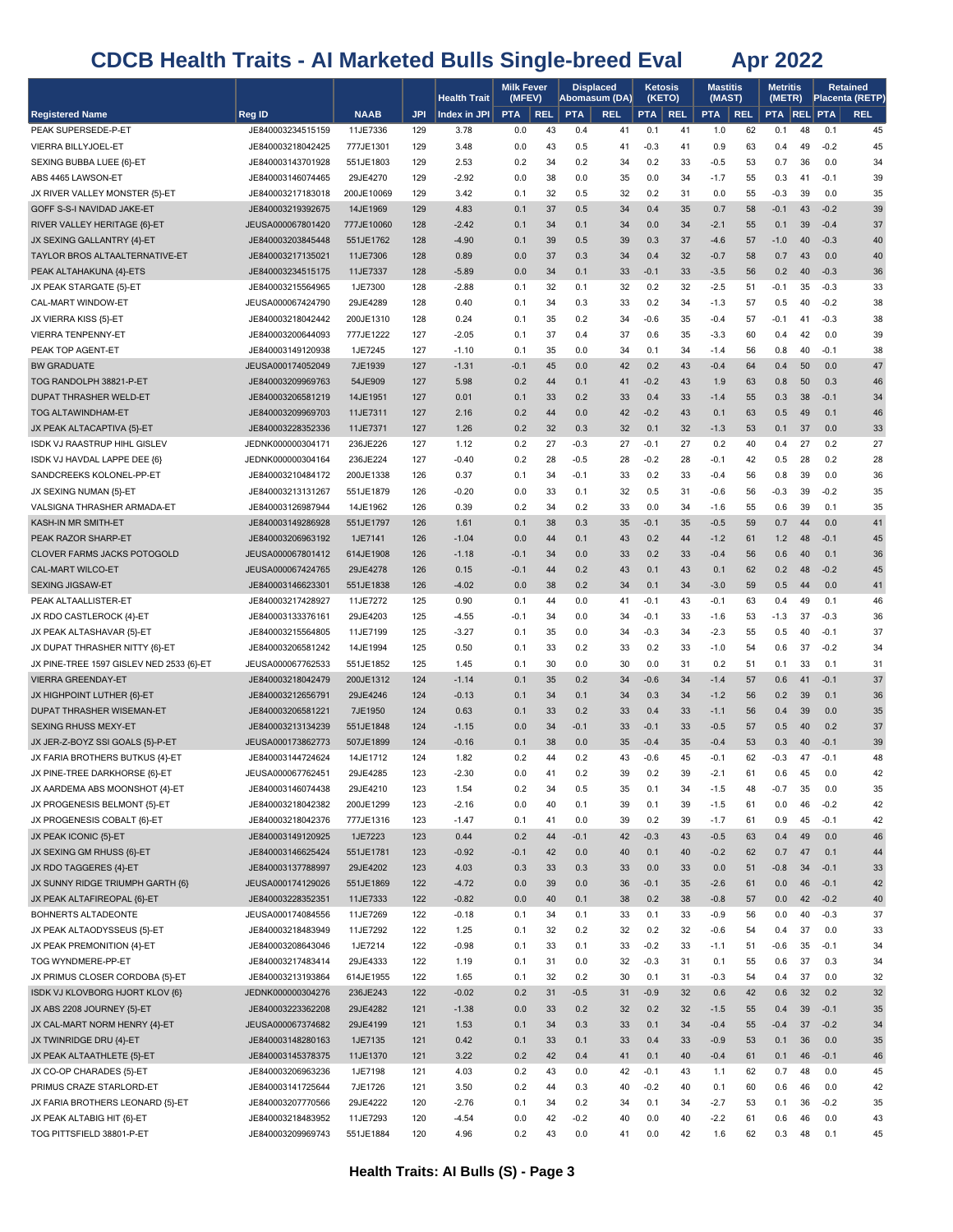|                                                       |                                        |                       |            | <b>Health Trait</b> | <b>Milk Fever</b><br>(MFEV) |            | <b>Displaced</b> | Abomasum (DA) | <b>Ketosis</b><br>(KETO) |            | <b>Mastitis</b><br>(MAST) |            | <b>Metritis</b><br>(METR) |          |                  | <b>Retained</b><br>Placenta (RETP) |
|-------------------------------------------------------|----------------------------------------|-----------------------|------------|---------------------|-----------------------------|------------|------------------|---------------|--------------------------|------------|---------------------------|------------|---------------------------|----------|------------------|------------------------------------|
| <b>Registered Name</b>                                | Reg ID                                 | <b>NAAB</b>           | <b>JPI</b> | Index in JPI        | <b>PTA</b>                  | <b>REL</b> | <b>PTA</b>       | <b>REL</b>    | <b>PTA</b>               | <b>REL</b> | <b>PTA</b>                | <b>REL</b> | PTA REL PTA               |          |                  | <b>REL</b>                         |
| PEAK SUPERSEDE-P-ET                                   | JE840003234515159                      | 11JE7336              | 129        | 3.78                | 0.0                         | 43         | 0.4              | 41            | 0.1                      | 41         | 1.0                       | 62         | 0.1                       | 48       | 0.1              | 45                                 |
| VIERRA BILLYJOEL-ET                                   | JE840003218042425                      | 777JE1301             | 129        | 3.48                | 0.0                         | 43         | 0.5              | 41            | $-0.3$                   | 41         | 0.9                       | 63         | 0.4                       | 49       | $-0.2$           | 45                                 |
| SEXING BUBBA LUEE {6}-ET                              | JE840003143701928                      | 551JE1803             | 129        | 2.53                | 0.2                         | 34         | 0.2              | 34            | 0.2                      | 33         | $-0.5$                    | 53         | 0.7                       | 36       | 0.0              | 34                                 |
| ABS 4465 LAWSON-ET                                    | JE840003146074465                      | 29JE4270              | 129        | $-2.92$             | 0.0                         | 38         | 0.0              | 35            | 0.0                      | 34         | $-1.7$                    | 55         | 0.3                       | 41       | $-0.1$           | 39                                 |
| JX RIVER VALLEY MONSTER {5}-ET                        | JE840003217183018                      | 200JE10069            | 129        | 3.42                | 0.1                         | 32         | 0.5              | 32            | 0.2                      | 31         | 0.0                       | 55         | $-0.3$                    | 39       | 0.0              | 35                                 |
| GOFF S-S-I NAVIDAD JAKE-ET                            | JE840003219392675                      | 14JE1969              | 129        | 4.83                | 0.1                         | 37         | 0.5              | 34            | 0.4                      | 35         | 0.7                       | 58         | $-0.1$                    | 43       | $-0.2$           | 39                                 |
| RIVER VALLEY HERITAGE {6}-ET                          | JEUSA000067801420                      | 777JE10060            | 128        | $-2.42$             | 0.1                         | 34         | 0.1              | 34            | 0.0                      | 34         | $-2.1$                    | 55         | 0.1                       | 39       | $-0.4$           | 37                                 |
| JX SEXING GALLANTRY {4}-ET                            | JE840003203845448                      | 551JE1762             | 128        | $-4.90$             | 0.1                         | 39         | 0.5              | 39            | 0.3                      | 37         | $-4.6$                    | 57         | $-1.0$                    | 40       | $-0.3$           | 40                                 |
| TAYLOR BROS ALTAALTERNATIVE-ET                        | JE840003217135021                      | 11JE7306              | 128        | 0.89                | 0.0                         | 37         | 0.3              | 34            | 0.4                      | 32         | $-0.7$                    | 58         | 0.7                       | 43       | 0.0              | 40                                 |
| PEAK ALTAHAKUNA {4}-ETS                               | JE840003234515175                      | 11JE7337              | 128        | $-5.89$             | 0.0                         | 34         | 0.1              | 33            | $-0.1$                   | 33         | $-3.5$                    | 56         | 0.2                       | 40       | $-0.3$           | 36                                 |
| JX PEAK STARGATE {5}-ET<br>CAL-MART WINDOW-ET         | JE840003215564965<br>JEUSA000067424790 | 1JE7300<br>29JE4289   | 128<br>128 | $-2.88$<br>0.40     | 0.1<br>0.1                  | 32<br>34   | 0.1<br>0.3       | 32<br>33      | 0.2<br>0.2               | 32<br>34   | $-2.5$<br>$-1.3$          | 51<br>57   | $-0.1$<br>0.5             | 35<br>40 | $-0.3$<br>$-0.2$ | 33<br>38                           |
| JX VIERRA KISS {5}-ET                                 | JE840003218042442                      | 200JE1310             | 128        | 0.24                | 0.1                         | 35         | 0.2              | 34            | $-0.6$                   | 35         | $-0.4$                    | 57         | $-0.1$                    | 41       | $-0.3$           | 38                                 |
| <b>VIERRA TENPENNY-ET</b>                             | JE840003200644093                      | 777JE1222             | 127        | $-2.05$             | 0.1                         | 37         | 0.4              | 37            | 0.6                      | 35         | $-3.3$                    | 60         | 0.4                       | 42       | 0.0              | 39                                 |
| PEAK TOP AGENT-ET                                     | JE840003149120938                      | 1JE7245               | 127        | $-1.10$             | 0.1                         | 35         | 0.0              | 34            | 0.1                      | 34         | $-1.4$                    | 56         | 0.8                       | 40       | $-0.1$           | 38                                 |
| <b>BW GRADUATE</b>                                    | JEUSA000174052049                      | 7JE1939               | 127        | $-1.31$             | $-0.1$                      | 45         | 0.0              | 42            | 0.2                      | 43         | $-0.4$                    | 64         | 0.4                       | 50       | 0.0              | 47                                 |
| TOG RANDOLPH 38821-P-ET                               | JE840003209969763                      | 54JE909               | 127        | 5.98                | 0.2                         | 44         | 0.1              | 41            | $-0.2$                   | 43         | 1.9                       | 63         | 0.8                       | 50       | 0.3              | 46                                 |
| DUPAT THRASHER WELD-ET                                | JE840003206581219                      | 14JE1951              | 127        | 0.01                | 0.1                         | 33         | 0.2              | 33            | 0.4                      | 33         | $-1.4$                    | 55         | 0.3                       | 38       | $-0.1$           | 34                                 |
| <b>TOG ALTAWINDHAM-ET</b>                             | JE840003209969703                      | 11JE7311              | 127        | 2.16                | 0.2                         | 44         | 0.0              | 42            | $-0.2$                   | 43         | 0.1                       | 63         | 0.5                       | 49       | 0.1              | 46                                 |
| JX PEAK ALTACAPTIVA {5}-ET                            | JE840003228352336                      | 11JE7371              | 127        | 1.26                | 0.2                         | 32         | 0.3              | 32            | 0.1                      | 32         | $-1.3$                    | 53         | 0.1                       | 37       | 0.0              | 33                                 |
| ISDK VJ RAASTRUP HIHL GISLEV                          | JEDNK000000304171                      | 236JE226              | 127        | 1.12                | 0.2                         | 27         | $-0.3$           | 27            | $-0.1$                   | 27         | 0.2                       | 40         | 0.4                       | 27       | 0.2              | 27                                 |
| ISDK VJ HAVDAL LAPPE DEE {6}                          | JEDNK000000304164                      | 236JE224              | 127        | $-0.40$             | 0.2                         | 28         | $-0.5$           | 28            | $-0.2$                   | 28         | $-0.1$                    | 42         | 0.5                       | 28       | 0.2              | 28                                 |
| SANDCREEKS KOLONEL-PP-ET                              | JE840003210484172                      | 200JE1338             | 126        | 0.37                | 0.1                         | 34         | $-0.1$           | 33            | 0.2                      | 33         | $-0.4$                    | 56         | 0.8                       | 39       | 0.0              | 36                                 |
| JX SEXING NUMAN {5}-ET                                | JE840003213131267                      | 551JE1879             | 126        | $-0.20$             | 0.0                         | 33         | 0.1              | 32            | 0.5                      | 31         | $-0.6$                    | 56         | $-0.3$                    | 39       | $-0.2$           | 35                                 |
| VALSIGNA THRASHER ARMADA-ET                           | JE840003126987944                      | 14JE1962              | 126        | 0.39                | 0.2                         | 34         | 0.2              | 33            | 0.0                      | 34         | $-1.6$                    | 55         | 0.6                       | 39       | 0.1              | 35                                 |
| KASH-IN MR SMITH-ET                                   | JE840003149286928                      | 551JE1797             | 126        | 1.61                | 0.1                         | 38         | 0.3              | 35            | $-0.1$                   | 35         | $-0.5$                    | 59         | 0.7                       | 44       | 0.0              | 41                                 |
| PEAK RAZOR SHARP-ET                                   | JE840003206963192                      | 1JE7141               | 126        | $-1.04$             | 0.0                         | 44         | 0.1              | 43            | 0.2                      | 44         | $-1.2$                    | 61         | 1.2                       | 48       | $-0.1$           | 45                                 |
| CLOVER FARMS JACKS POTOGOLD                           | JEUSA000067801412                      | 614JE1908             | 126        | $-1.18$             | $-0.1$                      | 34         | 0.0              | 33            | 0.2                      | 33         | $-0.4$                    | 56         | 0.6                       | 40       | 0.1              | 36                                 |
| CAL-MART WILCO-ET                                     | JEUSA000067424765                      | 29JE4278              | 126        | 0.15                | $-0.1$                      | 44         | 0.2              | 43            | 0.1                      | 43         | 0.1                       | 62         | 0.2                       | 48       | $-0.2$           | 45                                 |
| <b>SEXING JIGSAW-ET</b>                               | JE840003146623301                      | 551JE1838             | 126        | $-4.02$             | 0.0                         | 38         | 0.2              | 34            | 0.1                      | 34         | $-3.0$                    | 59         | 0.5                       | 44       | 0.0              | 41                                 |
| PEAK ALTAALLISTER-ET                                  | JE840003217428927                      | 11JE7272              | 125        | 0.90                | 0.1                         | 44         | 0.0              | 41            | $-0.1$                   | 43         | $-0.1$                    | 63         | 0.4                       | 49       | 0.1              | 46                                 |
| JX RDO CASTLEROCK {4}-ET<br>JX PEAK ALTASHAVAR {5}-ET | JE840003133376161<br>JE840003215564805 | 29JE4203<br>11JE7199  | 125<br>125 | $-4.55$<br>$-3.27$  | -0.1<br>0.1                 | 34<br>35   | 0.0<br>0.0       | 34<br>34      | $-0.1$<br>$-0.3$         | 33<br>34   | -1.6<br>$-2.3$            | 53<br>55   | $-1.3$<br>0.5             | 37<br>40 | $-0.3$<br>$-0.1$ | 36<br>37                           |
| JX DUPAT THRASHER NITTY {6}-ET                        | JE840003206581242                      | 14JE1994              | 125        | 0.50                | 0.1                         | 33         | 0.2              | 33            | 0.2                      | 33         | $-1.0$                    | 54         | 0.6                       | 37       | $-0.2$           | 34                                 |
| JX PINE-TREE 1597 GISLEV NED 2533 {6}-ET              | JEUSA000067762533                      | 551JE1852             | 125        | 1.45                | 0.1                         | 30         | 0.0              | 30            | 0.0                      | 31         | 0.2                       | 51         | 0.1                       | 33       | 0.1              | 31                                 |
| <b>VIERRA GREENDAY-ET</b>                             | JE840003218042479                      | 200JE1312             | 124        | $-1.14$             | 0.1                         | 35         | 0.2              | 34            | $-0.6$                   | 34         | $-1.4$                    | 57         | 0.6                       | 41       | $-0.1$           | 37                                 |
| JX HIGHPOINT LUTHER {6}-ET                            | JE840003212656791                      | 29JE4246              | 124        | $-0.13$             | 0.1                         | 34         | 0.1              | 34            | 0.3                      | 34         | $-1.2$                    | 56         | 0.2                       | 39       | 0.1              | 36                                 |
| DUPAT THRASHER WISEMAN-ET                             | JE840003206581221                      | 7JE1950               | 124        | 0.63                | 0.1                         | 33         | 0.2              | 33            | 0.4                      | 33         | $-1.1$                    | 56         | 0.4                       | 39       | 0.0              | 35                                 |
| SEXING RHUSS MEXY-ET                                  | JE840003213134239                      | 551JE1848             | 124        | $-1.15$             | 0.0                         | 34         | $-0.1$           | 33            | $-0.1$                   | 33         | $-0.5$                    | 57         | 0.5                       | 40       | 0.2              | 37                                 |
| JX JER-Z-BOYZ SSI GOALS {5}-P-ET                      | JEUSA000173862773                      | 507JE1899             | 124        | $-0.16$             | 0.1                         | 38         | 0.0              | 35            | $-0.4$                   | 35         | $-0.4$                    | 53         | 0.3                       | 40       | $-0.1$           | 39                                 |
| JX FARIA BROTHERS BUTKUS {4}-ET                       | JE840003144724624                      | 14JE1712              | 124        | 1.82                | 0.2                         | 44         | 0.2              | 43            | $-0.6$                   | 45         | $-0.1$                    | 62         | $-0.3$                    | 47       | $-0.1$           | 48                                 |
| JX PINE-TREE DARKHORSE {6}-ET                         | JEUSA000067762451                      | 29JE4285              | 123        | $-2.30$             | 0.0                         | 41         | 0.2              | 39            | 0.2                      | 39         | $-2.1$                    | 61         | 0.6                       | 45       | 0.0              | 42                                 |
| JX AARDEMA ABS MOONSHOT {4}-ET                        | JE840003146074438                      | 29JE4210              | 123        | 1.54                | 0.2                         | 34         | 0.5              | 35            | 0.1                      | 34         | $-1.5$                    | 48         | $-0.7$                    | 35       | 0.0              | 35                                 |
| JX PROGENESIS BELMONT {5}-ET                          | JE840003218042382                      | 200JE1299             | 123        | $-2.16$             | 0.0                         | 40         | 0.1              | 39            | 0.1                      | 39         | $-1.5$                    | 61         | 0.0                       | 46       | $-0.2$           | 42                                 |
| JX PROGENESIS COBALT {6}-ET                           | JE840003218042376                      | 777JE1316             | 123        | $-1.47$             | 0.1                         | 41         | 0.0              | 39            | 0.2                      | 39         | $-1.7$                    | 61         | 0.9                       | 45       | $-0.1$           | 42                                 |
| JX PEAK ICONIC {5}-ET                                 | JE840003149120925                      | 1JE7223               | 123        | 0.44                | 0.2                         | 44         | $-0.1$           | 42            | $-0.3$                   | 43         | $-0.5$                    | 63         | 0.4                       | 49       | 0.0              | 46                                 |
| JX SEXING GM RHUSS {6}-ET                             | JE840003146625424                      | 551JE1781             | 123        | $-0.92$             | $-0.1$                      | 42         | 0.0              | 40            | 0.1                      | 40         | $-0.2$                    | 62         | 0.7                       | 47       | 0.1              | 44                                 |
| JX RDO TAGGERES {4}-ET                                | JE840003137788997                      | 29JE4202              | 123        | 4.03                | 0.3                         | 33         | 0.3              | 33            | 0.0                      | 33         | 0.0                       | 51         | $-0.8$                    | 34       | $-0.1$           | 33                                 |
| JX SUNNY RIDGE TRIUMPH GARTH {6}                      | JEUSA000174129026<br>JE840003228352351 | 551JE1869<br>11JE7333 | 122<br>122 | $-4.72$<br>$-0.82$  | 0.0<br>0.0                  | 39<br>40   | 0.0<br>0.1       | 36<br>38      | $-0.1$<br>0.2            | 35<br>38   | $-2.6$<br>$-0.8$          | 61<br>57   | 0.0<br>0.0                | 46<br>42 | $-0.1$<br>$-0.2$ | 42<br>40                           |
| JX PEAK ALTAFIREOPAL {6}-ET<br>BOHNERTS ALTADEONTE    | JEUSA000174084556                      | 11JE7269              | 122        | $-0.18$             | 0.1                         | 34         | 0.1              | 33            | 0.1                      | 33         | -0.9                      | 56         | 0.0                       | 40       | $-0.3$           | 37                                 |
| JX PEAK ALTAODYSSEUS {5}-ET                           | JE840003218483949                      | 11JE7292              | 122        | 1.25                | 0.1                         | 32         | 0.2              | 32            | 0.2                      | 32         | $-0.6$                    | 54         | 0.4                       | 37       | 0.0              | 33                                 |
| JX PEAK PREMONITION {4}-ET                            | JE840003208643046                      | 1JE7214               | 122        | $-0.98$             | 0.1                         | 33         | 0.1              | 33            | $-0.2$                   | 33         | -1.1                      | 51         | $-0.6$                    | 35       | $-0.1$           | 34                                 |
| TOG WYNDMERE-PP-ET                                    | JE840003217483414                      | 29JE4333              | 122        | 1.19                | 0.1                         | 31         | 0.0              | 32            | $-0.3$                   | 31         | 0.1                       | 55         | 0.6                       | 37       | 0.3              | 34                                 |
| JX PRIMUS CLOSER CORDOBA {5}-ET                       | JE840003213193864                      | 614JE1955             | 122        | 1.65                | 0.1                         | 32         | 0.2              | 30            | 0.1                      | 31         | $-0.3$                    | 54         | 0.4                       | 37       | 0.0              | 32                                 |
| ISDK VJ KLOVBORG HJORT KLOV {6}                       | JEDNK000000304276                      | 236JE243              | 122        | $-0.02$             | 0.2                         | 31         | $-0.5$           | 31            | $-0.9$                   | 32         | 0.6                       | 42         | 0.6                       | 32       | 0.2              | 32                                 |
| JX ABS 2208 JOURNEY {5}-ET                            | JE840003223362208                      | 29JE4282              | 121        | $-1.38$             | 0.0                         | 33         | 0.2              | 32            | 0.2                      | 32         | $-1.5$                    | 55         | 0.4                       | 39       | $-0.1$           | 35                                 |
| JX CAL-MART NORM HENRY {4}-ET                         | JEUSA000067374682                      | 29JE4199              | 121        | 1.53                | 0.1                         | 34         | 0.3              | 33            | 0.1                      | 34         | $-0.4$                    | 55         | $-0.4$                    | 37       | $-0.2$           | 34                                 |
| JX TWINRIDGE DRU {4}-ET                               | JE840003148280163                      | 1JE7135               | 121        | 0.42                | 0.1                         | 33         | 0.1              | 33            | 0.4                      | 33         | $-0.9$                    | 53         | 0.1                       | 36       | 0.0              | 35                                 |
| JX PEAK ALTAATHLETE {5}-ET                            | JE840003145378375                      | 11JE1370              | 121        | 3.22                | 0.2                         | 42         | 0.4              | 41            | 0.1                      | 40         | $-0.4$                    | 61         | 0.1                       | 46       | $-0.1$           | 46                                 |
| JX CO-OP CHARADES {5}-ET                              | JE840003206963236                      | 1JE7198               | 121        | 4.03                | 0.2                         | 43         | 0.0              | 42            | $-0.1$                   | 43         | 1.1                       | 62         | 0.7                       | 48       | 0.0              | 45                                 |
| PRIMUS CRAZE STARLORD-ET                              | JE840003141725644                      | 7JE1726               | 121        | 3.50                | 0.2                         | 44         | 0.3              | 40            | $-0.2$                   | 40         | 0.1                       | 60         | 0.6                       | 46       | 0.0              | 42                                 |
| JX FARIA BROTHERS LEONARD {5}-ET                      | JE840003207770566                      | 29JE4222              | 120        | $-2.76$             | 0.1                         | 34         | 0.2              | 34            | 0.1                      | 34         | $-2.7$                    | 53         | 0.1                       | 36       | $-0.2$           | 35                                 |
| JX PEAK ALTABIG HIT {6}-ET                            | JE840003218483952                      | 11JE7293              | 120        | $-4.54$             | 0.0                         | 42         | $-0.2$           | 40            | 0.0                      | 40         | $-2.2$                    | 61         | 0.6                       | 46       | 0.0              | 43                                 |
| TOG PITTSFIELD 38801-P-ET                             | JE840003209969743                      | 551JE1884             | 120        | 4.96                | 0.2                         | 43         | 0.0              | 41            | 0.0                      | 42         | 1.6                       | 62         | 0.3                       | 48       | 0.1              | 45                                 |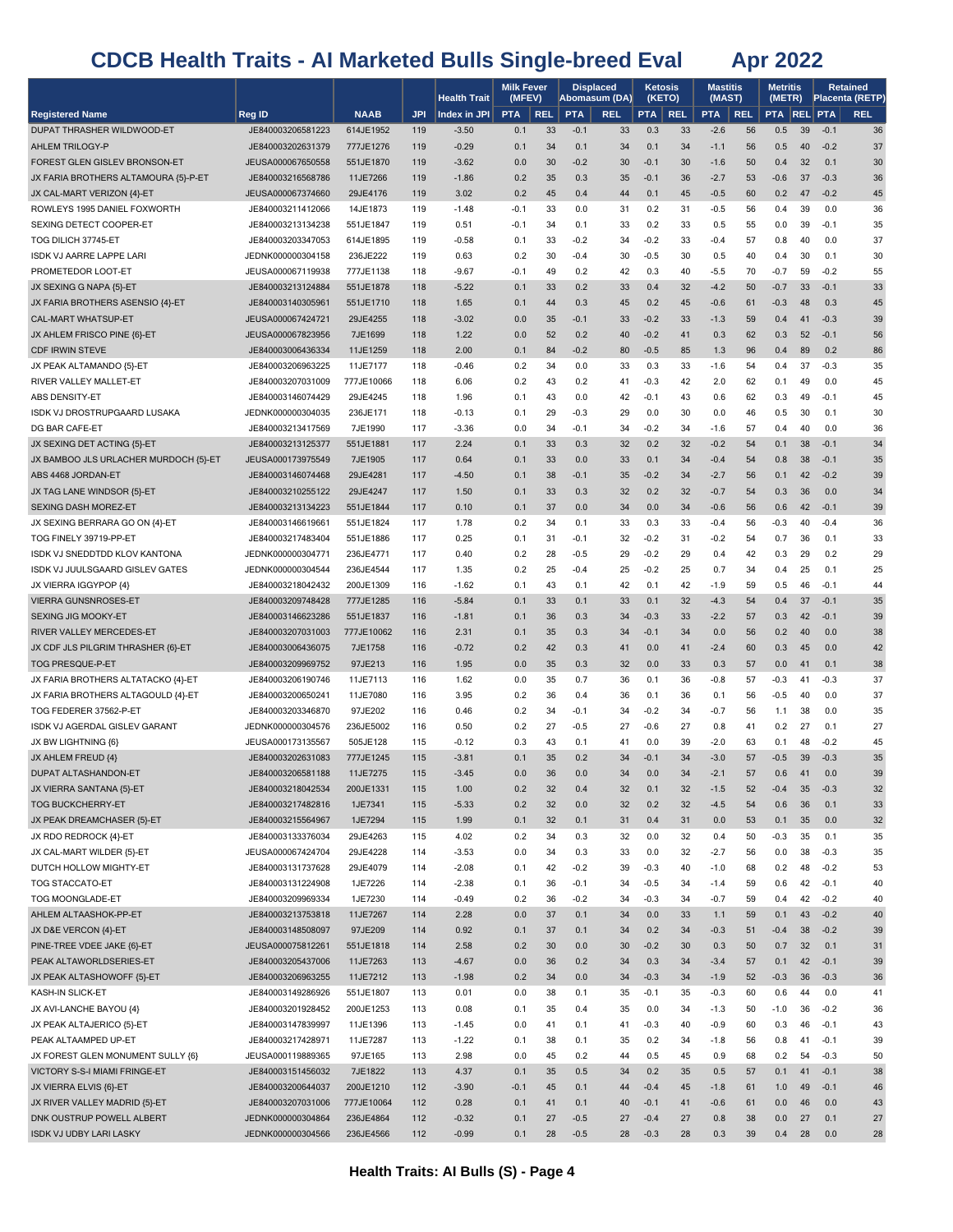|                                                           |                                        |                       |            | <b>Health Trait</b> | <b>Milk Fever</b><br>(MFEV) |            |            | <b>Displaced</b><br>Abomasum (DA) | <b>Ketosis</b> | (KETO)     | <b>Mastitis</b><br>(MAST) |            | <b>Metritis</b><br>(METR) |          |                  | <b>Retained</b><br>Placenta (RETP) |
|-----------------------------------------------------------|----------------------------------------|-----------------------|------------|---------------------|-----------------------------|------------|------------|-----------------------------------|----------------|------------|---------------------------|------------|---------------------------|----------|------------------|------------------------------------|
| <b>Registered Name</b>                                    | Reg ID                                 | <b>NAAB</b>           | <b>JPI</b> | Index in JPI        | <b>PTA</b>                  | <b>REL</b> | <b>PTA</b> | <b>REL</b>                        | <b>PTA</b>     | <b>REL</b> | <b>PTA</b>                | <b>REL</b> | <b>PTA REL PTA</b>        |          |                  | <b>REL</b>                         |
| DUPAT THRASHER WILDWOOD-ET                                | JE840003206581223                      | 614JE1952             | 119        | $-3.50$             | 0.1                         | 33         | $-0.1$     | 33                                | 0.3            | 33         | $-2.6$                    | 56         | 0.5                       | 39       | $-0.1$           | 36                                 |
| AHLEM TRILOGY-P                                           | JE840003202631379                      | 777JE1276             | 119        | $-0.29$             | 0.1                         | 34         | 0.1        | 34                                | 0.1            | 34         | $-1.1$                    | 56         | 0.5                       | 40       | $-0.2$           | 37                                 |
| FOREST GLEN GISLEV BRONSON-ET                             | JEUSA000067650558                      | 551JE1870             | 119        | $-3.62$             | 0.0                         | 30         | $-0.2$     | 30                                | $-0.1$         | 30         | $-1.6$                    | 50         | 0.4                       | 32       | 0.1              | 30                                 |
| JX FARIA BROTHERS ALTAMOURA {5}-P-ET                      | JE840003216568786                      | 11JE7266              | 119        | $-1.86$             | 0.2                         | 35         | 0.3        | 35                                | $-0.1$         | 36         | $-2.7$                    | 53         | $-0.6$                    | 37       | $-0.3$           | 36                                 |
| JX CAL-MART VERIZON {4}-ET                                | JEUSA000067374660                      | 29JE4176              | 119        | 3.02                | 0.2                         | 45         | 0.4        | 44                                | 0.1            | 45         | $-0.5$                    | 60         | 0.2                       | 47       | $-0.2$           | 45                                 |
| ROWLEYS 1995 DANIEL FOXWORTH                              | JE840003211412066                      | 14JE1873              | 119        | $-1.48$             | -0.1                        | 33         | 0.0        | 31                                | 0.2            | 31         | $-0.5$                    | 56         | 0.4                       | 39       | 0.0              | 36                                 |
| SEXING DETECT COOPER-ET                                   | JE840003213134238                      | 551JE1847             | 119        | 0.51                | $-0.1$                      | 34         | 0.1        | 33                                | 0.2            | 33         | 0.5                       | 55         | 0.0                       | 39       | $-0.1$           | 35                                 |
| TOG DILICH 37745-ET                                       | JE840003203347053                      | 614JE1895             | 119        | $-0.58$             | 0.1                         | 33         | $-0.2$     | 34                                | $-0.2$         | 33         | $-0.4$                    | 57         | 0.8                       | 40       | 0.0              | 37                                 |
| <b>ISDK VJ AARRE LAPPE LARI</b>                           | JEDNK000000304158                      | 236JE222              | 119        | 0.63                | 0.2                         | 30         | $-0.4$     | 30                                | $-0.5$         | 30         | 0.5                       | 40         | 0.4                       | 30       | 0.1              | 30                                 |
| PROMETEDOR LOOT-ET                                        | JEUSA000067119938                      | 777JE1138             | 118        | $-9.67$             | $-0.1$                      | 49         | 0.2        | 42                                | 0.3            | 40         | $-5.5$                    | 70         | $-0.7$                    | 59       | $-0.2$           | 55                                 |
| JX SEXING G NAPA {5}-ET                                   | JE840003213124884                      | 551JE1878             | 118        | $-5.22$             | 0.1                         | 33         | 0.2        | 33                                | 0.4            | 32         | $-4.2$                    | 50         | $-0.7$                    | 33       | $-0.1$           | 33                                 |
| JX FARIA BROTHERS ASENSIO {4}-ET                          | JE840003140305961                      | 551JE1710             | 118        | 1.65                | 0.1                         | 44         | 0.3        | 45                                | 0.2            | 45         | $-0.6$                    | 61         | $-0.3$                    | 48       | 0.3              | 45                                 |
| CAL-MART WHATSUP-ET                                       | JEUSA000067424721                      | 29JE4255              | 118        | $-3.02$             | 0.0                         | 35         | $-0.1$     | 33                                | $-0.2$         | 33         | $-1.3$                    | 59         | 0.4                       | 41       | $-0.3$           | 39                                 |
| JX AHLEM FRISCO PINE {6}-ET                               | JEUSA000067823956                      | 7JE1699               | 118        | 1.22                | 0.0                         | 52         | 0.2        | 40                                | $-0.2$         | 41         | 0.3                       | 62         | 0.3                       | 52       | $-0.1$           | 56                                 |
| <b>CDF IRWIN STEVE</b>                                    | JE840003006436334                      | 11JE1259              | 118        | 2.00                | 0.1                         | 84         | $-0.2$     | 80                                | $-0.5$         | 85         | 1.3                       | 96         | 0.4                       | 89       | 0.2              | 86                                 |
| JX PEAK ALTAMANDO {5}-ET                                  | JE840003206963225                      | 11JE7177              | 118        | $-0.46$             | 0.2                         | 34         | 0.0        | 33                                | 0.3            | 33         | $-1.6$                    | 54         | 0.4                       | 37       | $-0.3$           | 35                                 |
| RIVER VALLEY MALLET-ET                                    | JE840003207031009                      | 777JE10066            | 118        | 6.06                | 0.2                         | 43         | 0.2        | 41                                | $-0.3$         | 42         | 2.0                       | 62         | 0.1                       | 49       | 0.0              | 45                                 |
| ABS DENSITY-ET                                            | JE840003146074429                      | 29JE4245              | 118        | 1.96                | 0.1                         | 43         | 0.0        | 42                                | $-0.1$         | 43         | 0.6                       | 62         | 0.3                       | 49       | $-0.1$           | 45                                 |
| <b>ISDK VJ DROSTRUPGAARD LUSAKA</b>                       | JEDNK000000304035                      | 236JE171              | 118        | $-0.13$             | 0.1                         | 29         | $-0.3$     | 29                                | 0.0            | 30         | 0.0                       | 46         | 0.5                       | 30       | 0.1              | 30                                 |
| DG BAR CAFE-ET                                            | JE840003213417569                      | 7JE1990               | 117        | $-3.36$             | 0.0                         | 34         | $-0.1$     | 34                                | $-0.2$         | 34         | $-1.6$                    | 57         | 0.4                       | 40       | 0.0              | 36                                 |
| JX SEXING DET ACTING {5}-ET                               | JE840003213125377                      | 551JE1881             | 117        | 2.24                | 0.1                         | 33         | 0.3        | 32                                | 0.2            | 32         | $-0.2$                    | 54         | 0.1                       | 38       | $-0.1$           | 34                                 |
| JX BAMBOO JLS URLACHER MURDOCH {5}-ET                     | JEUSA000173975549                      | 7JE1905               | 117        | 0.64                | 0.1                         | 33         | 0.0        | 33                                | 0.1            | 34         | $-0.4$                    | 54         | 0.8                       | 38       | $-0.1$           | 35                                 |
| ABS 4468 JORDAN-ET                                        | JE840003146074468<br>JE840003210255122 | 29JE4281              | 117        | $-4.50$             | 0.1                         | 38         | $-0.1$     | 35                                | $-0.2$         | 34         | $-2.7$                    | 56         | 0.1                       | 42       | $-0.2$           | 39                                 |
| JX TAG LANE WINDSOR {5}-ET<br><b>SEXING DASH MOREZ-ET</b> | JE840003213134223                      | 29JE4247<br>551JE1844 | 117<br>117 | 1.50                | 0.1<br>0.1                  | 33<br>37   | 0.3<br>0.0 | 32<br>34                          | 0.2<br>0.0     | 32<br>34   | $-0.7$<br>$-0.6$          | 54<br>56   | 0.3<br>0.6                | 36<br>42 | 0.0<br>$-0.1$    | 34<br>39                           |
| JX SEXING BERRARA GO ON {4}-ET                            | JE840003146619661                      | 551JE1824             | 117        | 0.10<br>1.78        | 0.2                         | 34         | 0.1        | 33                                | 0.3            | 33         | $-0.4$                    | 56         | $-0.3$                    | 40       | $-0.4$           | 36                                 |
| TOG FINELY 39719-PP-ET                                    | JE840003217483404                      | 551JE1886             | 117        | 0.25                | 0.1                         | 31         | $-0.1$     | 32                                | $-0.2$         | 31         | $-0.2$                    | 54         | 0.7                       | 36       | 0.1              | 33                                 |
| ISDK VJ SNEDDTDD KLOV KANTONA                             | JEDNK000000304771                      | 236JE4771             | 117        | 0.40                | 0.2                         | 28         | $-0.5$     | 29                                | $-0.2$         | 29         | 0.4                       | 42         | 0.3                       | 29       | 0.2              | 29                                 |
| ISDK VJ JUULSGAARD GISLEV GATES                           | JEDNK000000304544                      | 236JE4544             | 117        | 1.35                | 0.2                         | 25         | $-0.4$     | 25                                | $-0.2$         | 25         | 0.7                       | 34         | 0.4                       | 25       | 0.1              | 25                                 |
| JX VIERRA IGGYPOP {4}                                     | JE840003218042432                      | 200JE1309             | 116        | $-1.62$             | 0.1                         | 43         | 0.1        | 42                                | 0.1            | 42         | $-1.9$                    | 59         | 0.5                       | 46       | $-0.1$           | 44                                 |
| <b>VIERRA GUNSNROSES-ET</b>                               | JE840003209748428                      | 777JE1285             | 116        | $-5.84$             | 0.1                         | 33         | 0.1        | 33                                | 0.1            | 32         | $-4.3$                    | 54         | 0.4                       | 37       | $-0.1$           | 35                                 |
| SEXING JIG MOOKY-ET                                       | JE840003146623286                      | 551JE1837             | 116        | $-1.81$             | 0.1                         | 36         | 0.3        | 34                                | $-0.3$         | 33         | $-2.2$                    | 57         | 0.3                       | 42       | $-0.1$           | 39                                 |
| RIVER VALLEY MERCEDES-ET                                  | JE840003207031003                      | 777JE10062            | 116        | 2.31                | 0.1                         | 35         | 0.3        | 34                                | $-0.1$         | 34         | 0.0                       | 56         | 0.2                       | 40       | 0.0              | 38                                 |
| JX CDF JLS PILGRIM THRASHER {6}-ET                        | JE840003006436075                      | 7JE1758               | 116        | $-0.72$             | 0.2                         | 42         | 0.3        | 41                                | 0.0            | 41         | $-2.4$                    | 60         | 0.3                       | 45       | 0.0              | 42                                 |
| TOG PRESQUE-P-ET                                          | JE840003209969752                      | 97JE213               | 116        | 1.95                | 0.0                         | 35         | 0.3        | 32                                | 0.0            | 33         | 0.3                       | 57         | 0.0                       | 41       | 0.1              | 38                                 |
| JX FARIA BROTHERS ALTATACKO {4}-ET                        | JE840003206190746                      | 11JE7113              | 116        | 1.62                | 0.0                         | 35         | 0.7        | 36                                | 0.1            | 36         | $-0.8$                    | 57         | $-0.3$                    | 41       | $-0.3$           | 37                                 |
| JX FARIA BROTHERS ALTAGOULD {4}-ET                        | JE840003200650241                      | 11JE7080              | 116        | 3.95                | 0.2                         | 36         | 0.4        | 36                                | 0.1            | 36         | 0.1                       | 56         | $-0.5$                    | 40       | 0.0              | 37                                 |
| TOG FEDERER 37562-P-ET                                    | JE840003203346870                      | 97JE202               | 116        | 0.46                | 0.2                         | 34         | $-0.1$     | 34                                | $-0.2$         | 34         | $-0.7$                    | 56         | 1.1                       | 38       | 0.0              | 35                                 |
| ISDK VJ AGERDAL GISLEV GARANT                             | JEDNK000000304576                      | 236JE5002             | 116        | 0.50                | 0.2                         | 27         | $-0.5$     | 27                                | $-0.6$         | 27         | 0.8                       | 41         | 0.2                       | 27       | 0.1              | 27                                 |
| JX BW LIGHTNING {6}                                       | JEUSA000173135567                      | 505JE128              | 115        | $-0.12$             | 0.3                         | 43         | 0.1        | 41                                | 0.0            | 39         | $-2.0$                    | 63         | 0.1                       | 48       | $-0.2$           | 45                                 |
| JX AHLEM FREUD {4}                                        | JE840003202631083                      | 777JE1245             | 115        | $-3.81$             | 0.1                         | 35         | 0.2        | 34                                | $-0.1$         | 34         | $-3.0$                    | 57         | $-0.5$                    | 39       | $-0.3$           | 35                                 |
| <b>DUPAT ALTASHANDON-ET</b>                               | JE840003206581188                      | 11JE7275              | 115        | $-3.45$             | 0.0                         | 36         | 0.0        | 34                                | 0.0            | 34         | $-2.1$                    | 57         | 0.6                       | 41       | 0.0              | 39                                 |
| JX VIERRA SANTANA {5}-ET                                  | JE840003218042534                      | 200JE1331             | 115        | 1.00                | 0.2                         | 32         | 0.4        | 32                                | 0.1            | 32         | $-1.5$                    | 52         | $-0.4$                    | 35       | $-0.3$           | 32                                 |
| <b>TOG BUCKCHERRY-ET</b>                                  | JE840003217482816                      | 1JE7341               | 115        | $-5.33$             | 0.2                         | 32         | 0.0        | 32                                | 0.2            | 32         | $-4.5$                    | 54         | 0.6                       | 36       | 0.1              | 33                                 |
| JX PEAK DREAMCHASER {5}-ET                                | JE840003215564967                      | 1JE7294               | 115        | 1.99                | 0.1                         | 32         | 0.1        | 31                                | 0.4            | 31         | 0.0                       | 53         | 0.1                       | 35       | 0.0              | 32                                 |
| JX RDO REDROCK {4}-ET                                     | JE840003133376034                      | 29JE4263              | 115        | 4.02                | 0.2                         | 34         | 0.3        | 32                                | 0.0            | 32         | 0.4                       | 50         | $-0.3$                    | 35       | 0.1              | 35                                 |
| JX CAL-MART WILDER {5}-ET                                 | JEUSA000067424704                      | 29JE4228              | 114        | $-3.53$             | 0.0                         | 34         | 0.3        | 33                                | 0.0            | 32         | $-2.7$                    | 56         | 0.0                       | 38       | $-0.3$           | 35                                 |
| DUTCH HOLLOW MIGHTY-ET                                    | JE840003131737628                      | 29JE4079              | 114        | $-2.08$             | 0.1                         | 42         | $-0.2$     | 39                                | $-0.3$         | 40         | $-1.0$                    | 68         | 0.2                       | 48       | $-0.2$           | 53                                 |
| <b>TOG STACCATO-ET</b>                                    | JE840003131224908                      | 1JE7226               | 114        | $-2.38$             | 0.1                         | 36         | $-0.1$     | 34                                | $-0.5$         | 34         | -1.4                      | 59         | 0.6                       | 42       | $-0.1$           | 40                                 |
| TOG MOONGLADE-ET                                          | JE840003209969334                      | 1JE7230               | 114        | $-0.49$             | 0.2                         | 36         | $-0.2$     | 34                                | $-0.3$         | 34         | $-0.7$                    | 59         | 0.4                       | 42       | $-0.2$           | 40                                 |
| AHLEM ALTAASHOK-PP-ET                                     | JE840003213753818                      | 11JE7267              | 114        | 2.28                | 0.0                         | 37<br>37   | 0.1        | 34                                | 0.0<br>0.2     | 33<br>34   | 1.1                       | 59<br>51   | 0.1<br>$-0.4$             | 43<br>38 | $-0.2$<br>$-0.2$ | 40                                 |
| JX D&E VERCON {4}-ET<br>PINE-TREE VDEE JAKE {6}-ET        | JE840003148508097<br>JEUSA000075812261 | 97JE209<br>551JE1818  | 114<br>114 | 0.92<br>2.58        | 0.1<br>0.2                  | 30         | 0.1<br>0.0 | 34<br>30                          | $-0.2$         | 30         | $-0.3$<br>0.3             | 50         | 0.7                       | 32       | 0.1              | 39<br>31                           |
| PEAK ALTAWORLDSERIES-ET                                   | JE840003205437006                      | 11JE7263              | 113        | $-4.67$             | 0.0                         | 36         | 0.2        | 34                                | 0.3            | 34         | $-3.4$                    | 57         | 0.1                       | 42       | $-0.1$           | 39                                 |
| JX PEAK ALTASHOWOFF {5}-ET                                | JE840003206963255                      | 11JE7212              | 113        | $-1.98$             | 0.2                         | 34         | 0.0        | 34                                | $-0.3$         | 34         | $-1.9$                    | 52         | $-0.3$                    | 36       | $-0.3$           | 36                                 |
| KASH-IN SLICK-ET                                          | JE840003149286926                      | 551JE1807             | 113        | 0.01                | 0.0                         | 38         | 0.1        | 35                                | $-0.1$         | 35         | $-0.3$                    | 60         | 0.6                       | 44       | 0.0              | 41                                 |
| JX AVI-LANCHE BAYOU {4}                                   | JE840003201928452                      | 200JE1253             | 113        | 0.08                | 0.1                         | 35         | 0.4        | 35                                | 0.0            | 34         | -1.3                      | 50         | $-1.0$                    | 36       | $-0.2$           | 36                                 |
| JX PEAK ALTAJERICO {5}-ET                                 | JE840003147839997                      | 11JE1396              | 113        | $-1.45$             | 0.0                         | 41         | 0.1        | 41                                | $-0.3$         | 40         | $-0.9$                    | 60         | 0.3                       | 46       | $-0.1$           | 43                                 |
| PEAK ALTAAMPED UP-ET                                      | JE840003217428971                      | 11JE7287              | 113        | $-1.22$             | 0.1                         | 38         | 0.1        | 35                                | 0.2            | 34         | $-1.8$                    | 56         | 0.8                       | 41       | $-0.1$           | 39                                 |
| JX FOREST GLEN MONUMENT SULLY {6}                         | JEUSA000119889365                      | 97JE165               | 113        | 2.98                | 0.0                         | 45         | 0.2        | 44                                | 0.5            | 45         | 0.9                       | 68         | 0.2                       | 54       | $-0.3$           | 50                                 |
| VICTORY S-S-I MIAMI FRINGE-ET                             | JE840003151456032                      | 7JE1822               | 113        | 4.37                | 0.1                         | 35         | 0.5        | 34                                | 0.2            | 35         | 0.5                       | 57         | 0.1                       | 41       | $-0.1$           | 38                                 |
| JX VIERRA ELVIS {6}-ET                                    | JE840003200644037                      | 200JE1210             | 112        | $-3.90$             | $-0.1$                      | 45         | 0.1        | 44                                | $-0.4$         | 45         | $-1.8$                    | 61         | 1.0                       | 49       | $-0.1$           | 46                                 |
| JX RIVER VALLEY MADRID {5}-ET                             | JE840003207031006                      | 777JE10064            | 112        | 0.28                | 0.1                         | 41         | 0.1        | 40                                | $-0.1$         | 41         | $-0.6$                    | 61         | 0.0                       | 46       | 0.0              | 43                                 |
| DNK OUSTRUP POWELL ALBERT                                 | JEDNK000000304864                      | 236JE4864             | 112        | $-0.32$             | 0.1                         | 27         | $-0.5$     | 27                                | $-0.4$         | 27         | 0.8                       | 38         | 0.0                       | 27       | 0.1              | 27                                 |
| <b>ISDK VJ UDBY LARI LASKY</b>                            | JEDNK000000304566                      | 236JE4566             | 112        | $-0.99$             | 0.1                         | 28         | $-0.5$     | 28                                | $-0.3$         | 28         | 0.3                       | 39         | 0.4                       | 28       | 0.0              | 28                                 |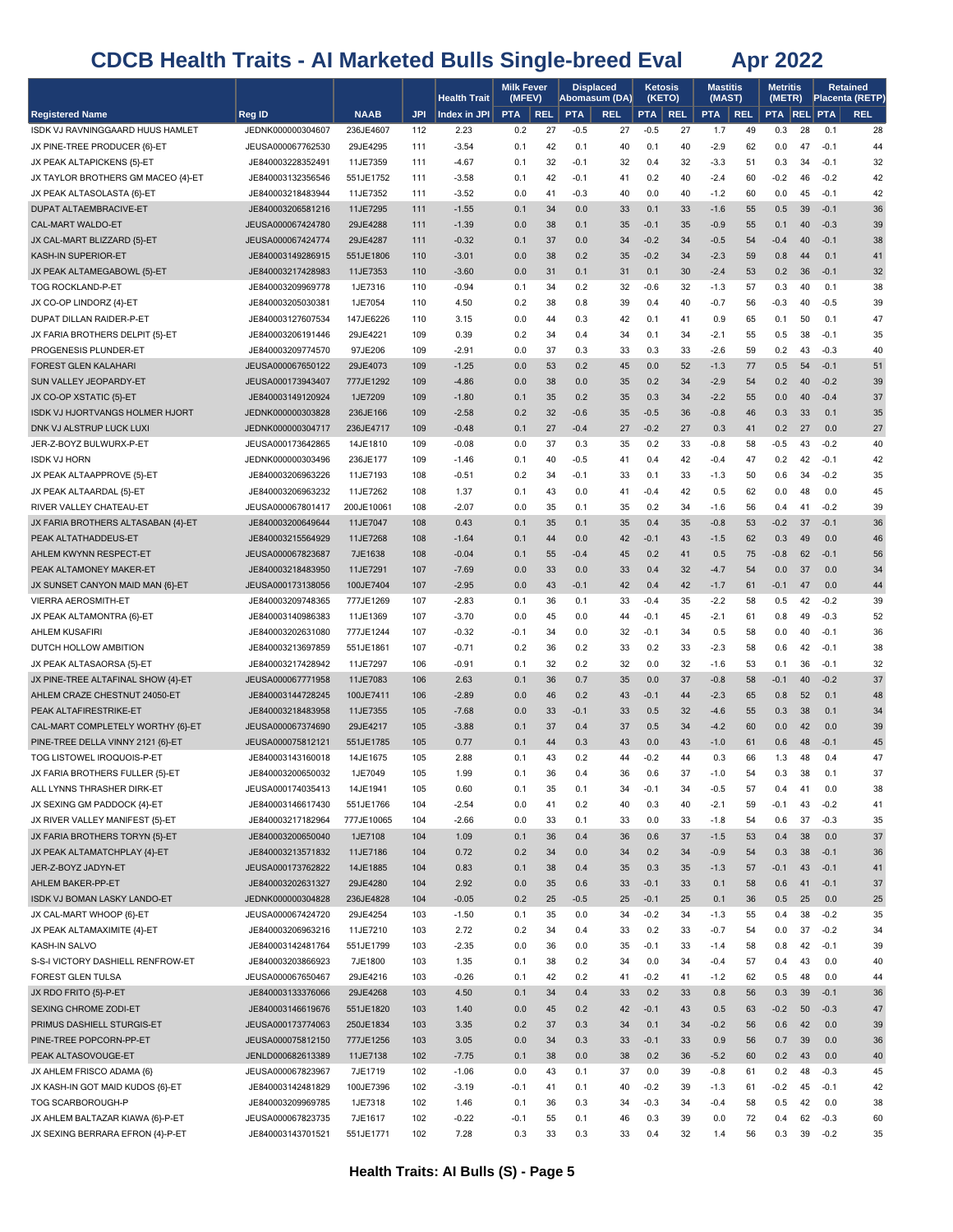|                                                                |                                        |                        |            | <b>Health Trait</b> | <b>Milk Fever</b><br>(MFEV) |            | <b>Displaced</b><br>Abomasum (DA) |            | <b>Ketosis</b><br>(KETO) |            | <b>Mastitis</b><br>(MAST) |            | Metritis<br>(METR) |          |                  | Retained<br><b>Placenta (RETP)</b> |
|----------------------------------------------------------------|----------------------------------------|------------------------|------------|---------------------|-----------------------------|------------|-----------------------------------|------------|--------------------------|------------|---------------------------|------------|--------------------|----------|------------------|------------------------------------|
| <b>Registered Name</b>                                         | Reg ID                                 | <b>NAAB</b>            | <b>JPI</b> | Index in JPI        | <b>PTA</b>                  | <b>REL</b> | <b>PTA</b>                        | <b>REL</b> | <b>PTA</b>               | <b>REL</b> | <b>PTA</b>                | <b>REL</b> | <b>PTA REL PTA</b> |          |                  | <b>REL</b>                         |
| ISDK VJ RAVNINGGAARD HUUS HAMLET                               | JEDNK000000304607                      | 236JE4607              | 112        | 2.23                | 0.2                         | 27         | $-0.5$                            | 27         | $-0.5$                   | 27         | 1.7                       | 49         | 0.3                | 28       | 0.1              | 28                                 |
| JX PINE-TREE PRODUCER {6}-ET                                   | JEUSA000067762530                      | 29JE4295               | 111        | $-3.54$             | 0.1                         | 42         | 0.1                               | 40         | 0.1                      | 40         | $-2.9$                    | 62         | 0.0                | 47       | $-0.1$           | 44                                 |
| JX PEAK ALTAPICKENS {5}-ET                                     | JE840003228352491                      | 11JE7359               | 111        | $-4.67$             | 0.1                         | 32         | -0.1                              | 32         | 0.4                      | 32         | $-3.3$                    | 51         | 0.3                | 34       | $-0.1$           | 32                                 |
| JX TAYLOR BROTHERS GM MACEO {4}-ET                             | JE840003132356546                      | 551JE1752              | 111        | $-3.58$             | 0.1                         | 42         | $-0.1$                            | 41         | 0.2                      | 40         | $-2.4$                    | 60         | $-0.2$             | 46       | $-0.2$           | 42                                 |
| JX PEAK ALTASOLASTA {6}-ET                                     | JE840003218483944                      | 11JE7352               | 111        | $-3.52$             | 0.0                         | 41         | $-0.3$                            | 40         | 0.0                      | 40         | $-1.2$                    | 60         | 0.0                | 45       | $-0.1$           | 42                                 |
| DUPAT ALTAEMBRACIVE-ET<br>CAL-MART WALDO-ET                    | JE840003206581216<br>JEUSA000067424780 | 11JE7295<br>29JE4288   | 111<br>111 | $-1.55$             | 0.1<br>0.0                  | 34<br>38   | 0.0<br>0.1                        | 33<br>35   | 0.1<br>$-0.1$            | 33<br>35   | $-1.6$<br>$-0.9$          | 55<br>55   | 0.5<br>0.1         | 39<br>40 | $-0.1$<br>$-0.3$ | 36<br>39                           |
| JX CAL-MART BLIZZARD {5}-ET                                    | JEUSA000067424774                      | 29JE4287               | 111        | $-1.39$<br>$-0.32$  | 0.1                         | 37         | 0.0                               | 34         | $-0.2$                   | 34         | $-0.5$                    | 54         | $-0.4$             | 40       | $-0.1$           | 38                                 |
| <b>KASH-IN SUPERIOR-ET</b>                                     | JE840003149286915                      | 551JE1806              | 110        | $-3.01$             | 0.0                         | 38         | 0.2                               | 35         | $-0.2$                   | 34         | $-2.3$                    | 59         | 0.8                | 44       | 0.1              | 41                                 |
| JX PEAK ALTAMEGABOWL {5}-ET                                    | JE840003217428983                      | 11JE7353               | 110        | $-3.60$             | 0.0                         | 31         | 0.1                               | 31         | 0.1                      | 30         | $-2.4$                    | 53         | 0.2                | 36       | $-0.1$           | 32                                 |
| TOG ROCKLAND-P-ET                                              | JE840003209969778                      | 1JE7316                | 110        | $-0.94$             | 0.1                         | 34         | 0.2                               | 32         | $-0.6$                   | 32         | $-1.3$                    | 57         | 0.3                | 40       | 0.1              | 38                                 |
| JX CO-OP LINDORZ {4}-ET                                        | JE840003205030381                      | 1JE7054                | 110        | 4.50                | 0.2                         | 38         | 0.8                               | 39         | 0.4                      | 40         | $-0.7$                    | 56         | $-0.3$             | 40       | $-0.5$           | 39                                 |
| DUPAT DILLAN RAIDER-P-ET                                       | JE840003127607534                      | 147JE6226              | 110        | 3.15                | 0.0                         | 44         | 0.3                               | 42         | 0.1                      | 41         | 0.9                       | 65         | 0.1                | 50       | 0.1              | 47                                 |
| JX FARIA BROTHERS DELPIT {5}-ET                                | JE840003206191446                      | 29JE4221               | 109        | 0.39                | 0.2                         | 34         | 0.4                               | 34         | 0.1                      | 34         | -2.1                      | 55         | 0.5                | 38       | $-0.1$           | 35                                 |
| PROGENESIS PLUNDER-ET                                          | JE840003209774570                      | 97JE206                | 109        | $-2.91$             | 0.0                         | 37         | 0.3                               | 33         | 0.3                      | 33         | $-2.6$                    | 59         | 0.2                | 43       | $-0.3$           | 40                                 |
| FOREST GLEN KALAHARI                                           | JEUSA000067650122                      | 29JE4073               | 109        | $-1.25$             | 0.0                         | 53         | 0.2                               | 45         | 0.0                      | 52         | $-1.3$                    | 77         | 0.5                | 54       | $-0.1$           | 51                                 |
| SUN VALLEY JEOPARDY-ET                                         | JEUSA000173943407                      | 777JE1292              | 109        | $-4.86$             | 0.0                         | 38         | 0.0                               | 35         | 0.2                      | 34         | $-2.9$                    | 54         | 0.2                | 40       | $-0.2$           | 39                                 |
| JX CO-OP XSTATIC {5}-ET                                        | JE840003149120924                      | 1JE7209                | 109        | $-1.80$             | 0.1                         | 35         | 0.2                               | 35         | 0.3                      | 34         | $-2.2$                    | 55         | 0.0                | 40       | $-0.4$           | 37                                 |
| ISDK VJ HJORTVANGS HOLMER HJORT<br>DNK VJ ALSTRUP LUCK LUXI    | JEDNK000000303828<br>JEDNK000000304717 | 236JE166<br>236JE4717  | 109<br>109 | $-2.58$<br>$-0.48$  | 0.2<br>0.1                  | 32<br>27   | $-0.6$<br>$-0.4$                  | 35<br>27   | $-0.5$<br>$-0.2$         | 36<br>27   | $-0.8$<br>0.3             | 46<br>41   | 0.3<br>0.2         | 33<br>27 | 0.1<br>0.0       | 35<br>27                           |
| JER-Z-BOYZ BULWURX-P-ET                                        | JEUSA000173642865                      | 14JE1810               | 109        | $-0.08$             | 0.0                         | 37         | 0.3                               | 35         | 0.2                      | 33         | -0.8                      | 58         | $-0.5$             | 43       | $-0.2$           | 40                                 |
| <b>ISDK VJ HORN</b>                                            | JEDNK000000303496                      | 236JE177               | 109        | $-1.46$             | 0.1                         | 40         | $-0.5$                            | 41         | 0.4                      | 42         | -0.4                      | 47         | 0.2                | 42       | $-0.1$           | 42                                 |
| JX PEAK ALTAAPPROVE {5}-ET                                     | JE840003206963226                      | 11JE7193               | 108        | $-0.51$             | 0.2                         | 34         | $-0.1$                            | 33         | 0.1                      | 33         | $-1.3$                    | 50         | 0.6                | 34       | $-0.2$           | 35                                 |
| JX PEAK ALTAARDAL {5}-ET                                       | JE840003206963232                      | 11JE7262               | 108        | 1.37                | 0.1                         | 43         | 0.0                               | 41         | $-0.4$                   | 42         | 0.5                       | 62         | 0.0                | 48       | 0.0              | 45                                 |
| RIVER VALLEY CHATEAU-ET                                        | JEUSA000067801417                      | 200JE10061             | 108        | $-2.07$             | 0.0                         | 35         | 0.1                               | 35         | 0.2                      | 34         | -1.6                      | 56         | 0.4                | 41       | $-0.2$           | 39                                 |
| JX FARIA BROTHERS ALTASABAN {4}-ET                             | JE840003200649644                      | 11JE7047               | 108        | 0.43                | 0.1                         | 35         | 0.1                               | 35         | 0.4                      | 35         | $-0.8$                    | 53         | $-0.2$             | 37       | $-0.1$           | 36                                 |
| PEAK ALTATHADDEUS-ET                                           | JE840003215564929                      | 11JE7268               | 108        | $-1.64$             | 0.1                         | 44         | 0.0                               | 42         | $-0.1$                   | 43         | $-1.5$                    | 62         | 0.3                | 49       | 0.0              | 46                                 |
| AHLEM KWYNN RESPECT-ET                                         | JEUSA000067823687                      | 7JE1638                | 108        | $-0.04$             | 0.1                         | 55         | $-0.4$                            | 45         | 0.2                      | 41         | 0.5                       | 75         | $-0.8$             | 62       | $-0.1$           | 56                                 |
| PEAK ALTAMONEY MAKER-ET                                        | JE840003218483950                      | 11JE7291               | 107        | $-7.69$             | 0.0                         | 33         | 0.0                               | 33         | 0.4                      | 32         | $-4.7$                    | 54         | 0.0                | 37       | 0.0              | 34                                 |
| JX SUNSET CANYON MAID MAN {6}-ET                               | JEUSA000173138056                      | 100JE7404              | 107        | $-2.95$             | 0.0                         | 43         | $-0.1$                            | 42         | 0.4                      | 42         | $-1.7$                    | 61         | $-0.1$             | 47       | 0.0              | 44                                 |
| <b>VIERRA AEROSMITH-ET</b>                                     | JE840003209748365                      | 777JE1269              | 107        | $-2.83$             | 0.1                         | 36         | 0.1                               | 33         | $-0.4$                   | 35         | $-2.2$                    | 58         | 0.5                | 42       | $-0.2$           | 39                                 |
| JX PEAK ALTAMONTRA {6}-ET                                      | JE840003140986383                      | 11JE1369               | 107        | $-3.70$             | 0.0                         | 45         | 0.0<br>0.0                        | 44         | -0.1<br>$-0.1$           | 45<br>34   | -2.1                      | 61         | 0.8                | 49       | $-0.3$           | 52                                 |
| AHLEM KUSAFIRI<br>DUTCH HOLLOW AMBITION                        | JE840003202631080<br>JE840003213697859 | 777JE1244<br>551JE1861 | 107<br>107 | $-0.32$<br>$-0.71$  | -0.1<br>0.2                 | 34<br>36   | 0.2                               | 32<br>33   | 0.2                      | 33         | 0.5<br>$-2.3$             | 58<br>58   | 0.0<br>0.6         | 40<br>42 | $-0.1$<br>$-0.1$ | 36<br>38                           |
| JX PEAK ALTASAORSA {5}-ET                                      | JE840003217428942                      | 11JE7297               | 106        | $-0.91$             | 0.1                         | 32         | 0.2                               | 32         | 0.0                      | 32         | $-1.6$                    | 53         | 0.1                | 36       | $-0.1$           | 32                                 |
| JX PINE-TREE ALTAFINAL SHOW {4}-ET                             | JEUSA000067771958                      | 11JE7083               | 106        | 2.63                | 0.1                         | 36         | 0.7                               | 35         | 0.0                      | 37         | $-0.8$                    | 58         | $-0.1$             | 40       | $-0.2$           | 37                                 |
| AHLEM CRAZE CHESTNUT 24050-ET                                  | JE840003144728245                      | 100JE7411              | 106        | $-2.89$             | 0.0                         | 46         | 0.2                               | 43         | $-0.1$                   | 44         | $-2.3$                    | 65         | 0.8                | 52       | 0.1              | 48                                 |
| PEAK ALTAFIRESTRIKE-ET                                         | JE840003218483958                      | 11JE7355               | 105        | $-7.68$             | 0.0                         | 33         | $-0.1$                            | 33         | 0.5                      | 32         | $-4.6$                    | 55         | 0.3                | 38       | 0.1              | 34                                 |
| CAL-MART COMPLETELY WORTHY {6}-ET                              | JEUSA000067374690                      | 29JE4217               | 105        | $-3.88$             | 0.1                         | 37         | 0.4                               | 37         | 0.5                      | 34         | $-4.2$                    | 60         | 0.0                | 42       | 0.0              | 39                                 |
| PINE-TREE DELLA VINNY 2121 {6}-ET                              | JEUSA000075812121                      | 551JE1785              | 105        | 0.77                | 0.1                         | 44         | 0.3                               | 43         | 0.0                      | 43         | $-1.0$                    | 61         | 0.6                | 48       | $-0.1$           | 45                                 |
| TOG LISTOWEL IROQUOIS-P-ET                                     | JE840003143160018                      | 14JE1675               | 105        | 2.88                | 0.1                         | 43         | 0.2                               | 44         | $-0.2$                   | 44         | 0.3                       | 66         | 1.3                | 48       | 0.4              | 47                                 |
| JX FARIA BROTHERS FULLER {5}-ET                                | JE840003200650032                      | 1JE7049                | 105        | 1.99                | 0.1                         | 36         | 0.4                               | 36         | 0.6                      | 37         | $-1.0$                    | 54         | 0.3                | 38       | 0.1              | 37                                 |
| ALL LYNNS THRASHER DIRK-ET                                     | JEUSA000174035413                      | 14JE1941               | 105        | 0.60                | 0.1                         | 35         | 0.1                               | 34         | $-0.1$                   | 34         | $-0.5$                    | 57         | 0.4                | 41       | 0.0              | 38                                 |
| JX SEXING GM PADDOCK {4}-ET<br>JX RIVER VALLEY MANIFEST {5}-ET | JE840003146617430                      | 551JE1766              | 104<br>104 | $-2.54$             | 0.0                         | 41<br>33   | 0.2<br>0.1                        | 40         | 0.3<br>0.0               | 40<br>33   | $-2.1$<br>$-1.8$          | 59<br>54   | $-0.1$<br>0.6      | 43<br>37 | $-0.2$<br>$-0.3$ | 41                                 |
| JX FARIA BROTHERS TORYN {5}-ET                                 | JE840003217182964<br>JE840003200650040 | 777JE10065<br>1JE7108  | 104        | $-2.66$<br>1.09     | 0.0<br>0.1                  | 36         | 0.4                               | 33<br>36   | 0.6                      | 37         | $-1.5$                    | 53         | 0.4                | 38       | 0.0              | 35<br>37                           |
| JX PEAK ALTAMATCHPLAY {4}-ET                                   | JE840003213571832                      | 11JE7186               | 104        | 0.72                | 0.2                         | 34         | 0.0                               | 34         | 0.2                      | 34         | $-0.9$                    | 54         | 0.3                | 38       | $-0.1$           | 36                                 |
| JER-Z-BOYZ JADYN-ET                                            | JEUSA000173762822                      | 14JE1885               | 104        | 0.83                | 0.1                         | 38         | 0.4                               | 35         | 0.3                      | 35         | $-1.3$                    | 57         | $-0.1$             | 43       | $-0.1$           | 41                                 |
| AHLEM BAKER-PP-ET                                              | JE840003202631327                      | 29JE4280               | 104        | 2.92                | 0.0                         | 35         | 0.6                               | 33         | $-0.1$                   | 33         | 0.1                       | 58         | 0.6                | 41       | $-0.1$           | 37                                 |
| ISDK VJ BOMAN LASKY LANDO-ET                                   | JEDNK000000304828                      | 236JE4828              | 104        | $-0.05$             | 0.2                         | 25         | $-0.5$                            | 25         | $-0.1$                   | 25         | 0.1                       | 36         | 0.5                | 25       | 0.0              | 25                                 |
| JX CAL-MART WHOOP {6}-ET                                       | JEUSA000067424720                      | 29JE4254               | 103        | $-1.50$             | 0.1                         | 35         | 0.0                               | 34         | $-0.2$                   | 34         | $-1.3$                    | 55         | 0.4                | 38       | $-0.2$           | 35                                 |
| JX PEAK ALTAMAXIMITE {4}-ET                                    | JE840003206963216                      | 11JE7210               | 103        | 2.72                | 0.2                         | 34         | 0.4                               | 33         | 0.2                      | 33         | $-0.7$                    | 54         | 0.0                | 37       | $-0.2$           | 34                                 |
| KASH-IN SALVO                                                  | JE840003142481764                      | 551JE1799              | 103        | $-2.35$             | 0.0                         | 36         | 0.0                               | 35         | $-0.1$                   | 33         | $-1.4$                    | 58         | 0.8                | 42       | $-0.1$           | 39                                 |
| S-S-I VICTORY DASHIELL RENFROW-ET                              | JE840003203866923                      | 7JE1800                | 103        | 1.35                | 0.1                         | 38         | 0.2                               | 34         | 0.0                      | 34         | $-0.4$                    | 57         | 0.4                | 43       | 0.0              | 40                                 |
| FOREST GLEN TULSA                                              | JEUSA000067650467                      | 29JE4216               | 103        | $-0.26$             | 0.1                         | 42         | 0.2                               | 41         | $-0.2$                   | 41         | $-1.2$                    | 62         | 0.5                | 48       | 0.0              | 44                                 |
| JX RDO FRITO {5}-P-ET                                          | JE840003133376066                      | 29JE4268               | 103        | 4.50                | 0.1                         | 34         | 0.4                               | 33         | 0.2                      | 33         | 0.8                       | 56         | 0.3                | 39       | $-0.1$           | 36                                 |
| SEXING CHROME ZODI-ET                                          | JE840003146619676                      | 551JE1820              | 103<br>103 | 1.40                | 0.0                         | 45<br>37   | 0.2                               | 42         | $-0.1$<br>0.1            | 43<br>34   | 0.5                       | 63         | $-0.2$             | 50<br>42 | $-0.3$<br>0.0    | 47                                 |
| PRIMUS DASHIELL STURGIS-ET<br>PINE-TREE POPCORN-PP-ET          | JEUSA000173774063<br>JEUSA000075812150 | 250JE1834<br>777JE1256 | 103        | 3.35<br>3.05        | 0.2<br>0.0                  | 34         | 0.3<br>0.3                        | 34<br>33   | $-0.1$                   | 33         | $-0.2$<br>0.9             | 56<br>56   | 0.6<br>0.7         | 39       | 0.0              | 39<br>36                           |
| PEAK ALTASOVOUGE-ET                                            | JENLD000682613389                      | 11JE7138               | 102        | $-7.75$             | 0.1                         | 38         | 0.0                               | 38         | 0.2                      | 36         | $-5.2$                    | 60         | 0.2                | 43       | 0.0              | 40                                 |
| JX AHLEM FRISCO ADAMA {6}                                      | JEUSA000067823967                      | 7JE1719                | 102        | $-1.06$             | 0.0                         | 43         | 0.1                               | 37         | 0.0                      | 39         | $-0.8$                    | 61         | 0.2                | 48       | $-0.3$           | 45                                 |
| JX KASH-IN GOT MAID KUDOS {6}-ET                               | JE840003142481829                      | 100JE7396              | 102        | $-3.19$             | $-0.1$                      | 41         | 0.1                               | 40         | $-0.2$                   | 39         | $-1.3$                    | 61         | $-0.2$             | 45       | $-0.1$           | 42                                 |
| TOG SCARBOROUGH-P                                              | JE840003209969785                      | 1JE7318                | 102        | 1.46                | 0.1                         | 36         | 0.3                               | 34         | $-0.3$                   | 34         | $-0.4$                    | 58         | 0.5                | 42       | 0.0              | 38                                 |
| JX AHLEM BALTAZAR KIAWA {6}-P-ET                               | JEUSA000067823735                      | 7JE1617                | 102        | $-0.22$             | $-0.1$                      | 55         | 0.1                               | 46         | 0.3                      | 39         | 0.0                       | 72         | 0.4                | 62       | $-0.3$           | 60                                 |
| JX SEXING BERRARA EFRON {4}-P-ET                               | JE840003143701521                      | 551JE1771              | 102        | 7.28                | 0.3                         | 33         | 0.3                               | 33         | 0.4                      | 32         | 1.4                       | 56         | 0.3                | 39       | $-0.2$           | 35                                 |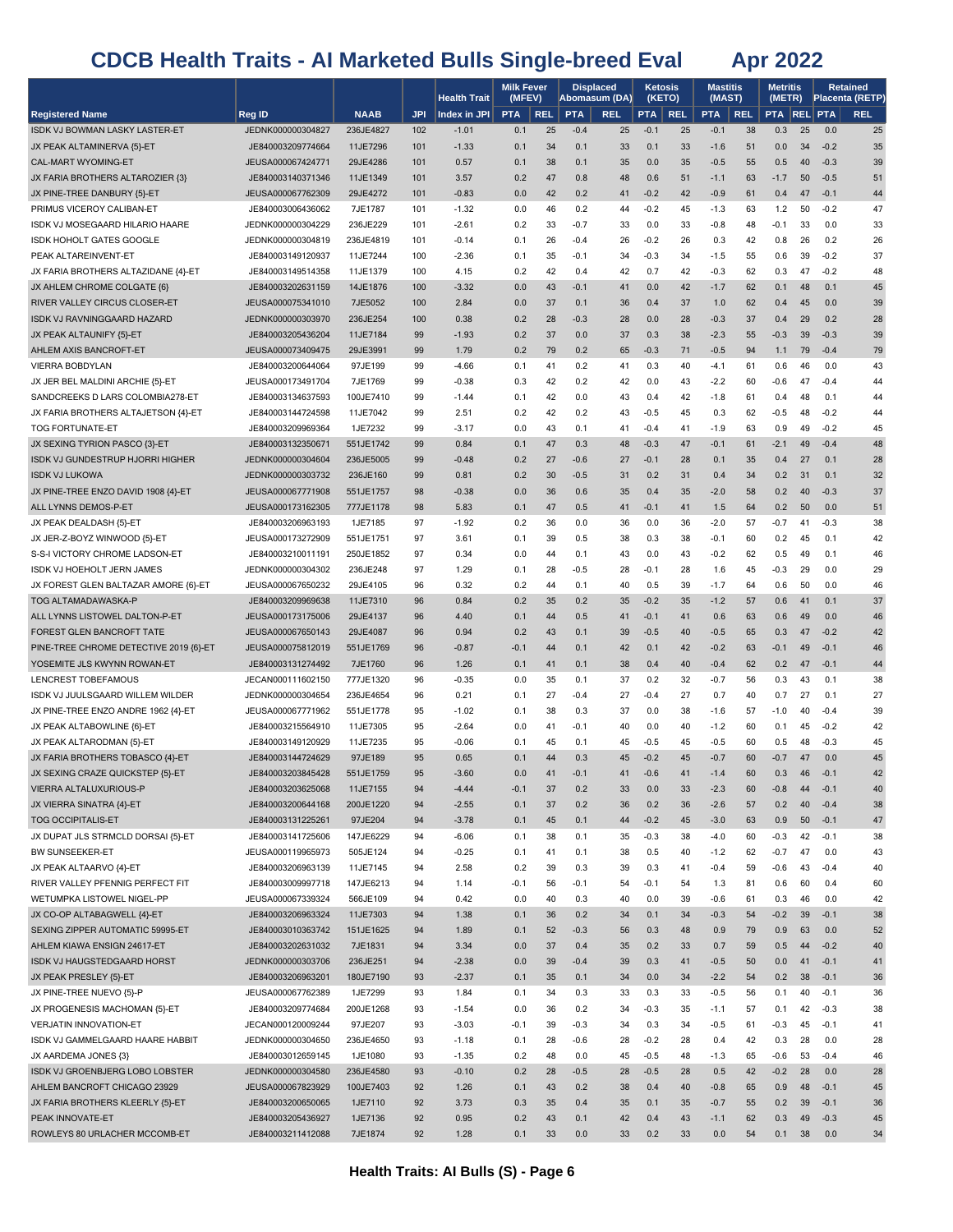|                                                                     |                                        |                       |            | <b>Health Trait</b> | <b>Milk Fever</b><br>(MFEV) |            | <b>Displaced</b> | Abomasum (DA) | <b>Ketosis</b><br>(KETO) |            | Mastitis<br>(MAST) |            | Metritis<br>(METR) |          |                  | Retained<br><b>Placenta (RETP)</b> |
|---------------------------------------------------------------------|----------------------------------------|-----------------------|------------|---------------------|-----------------------------|------------|------------------|---------------|--------------------------|------------|--------------------|------------|--------------------|----------|------------------|------------------------------------|
| <b>Registered Name</b>                                              | Reg ID                                 | <b>NAAB</b>           | JPI        | Index in JPI        | <b>PTA</b>                  | <b>REL</b> | <b>PTA</b>       | <b>REL</b>    | PTA                      | <b>REL</b> | <b>PTA</b>         | <b>REL</b> | <b>PTA REL PTA</b> |          |                  | <b>REL</b>                         |
| ISDK VJ BOWMAN LASKY LASTER-ET                                      | JEDNK000000304827                      | 236JE4827             | 102        | $-1.01$             | 0.1                         | 25         | $-0.4$           | 25            | $-0.1$                   | 25         | $-0.1$             | 38         | 0.3                | 25       | 0.0              | 25                                 |
| JX PEAK ALTAMINERVA {5}-ET                                          | JE840003209774664                      | 11JE7296              | 101        | $-1.33$             | 0.1                         | 34         | 0.1              | 33            | 0.1                      | 33         | $-1.6$             | 51         | 0.0                | 34       | $-0.2$           | 35                                 |
| CAL-MART WYOMING-ET                                                 | JEUSA000067424771                      | 29JE4286              | 101        | 0.57                | 0.1                         | 38         | 0.1              | 35            | 0.0                      | 35         | $-0.5$             | 55         | 0.5                | 40       | $-0.3$           | 39                                 |
| JX FARIA BROTHERS ALTAROZIER {3}                                    | JE840003140371346                      | 11JE1349              | 101        | 3.57                | 0.2                         | 47         | 0.8              | 48            | 0.6                      | 51         | $-1.1$             | 63         | $-1.7$             | 50       | $-0.5$           | 51                                 |
| JX PINE-TREE DANBURY {5}-ET                                         | JEUSA000067762309                      | 29JE4272              | 101        | $-0.83$             | 0.0                         | 42         | 0.2              | 41            | $-0.2$                   | 42         | $-0.9$             | 61         | 0.4                | 47       | $-0.1$           | 44                                 |
| PRIMUS VICEROY CALIBAN-ET                                           | JE840003006436062                      | 7JE1787               | 101        | $-1.32$             | 0.0                         | 46         | 0.2              | 44            | $-0.2$                   | 45         | $-1.3$             | 63         | $1.2$              | 50       | $-0.2$           | 47                                 |
| ISDK VJ MOSEGAARD HILARIO HAARE                                     | JEDNK000000304229                      | 236JE229              | 101        | $-2.61$             | 0.2                         | 33         | $-0.7$           | 33            | 0.0                      | 33         | -0.8               | 48         | $-0.1$             | 33       | 0.0              | 33                                 |
| ISDK HOHOLT GATES GOOGLE                                            | JEDNK000000304819                      | 236JE4819             | 101        | $-0.14$             | 0.1                         | 26         | $-0.4$           | 26            | $-0.2$                   | 26         | 0.3                | 42         | 0.8                | 26       | 0.2              | 26                                 |
| PEAK ALTAREINVENT-ET                                                | JE840003149120937                      | 11JE7244              | 100        | $-2.36$<br>4.15     | 0.1<br>0.2                  | 35<br>42   | -0.1<br>0.4      | 34<br>42      | $-0.3$<br>0.7            | 34<br>42   | -1.5<br>$-0.3$     | 55<br>62   | 0.6<br>0.3         | 39       | $-0.2$<br>$-0.2$ | 37<br>48                           |
| JX FARIA BROTHERS ALTAZIDANE {4}-ET<br>JX AHLEM CHROME COLGATE {6}  | JE840003149514358<br>JE840003202631159 | 11JE1379<br>14JE1876  | 100<br>100 | $-3.32$             | 0.0                         | 43         | $-0.1$           | 41            | 0.0                      | 42         | $-1.7$             | 62         | 0.1                | 47<br>48 | 0.1              | 45                                 |
| RIVER VALLEY CIRCUS CLOSER-ET                                       | JEUSA000075341010                      | 7JE5052               | 100        | 2.84                | 0.0                         | 37         | 0.1              | 36            | 0.4                      | 37         | 1.0                | 62         | 0.4                | 45       | 0.0              | 39                                 |
| ISDK VJ RAVNINGGAARD HAZARD                                         | JEDNK000000303970                      | 236JE254              | 100        | 0.38                | 0.2                         | 28         | $-0.3$           | 28            | 0.0                      | 28         | $-0.3$             | 37         | 0.4                | 29       | 0.2              | 28                                 |
| JX PEAK ALTAUNIFY {5}-ET                                            | JE840003205436204                      | 11JE7184              | 99         | $-1.93$             | 0.2                         | 37         | 0.0              | 37            | 0.3                      | 38         | $-2.3$             | 55         | $-0.3$             | 39       | $-0.3$           | 39                                 |
| AHLEM AXIS BANCROFT-ET                                              | JEUSA000073409475                      | 29JE3991              | 99         | 1.79                | 0.2                         | 79         | 0.2              | 65            | $-0.3$                   | 71         | $-0.5$             | 94         | 1.1                | 79       | $-0.4$           | 79                                 |
| <b>VIERRA BOBDYLAN</b>                                              | JE840003200644064                      | 97JE199               | 99         | $-4.66$             | 0.1                         | 41         | 0.2              | 41            | 0.3                      | 40         | -4.1               | 61         | 0.6                | 46       | 0.0              | 43                                 |
| JX JER BEL MALDINI ARCHIE {5}-ET                                    | JEUSA000173491704                      | 7JE1769               | 99         | $-0.38$             | 0.3                         | 42         | 0.2              | 42            | 0.0                      | 43         | $-2.2$             | 60         | $-0.6$             | 47       | $-0.4$           | 44                                 |
| SANDCREEKS D LARS COLOMBIA278-ET                                    | JE840003134637593                      | 100JE7410             | 99         | $-1.44$             | 0.1                         | 42         | 0.0              | 43            | 0.4                      | 42         | $-1.8$             | 61         | 0.4                | 48       | 0.1              | 44                                 |
| JX FARIA BROTHERS ALTAJETSON {4}-ET                                 | JE840003144724598                      | 11JE7042              | 99         | 2.51                | 0.2                         | 42         | 0.2              | 43            | $-0.5$                   | 45         | 0.3                | 62         | $-0.5$             | 48       | $-0.2$           | 44                                 |
| <b>TOG FORTUNATE-ET</b>                                             | JE840003209969364                      | 1JE7232               | 99         | $-3.17$             | 0.0                         | 43         | 0.1              | 41            | $-0.4$                   | 41         | -1.9               | 63         | 0.9                | 49       | $-0.2$           | 45                                 |
| JX SEXING TYRION PASCO {3}-ET                                       | JE840003132350671                      | 551JE1742             | 99         | 0.84                | 0.1                         | 47         | 0.3              | 48            | $-0.3$                   | 47         | $-0.1$             | 61         | $-2.1$             | 49       | $-0.4$           | 48                                 |
| ISDK VJ GUNDESTRUP HJORRI HIGHER                                    | JEDNK000000304604                      | 236JE5005             | 99         | $-0.48$             | 0.2                         | 27         | $-0.6$           | 27            | $-0.1$                   | 28         | 0.1                | 35         | 0.4                | 27       | 0.1              | 28                                 |
| <b>ISDK VJ LUKOWA</b>                                               | JEDNK000000303732                      | 236JE160              | 99         | 0.81                | 0.2                         | 30         | $-0.5$           | 31            | 0.2                      | 31         | 0.4                | 34         | 0.2                | 31       | 0.1              | 32                                 |
| JX PINE-TREE ENZO DAVID 1908 {4}-ET                                 | JEUSA000067771908                      | 551JE1757             | 98         | $-0.38$             | 0.0                         | 36         | 0.6              | 35            | 0.4                      | 35         | $-2.0$             | 58         | 0.2                | 40       | $-0.3$           | 37                                 |
| ALL LYNNS DEMOS-P-ET                                                | JEUSA000173162305                      | 777JE1178             | 98         | 5.83                | 0.1                         | 47         | 0.5              | 41            | $-0.1$                   | 41         | 1.5                | 64         | 0.2                | 50       | 0.0              | 51                                 |
| JX PEAK DEALDASH {5}-ET                                             | JE840003206963193                      | 1JE7185               | 97         | $-1.92$             | 0.2                         | 36         | 0.0              | 36            | 0.0                      | 36         | $-2.0$             | 57         | $-0.7$             | 41       | $-0.3$           | 38                                 |
| JX JER-Z-BOYZ WINWOOD {5}-ET                                        | JEUSA000173272909                      | 551JE1751             | 97         | 3.61                | 0.1                         | 39         | 0.5              | 38            | 0.3                      | 38         | -0.1               | 60         | 0.2                | 45       | 0.1              | 42                                 |
| S-S-I VICTORY CHROME LADSON-ET                                      | JE840003210011191                      | 250JE1852             | 97         | 0.34                | 0.0                         | 44         | 0.1              | 43            | 0.0                      | 43         | $-0.2$             | 62         | 0.5                | 49       | 0.1              | 46                                 |
| <b>ISDK VJ HOEHOLT JERN JAMES</b>                                   | JEDNK000000304302                      | 236JE248              | 97         | 1.29                | 0.1                         | 28         | $-0.5$           | 28            | $-0.1$                   | 28         | 1.6                | 45         | $-0.3$             | 29       | 0.0              | 29                                 |
| JX FOREST GLEN BALTAZAR AMORE {6}-ET                                | JEUSA000067650232                      | 29JE4105              | 96         | 0.32                | 0.2                         | 44         | 0.1              | 40            | 0.5                      | 39         | $-1.7$             | 64         | 0.6                | 50       | 0.0              | 46                                 |
| TOG ALTAMADAWASKA-P                                                 | JE840003209969638                      | 11JE7310              | 96         | 0.84                | 0.2                         | 35         | 0.2              | 35            | $-0.2$                   | 35         | $-1.2$             | 57         | 0.6                | 41       | 0.1              | 37                                 |
| ALL LYNNS LISTOWEL DALTON-P-ET                                      | JEUSA000173175006                      | 29JE4137              | 96         | 4.40                | 0.1                         | 44         | 0.5              | 41            | $-0.1$                   | 41         | 0.6                | 63         | 0.6                | 49       | 0.0              | 46                                 |
| FOREST GLEN BANCROFT TATE<br>PINE-TREE CHROME DETECTIVE 2019 {6}-ET | JEUSA000067650143<br>JEUSA000075812019 | 29JE4087<br>551JE1769 | 96<br>96   | 0.94<br>$-0.87$     | 0.2<br>$-0.1$               | 43<br>44   | 0.1<br>0.1       | 39<br>42      | $-0.5$<br>0.1            | 40<br>42   | $-0.5$<br>$-0.2$   | 65<br>63   | 0.3<br>$-0.1$      | 47<br>49 | $-0.2$<br>$-0.1$ | 42<br>46                           |
| YOSEMITE JLS KWYNN ROWAN-ET                                         | JE840003131274492                      | 7JE1760               | 96         | 1.26                | 0.1                         | 41         | 0.1              | 38            | 0.4                      | 40         | $-0.4$             | 62         | 0.2                | 47       | $-0.1$           | 44                                 |
| LENCREST TOBEFAMOUS                                                 | JECAN000111602150                      | 777JE1320             | 96         | $-0.35$             | 0.0                         | 35         | 0.1              | 37            | 0.2                      | 32         | $-0.7$             | 56         | 0.3                | 43       | 0.1              | 38                                 |
| ISDK VJ JUULSGAARD WILLEM WILDER                                    | JEDNK000000304654                      | 236JE4654             | 96         | 0.21                | 0.1                         | 27         | $-0.4$           | 27            | $-0.4$                   | 27         | 0.7                | 40         | 0.7                | 27       | 0.1              | 27                                 |
| JX PINE-TREE ENZO ANDRE 1962 {4}-ET                                 | JEUSA000067771962                      | 551JE1778             | 95         | $-1.02$             | 0.1                         | 38         | 0.3              | 37            | 0.0                      | 38         | $-1.6$             | 57         | $-1.0$             | 40       | $-0.4$           | 39                                 |
| JX PEAK ALTABOWLINE {6}-ET                                          | JE840003215564910                      | 11JE7305              | 95         | $-2.64$             | 0.0                         | 41         | -0.1             | 40            | 0.0                      | 40         | $-1.2$             | 60         | 0.1                | 45       | $-0.2$           | 42                                 |
| JX PEAK ALTARODMAN {5}-ET                                           | JE840003149120929                      | 11JE7235              | 95         | $-0.06$             | 0.1                         | 45         | 0.1              | 45            | $-0.5$                   | 45         | $-0.5$             | 60         | 0.5                | 48       | $-0.3$           | 45                                 |
| JX FARIA BROTHERS TOBASCO {4}-ET                                    | JE840003144724629                      | 97JE189               | 95         | 0.65                | 0.1                         | 44         | 0.3              | 45            | $-0.2$                   | 45         | $-0.7$             | 60         | $-0.7$             | 47       | 0.0              | 45                                 |
| JX SEXING CRAZE QUICKSTEP {5}-ET                                    | JE840003203845428                      | 551JE1759             | 95         | $-3.60$             | 0.0                         | 41         | $-0.1$           | 41            | $-0.6$                   | 41         | $-1.4$             | 60         | 0.3                | 46       | $-0.1$           | 42                                 |
| VIERRA ALTALUXURIOUS-P                                              | JE840003203625068                      | 11JE7155              | 94         | $-4.44$             | $-0.1$                      | 37         | 0.2              | 33            | 0.0                      | 33         | $-2.3$             | 60         | $-0.8$             | 44       | $-0.1$           | 40                                 |
| JX VIERRA SINATRA {4}-ET                                            | JE840003200644168                      | 200JE1220             | 94         | $-2.55$             | 0.1                         | 37         | 0.2              | 36            | 0.2                      | 36         | $-2.6$             | 57         | 0.2                | 40       | $-0.4$           | 38                                 |
| <b>TOG OCCIPITALIS-ET</b>                                           | JE840003131225261                      | 97JE204               | 94         | $-3.78$             | 0.1                         | 45         | 0.1              | 44            | $-0.2$                   | 45         | $-3.0$             | 63         | 0.9                | 50       | $-0.1$           | 47                                 |
| JX DUPAT JLS STRMCLD DORSAI {5}-ET                                  | JE840003141725606                      | 147JE6229             | 94         | $-6.06$             | 0.1                         | 38         | 0.1              | 35            | $-0.3$                   | 38         | $-4.0$             | 60         | $-0.3$             | 42       | $-0.1$           | 38                                 |
| BW SUNSEEKER-ET                                                     | JEUSA000119965973                      | 505JE124              | 94         | $-0.25$             | 0.1                         | 41         | 0.1              | 38            | 0.5                      | 40         | $-1.2$             | 62         | $-0.7$             | 47       | 0.0              | 43                                 |
| JX PEAK ALTAARVO {4}-ET                                             | JE840003206963139                      | 11JE7145              | 94         | 2.58                | 0.2                         | 39         | 0.3              | 39            | 0.3                      | 41         | -0.4               | 59         | $-0.6$             | 43       | $-0.4$           | 40                                 |
| RIVER VALLEY PFENNIG PERFECT FIT                                    | JE840003009997718                      | 147JE6213             | 94         | 1.14                | -0.1                        | 56         | -0.1             | 54            | $-0.1$                   | 54         | 1.3                | 81         | 0.6                | 60       | 0.4              | 60                                 |
| WETUMPKA LISTOWEL NIGEL-PP                                          | JEUSA000067339324                      | 566JE109              | 94         | 0.42                | 0.0                         | 40         | 0.3              | 40            | 0.0                      | 39         | -0.6               | 61         | 0.3                | 46       | 0.0              | 42                                 |
| JX CO-OP ALTABAGWELL {4}-ET                                         | JE840003206963324                      | 11JE7303              | 94         | 1.38                | 0.1                         | 36         | 0.2              | 34            | 0.1                      | 34         | $-0.3$             | 54         | $-0.2$             | 39       | $-0.1$<br>0.0    | 38                                 |
| SEXING ZIPPER AUTOMATIC 59995-ET<br>AHLEM KIAWA ENSIGN 24617-ET     | JE840003010363742<br>JE840003202631032 | 151JE1625<br>7JE1831  | 94<br>94   | 1.89<br>3.34        | 0.1<br>0.0                  | 52<br>37   | $-0.3$<br>0.4    | 56<br>35      | 0.3<br>0.2               | 48<br>33   | 0.9<br>0.7         | 79<br>59   | 0.9<br>0.5         | 63<br>44 | $-0.2$           | 52<br>40                           |
| ISDK VJ HAUGSTEDGAARD HORST                                         | JEDNK000000303706                      | 236JE251              | 94         | $-2.38$             | 0.0                         | 39         | $-0.4$           | 39            | 0.3                      | 41         | $-0.5$             | 50         | 0.0                | 41       | $-0.1$           | 41                                 |
| JX PEAK PRESLEY {5}-ET                                              | JE840003206963201                      | 180JE7190             | 93         | $-2.37$             | 0.1                         | 35         | 0.1              | 34            | 0.0                      | 34         | $-2.2$             | 54         | 0.2                | 38       | $-0.1$           | 36                                 |
| JX PINE-TREE NUEVO {5}-P                                            | JEUSA000067762389                      | 1JE7299               | 93         | 1.84                | 0.1                         | 34         | 0.3              | 33            | 0.3                      | 33         | -0.5               | 56         | 0.1                | 40       | $-0.1$           | 36                                 |
| JX PROGENESIS MACHOMAN {5}-ET                                       | JE840003209774684                      | 200JE1268             | 93         | $-1.54$             | 0.0                         | 36         | 0.2              | 34            | $-0.3$                   | 35         | $-1.1$             | 57         | 0.1                | 42       | $-0.3$           | 38                                 |
| VERJATIN INNOVATION-ET                                              | JECAN000120009244                      | 97JE207               | 93         | $-3.03$             | $-0.1$                      | 39         | $-0.3$           | 34            | 0.3                      | 34         | $-0.5$             | 61         | $-0.3$             | 45       | $-0.1$           | 41                                 |
| ISDK VJ GAMMELGAARD HAARE HABBIT                                    | JEDNK000000304650                      | 236JE4650             | 93         | $-1.18$             | 0.1                         | 28         | -0.6             | 28            | $-0.2$                   | 28         | 0.4                | 42         | 0.3                | 28       | 0.0              | 28                                 |
| JX AARDEMA JONES {3}                                                | JE840003012659145                      | 1JE1080               | 93         | $-1.35$             | 0.2                         | 48         | 0.0              | 45            | $-0.5$                   | 48         | $-1.3$             | 65         | $-0.6$             | 53       | $-0.4$           | 46                                 |
| ISDK VJ GROENBJERG LOBO LOBSTER                                     | JEDNK000000304580                      | 236JE4580             | 93         | $-0.10$             | 0.2                         | 28         | $-0.5$           | 28            | $-0.5$                   | 28         | 0.5                | 42         | $-0.2$             | 28       | 0.0              | 28                                 |
| AHLEM BANCROFT CHICAGO 23929                                        | JEUSA000067823929                      | 100JE7403             | 92         | 1.26                | 0.1                         | 43         | 0.2              | 38            | 0.4                      | 40         | $-0.8$             | 65         | 0.9                | 48       | $-0.1$           | 45                                 |
| JX FARIA BROTHERS KLEERLY {5}-ET                                    | JE840003200650065                      | 1JE7110               | 92         | 3.73                | 0.3                         | 35         | 0.4              | 35            | 0.1                      | 35         | $-0.7$             | 55         | 0.2                | 39       | $-0.1$           | 36                                 |
| PEAK INNOVATE-ET                                                    | JE840003205436927                      | 1JE7136               | 92         | 0.95                | 0.2                         | 43         | 0.1              | 42            | 0.4                      | 43         | $-1.1$             | 62         | 0.3                | 49       | $-0.3$           | 45                                 |
| ROWLEYS 80 URLACHER MCCOMB-ET                                       | JE840003211412088                      | 7JE1874               | 92         | 1.28                | 0.1                         | 33         | 0.0              | 33            | 0.2                      | 33         | 0.0                | 54         | 0.1                | 38       | 0.0              | 34                                 |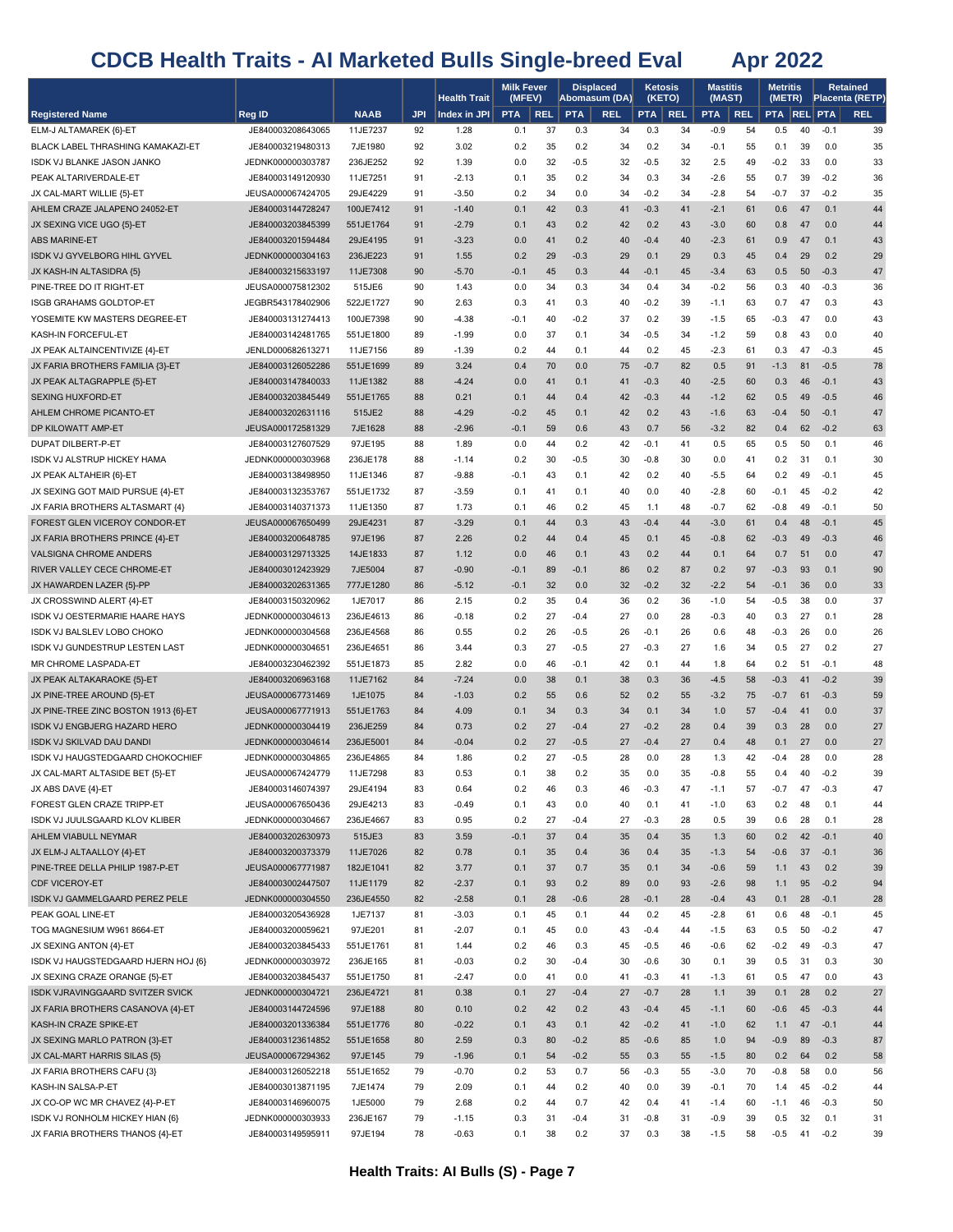|                                                                  |                                        |                      |            | <b>Health Trait</b> | <b>Milk Fever</b><br>(MFEV) |            | <b>Displaced</b> | Abomasum (DA) |               | Ketosis<br>(KETO) | <b>Mastitis</b><br>(MAST) |            | <b>Metritis</b><br>(METR) |          |                  | <b>Retained</b><br>Placenta (RETP) |
|------------------------------------------------------------------|----------------------------------------|----------------------|------------|---------------------|-----------------------------|------------|------------------|---------------|---------------|-------------------|---------------------------|------------|---------------------------|----------|------------------|------------------------------------|
| <b>Registered Name</b>                                           | Reg ID                                 | <b>NAAB</b>          | <b>JPI</b> | Index in JPI        | <b>PTA</b>                  | <b>REL</b> | <b>PTA</b>       | <b>REL</b>    | <b>PTA</b>    | <b>REL</b>        | <b>PTA</b>                | <b>REL</b> | <b>PTA REL PTA</b>        |          |                  | <b>REL</b>                         |
| ELM-J ALTAMAREK {6}-ET                                           | JE840003208643065                      | 11JE7237             | 92         | 1.28                | 0.1                         | 37         | 0.3              | 34            | 0.3           | 34                | $-0.9$                    | 54         | 0.5                       | 40       | $-0.1$           | 39                                 |
| BLACK LABEL THRASHING KAMAKAZI-ET                                | JE840003219480313                      | 7JE1980              | 92         | 3.02                | 0.2                         | 35         | 0.2              | 34            | 0.2           | 34                | -0.1                      | 55         | 0.1                       | 39       | 0.0              | 35                                 |
| ISDK VJ BLANKE JASON JANKO                                       | JEDNK000000303787                      | 236JE252             | 92         | 1.39                | 0.0                         | 32         | $-0.5$           | 32            | $-0.5$        | 32                | 2.5                       | 49         | $-0.2$                    | 33       | 0.0              | 33                                 |
| PEAK ALTARIVERDALE-ET                                            | JE840003149120930                      | 11JE7251             | 91         | $-2.13$             | 0.1                         | 35         | 0.2              | 34            | 0.3           | 34                | $-2.6$                    | 55         | 0.7                       | 39       | $-0.2$           | 36                                 |
| JX CAL-MART WILLIE {5}-ET                                        | JEUSA000067424705                      | 29JE4229             | 91         | $-3.50$             | 0.2                         | 34         | 0.0              | 34            | $-0.2$        | 34                | $-2.8$                    | 54         | $-0.7$                    | 37       | $-0.2$           | 35                                 |
| AHLEM CRAZE JALAPENO 24052-ET                                    | JE840003144728247                      | 100JE7412            | 91         | $-1.40$             | 0.1                         | 42         | 0.3              | 41            | $-0.3$        | 41                | $-2.1$                    | 61         | 0.6                       | 47       | 0.1              | 44                                 |
| JX SEXING VICE UGO {5}-ET                                        | JE840003203845399                      | 551JE1764            | 91         | $-2.79$             | 0.1                         | 43         | 0.2              | 42            | 0.2           | 43                | $-3.0$                    | 60         | 0.8                       | 47       | 0.0              | 44                                 |
| <b>ABS MARINE-ET</b>                                             | JE840003201594484                      | 29JE4195             | 91         | $-3.23$             | 0.0                         | 41         | 0.2              | 40            | $-0.4$        | 40                | $-2.3$                    | 61         | 0.9                       | 47       | 0.1              | 43                                 |
| <b>ISDK VJ GYVELBORG HIHL GYVEL</b>                              | JEDNK000000304163                      | 236JE223             | 91         | 1.55                | 0.2                         | 29         | $-0.3$           | 29            | 0.1           | 29                | 0.3                       | 45         | 0.4                       | 29       | 0.2              | 29                                 |
| JX KASH-IN ALTASIDRA {5}                                         | JE840003215633197                      | 11JE7308             | 90         | $-5.70$             | $-0.1$                      | 45         | 0.3              | 44            | $-0.1$        | 45                | $-3.4$                    | 63         | 0.5                       | 50       | $-0.3$           | 47                                 |
| PINE-TREE DO IT RIGHT-ET                                         | JEUSA000075812302                      | 515JE6               | 90         | 1.43                | 0.0                         | 34         | 0.3              | 34            | 0.4           | 34                | $-0.2$                    | 56         | 0.3                       | 40       | $-0.3$           | 36                                 |
| <b>ISGB GRAHAMS GOLDTOP-ET</b>                                   | JEGBR543178402906                      | 522JE1727            | 90         | 2.63                | 0.3                         | 41         | 0.3              | 40            | $-0.2$        | 39                | $-1.1$                    | 63         | 0.7                       | 47       | 0.3              | 43                                 |
| YOSEMITE KW MASTERS DEGREE-ET                                    | JE840003131274413                      | 100JE7398            | 90         | $-4.38$             | -0.1                        | 40         | -0.2             | 37            | 0.2           | 39                | $-1.5$                    | 65         | $-0.3$                    | 47       | 0.0              | 43                                 |
| KASH-IN FORCEFUL-ET                                              | JE840003142481765                      | 551JE1800            | 89         | $-1.99$             | 0.0                         | 37         | 0.1              | 34            | $-0.5$        | 34                | $-1.2$                    | 59         | 0.8                       | 43       | 0.0              | 40                                 |
| JX PEAK ALTAINCENTIVIZE {4}-ET                                   | JENLD000682613271                      | 11JE7156             | 89         | $-1.39$             | 0.2                         | 44         | 0.1              | 44            | 0.2           | 45                | $-2.3$                    | 61         | 0.3                       | 47       | $-0.3$           | 45                                 |
| JX FARIA BROTHERS FAMILIA {3}-ET                                 | JE840003126052286                      | 551JE1699            | 89         | 3.24                | 0.4                         | 70         | 0.0              | 75            | $-0.7$        | 82                | 0.5                       | 91         | $-1.3$                    | 81       | $-0.5$           | 78                                 |
| JX PEAK ALTAGRAPPLE {5}-ET                                       | JE840003147840033                      | 11JE1382             | 88         | $-4.24$             | 0.0                         | 41         | 0.1              | 41            | $-0.3$        | 40                | $-2.5$                    | 60         | 0.3                       | 46       | $-0.1$           | 43                                 |
| <b>SEXING HUXFORD-ET</b>                                         | JE840003203845449                      | 551JE1765            | 88         | 0.21                | 0.1                         | 44         | 0.4              | 42            | $-0.3$        | 44                | $-1.2$                    | 62         | 0.5                       | 49       | $-0.5$           | 46                                 |
| AHLEM CHROME PICANTO-ET                                          | JE840003202631116                      | 515JE2               | 88         | $-4.29$             | $-0.2$                      | 45         | 0.1              | 42            | 0.2           | 43                | $-1.6$                    | 63         | $-0.4$                    | 50       | $-0.1$           | 47                                 |
| DP KILOWATT AMP-ET                                               | JEUSA000172581329                      | 7JE1628              | 88         | $-2.96$             | $-0.1$                      | 59         | 0.6              | 43            | 0.7           | 56                | $-3.2$                    | 82         | 0.4                       | 62       | $-0.2$           | 63                                 |
| DUPAT DILBERT-P-ET                                               | JE840003127607529                      | 97JE195              | 88         | 1.89                | 0.0                         | 44         | 0.2              | 42            | $-0.1$        | 41                | 0.5                       | 65         | 0.5                       | 50       | 0.1              | 46                                 |
| ISDK VJ ALSTRUP HICKEY HAMA                                      | JEDNK000000303968                      | 236JE178             | 88         | $-1.14$             | 0.2                         | 30         | $-0.5$           | 30            | $-0.8$        | 30                | 0.0                       | 41         | 0.2                       | 31       | 0.1              | 30                                 |
| JX PEAK ALTAHEIR {6}-ET                                          | JE840003138498950                      | 11JE1346             | 87         | $-9.88$             | $-0.1$                      | 43         | 0.1              | 42            | 0.2           | 40                | $-5.5$                    | 64         | 0.2                       | 49       | $-0.1$           | 45                                 |
| JX SEXING GOT MAID PURSUE {4}-ET                                 | JE840003132353767                      | 551JE1732            | 87         | $-3.59$             | 0.1                         | 41         | 0.1              | 40            | 0.0           | 40                | $-2.8$                    | 60         | $-0.1$                    | 45       | $-0.2$           | 42                                 |
| JX FARIA BROTHERS ALTASMART {4}<br>FOREST GLEN VICEROY CONDOR-ET | JE840003140371373                      | 11JE1350             | 87<br>87   | 1.73<br>$-3.29$     | 0.1<br>0.1                  | 46<br>44   | 0.2<br>0.3       | 45<br>43      | 1.1<br>$-0.4$ | 48<br>44          | $-0.7$<br>$-3.0$          | 62<br>61   | $-0.8$<br>0.4             | 49<br>48 | $-0.1$<br>$-0.1$ | 50<br>45                           |
| JX FARIA BROTHERS PRINCE {4}-ET                                  | JEUSA000067650499<br>JE840003200648785 | 29JE4231<br>97JE196  | 87         | 2.26                | 0.2                         | 44         | 0.4              | 45            | 0.1           | 45                | $-0.8$                    | 62         | $-0.3$                    | 49       | $-0.3$           | 46                                 |
| <b>VALSIGNA CHROME ANDERS</b>                                    | JE840003129713325                      | 14JE1833             | 87         | 1.12                | 0.0                         | 46         | 0.1              | 43            | 0.2           | 44                | 0.1                       | 64         | 0.7                       | 51       | 0.0              | 47                                 |
| RIVER VALLEY CECE CHROME-ET                                      | JE840003012423929                      | 7JE5004              | 87         | $-0.90$             | $-0.1$                      | 89         | $-0.1$           | 86            | 0.2           | 87                | 0.2                       | 97         | $-0.3$                    | 93       | 0.1              | 90                                 |
| JX HAWARDEN LAZER {5}-PP                                         | JE840003202631365                      | 777JE1280            | 86         | $-5.12$             | $-0.1$                      | 32         | 0.0              | 32            | $-0.2$        | 32                | $-2.2$                    | 54         | $-0.1$                    | 36       | 0.0              | 33                                 |
| JX CROSSWIND ALERT {4}-ET                                        | JE840003150320962                      | 1JE7017              | 86         | 2.15                | 0.2                         | 35         | 0.4              | 36            | 0.2           | 36                | $-1.0$                    | 54         | -0.5                      | 38       | 0.0              | 37                                 |
| ISDK VJ OESTERMARIE HAARE HAYS                                   | JEDNK000000304613                      | 236JE4613            | 86         | $-0.18$             | 0.2                         | 27         | $-0.4$           | 27            | 0.0           | 28                | -0.3                      | 40         | 0.3                       | 27       | 0.1              | 28                                 |
| ISDK VJ BALSLEV LOBO CHOKO                                       | JEDNK000000304568                      | 236JE4568            | 86         | 0.55                | 0.2                         | 26         | $-0.5$           | 26            | $-0.1$        | 26                | 0.6                       | 48         | $-0.3$                    | 26       | 0.0              | 26                                 |
| ISDK VJ GUNDESTRUP LESTEN LAST                                   | JEDNK000000304651                      | 236JE4651            | 86         | 3.44                | 0.3                         | 27         | -0.5             | 27            | $-0.3$        | 27                | 1.6                       | 34         | 0.5                       | 27       | 0.2              | 27                                 |
| MR CHROME LASPADA-ET                                             | JE840003230462392                      | 551JE1873            | 85         | 2.82                | 0.0                         | 46         | $-0.1$           | 42            | 0.1           | 44                | 1.8                       | 64         | 0.2                       | 51       | $-0.1$           | 48                                 |
| JX PEAK ALTAKARAOKE {5}-ET                                       | JE840003206963168                      | 11JE7162             | 84         | $-7.24$             | 0.0                         | 38         | 0.1              | 38            | 0.3           | 36                | $-4.5$                    | 58         | $-0.3$                    | 41       | $-0.2$           | 39                                 |
| JX PINE-TREE AROUND {5}-ET                                       | JEUSA000067731469                      | 1JE1075              | 84         | $-1.03$             | 0.2                         | 55         | 0.6              | 52            | 0.2           | 55                | $-3.2$                    | 75         | $-0.7$                    | 61       | $-0.3$           | 59                                 |
| JX PINE-TREE ZINC BOSTON 1913 {6}-ET                             | JEUSA000067771913                      | 551JE1763            | 84         | 4.09                | 0.1                         | 34         | 0.3              | 34            | 0.1           | 34                | 1.0                       | 57         | $-0.4$                    | 41       | 0.0              | 37                                 |
| ISDK VJ ENGBJERG HAZARD HERO                                     | JEDNK000000304419                      | 236JE259             | 84         | 0.73                | 0.2                         | 27         | $-0.4$           | 27            | $-0.2$        | 28                | 0.4                       | 39         | 0.3                       | 28       | 0.0              | 27                                 |
| ISDK VJ SKILVAD DAU DANDI                                        | JEDNK000000304614                      | 236JE5001            | 84         | $-0.04$             | 0.2                         | 27         | $-0.5$           | 27            | $-0.4$        | 27                | 0.4                       | 48         | 0.1                       | 27       | 0.0              | 27                                 |
| ISDK VJ HAUGSTEDGAARD CHOKOCHIEF                                 | JEDNK000000304865                      | 236JE4865            | 84         | 1.86                | 0.2                         | 27         | $-0.5$           | 28            | 0.0           | 28                | 1.3                       | 42         | $-0.4$                    | 28       | 0.0              | 28                                 |
| JX CAL-MART ALTASIDE BET {5}-ET                                  | JEUSA000067424779                      | 11JE7298             | 83         | 0.53                | 0.1                         | 38         | 0.2              | 35            | 0.0           | 35                | $-0.8$                    | 55         | 0.4                       | 40       | $-0.2$           | 39                                 |
| JX ABS DAVE {4}-ET                                               | JE840003146074397                      | 29JE4194             | 83         | 0.64                | 0.2                         | 46         | 0.3              | 46            | $-0.3$        | 47                | $-1.1$                    | 57         | $-0.7$                    | 47       | $-0.3$           | 47                                 |
| FOREST GLEN CRAZE TRIPP-ET                                       | JEUSA000067650436                      | 29JE4213             | 83         | $-0.49$             | 0.1                         | 43         | 0.0              | 40            | 0.1           | 41                | $-1.0$                    | 63         | 0.2                       | 48       | 0.1              | 44                                 |
| ISDK VJ JUULSGAARD KLOV KLIBER                                   | JEDNK000000304667                      | 236JE4667            | 83         | 0.95                | 0.2                         | 27         | $-0.4$           | 27            | $-0.3$        | 28                | 0.5                       | 39         | 0.6                       | 28       | 0.1              | 28                                 |
| AHLEM VIABULL NEYMAR                                             | JE840003202630973                      | 515JE3               | 83         | 3.59                | $-0.1$                      | 37         | 0.4              | 35            | 0.4           | 35                | 1.3                       | 60         | 0.2                       | 42       | $-0.1$           | 40                                 |
| JX ELM-J ALTAALLOY {4}-ET                                        | JE840003200373379                      | 11JE7026             | 82         | 0.78                | 0.1                         | 35         | 0.4              | 36            | 0.4           | 35                | $-1.3$                    | 54         | $-0.6$                    | 37       | $-0.1$           | 36                                 |
| PINE-TREE DELLA PHILIP 1987-P-ET                                 | JEUSA000067771987                      | 182JE1041            | 82         | 3.77                | 0.1                         | 37         | 0.7              | 35            | 0.1           | 34                | $-0.6$                    | 59         | 1.1                       | 43       | 0.2              | 39                                 |
| <b>CDF VICEROY-ET</b>                                            | JE840003002447507                      | 11JE1179             | 82         | $-2.37$             | 0.1                         | 93         | 0.2              | 89            | 0.0           | 93                | $-2.6$                    | 98         | 1.1                       | 95       | $-0.2$           | 94                                 |
| ISDK VJ GAMMELGAARD PEREZ PELE                                   | JEDNK000000304550                      | 236JE4550            | 82         | $-2.58$             | 0.1                         | 28         | $-0.6$           | 28            | $-0.1$        | 28                | $-0.4$                    | 43         | 0.1                       | 28       | $-0.1$           | 28                                 |
| PEAK GOAL LINE-ET                                                | JE840003205436928                      | 1JE7137              | 81         | $-3.03$             | 0.1                         | 45         | 0.1              | 44            | 0.2           | 45                | $-2.8$                    | 61         | 0.6                       | 48       | $-0.1$           | 45                                 |
| TOG MAGNESIUM W961 8664-ET                                       | JE840003200059621                      | 97JE201              | 81         | $-2.07$             | 0.1                         | 45         | 0.0              | 43            | $-0.4$        | 44                | $-1.5$                    | 63         | 0.5                       | 50       | $-0.2$           | 47                                 |
| JX SEXING ANTON {4}-ET                                           | JE840003203845433                      | 551JE1761            | 81         | 1.44                | 0.2                         | 46         | 0.3              | 45            | $-0.5$        | 46                | $-0.6$                    | 62         | $-0.2$                    | 49       | $-0.3$           | 47                                 |
| ISDK VJ HAUGSTEDGAARD HJERN HOJ {6}                              | JEDNK000000303972                      | 236JE165             | 81         | $-0.03$             | 0.2                         | 30         | $-0.4$           | 30            | $-0.6$        | 30                | 0.1                       | 39         | 0.5                       | 31       | 0.3              | 30                                 |
| JX SEXING CRAZE ORANGE {5}-ET                                    | JE840003203845437                      | 551JE1750            | 81         | $-2.47$             | 0.0                         | 41         | 0.0              | 41            | $-0.3$        | 41                | $-1.3$                    | 61         | 0.5                       | 47       | 0.0              | 43                                 |
| ISDK VJRAVINGGAARD SVITZER SVICK                                 | JEDNK000000304721                      | 236JE4721            | 81         | 0.38                | 0.1                         | 27         | $-0.4$           | 27            | $-0.7$        | 28                | 1.1                       | 39         | 0.1                       | 28       | 0.2              | 27                                 |
| JX FARIA BROTHERS CASANOVA {4}-ET                                | JE840003144724596                      | 97JE188              | 80         | 0.10                | 0.2                         | 42         | 0.2              | 43            | $-0.4$        | 45                | $-1.1$                    | 60         | $-0.6$                    | 45       | $-0.3$           | 44                                 |
| KASH-IN CRAZE SPIKE-ET                                           | JE840003201336384                      | 551JE1776            | 80         | $-0.22$             | 0.1                         | 43         | 0.1              | 42            | $-0.2$        | 41                | $-1.0$                    | 62         | 1.1                       | 47       | $-0.1$           | 44                                 |
| JX SEXING MARLO PATRON {3}-ET                                    | JE840003123614852                      | 551JE1658            | 80         | 2.59                | 0.3                         | 80         | $-0.2$           | 85            | $-0.6$        | 85                | 1.0                       | 94         | $-0.9$                    | 89       | $-0.3$<br>0.2    | 87                                 |
| JX CAL-MART HARRIS SILAS {5}<br>JX FARIA BROTHERS CAFU {3}       | JEUSA000067294362<br>JE840003126052218 | 97JE145<br>551JE1652 | 79<br>79   | $-1.96$<br>$-0.70$  | 0.1<br>0.2                  | 54<br>53   | $-0.2$<br>0.7    | 55<br>56      | 0.3<br>$-0.3$ | 55<br>55          | $-1.5$<br>$-3.0$          | 80<br>70   | 0.2<br>$-0.8$             | 64<br>58 | 0.0              | 58<br>56                           |
| KASH-IN SALSA-P-ET                                               | JE840003013871195                      | 7JE1474              | 79         | 2.09                | 0.1                         | 44         | 0.2              | 40            | 0.0           | 39                | $-0.1$                    | 70         | 1.4                       | 45       | $-0.2$           | 44                                 |
| JX CO-OP WC MR CHAVEZ {4}-P-ET                                   | JE840003146960075                      | 1JE5000              | 79         | 2.68                | 0.2                         | 44         | 0.7              | 42            | 0.4           | 41                | $-1.4$                    | 60         | $-1.1$                    | 46       | $-0.3$           | 50                                 |
| ISDK VJ RONHOLM HICKEY HIAN {6}                                  | JEDNK000000303933                      | 236JE167             | 79         | $-1.15$             | 0.3                         | 31         | $-0.4$           | 31            | $-0.8$        | 31                | $-0.9$                    | 39         | 0.5                       | 32       | 0.1              | 31                                 |
| JX FARIA BROTHERS THANOS {4}-ET                                  | JE840003149595911                      | 97JE194              | 78         | $-0.63$             | 0.1                         | 38         | 0.2              | 37            | 0.3           | 38                | $-1.5$                    | 58         | $-0.5$                    | 41       | $-0.2$           | 39                                 |
|                                                                  |                                        |                      |            |                     |                             |            |                  |               |               |                   |                           |            |                           |          |                  |                                    |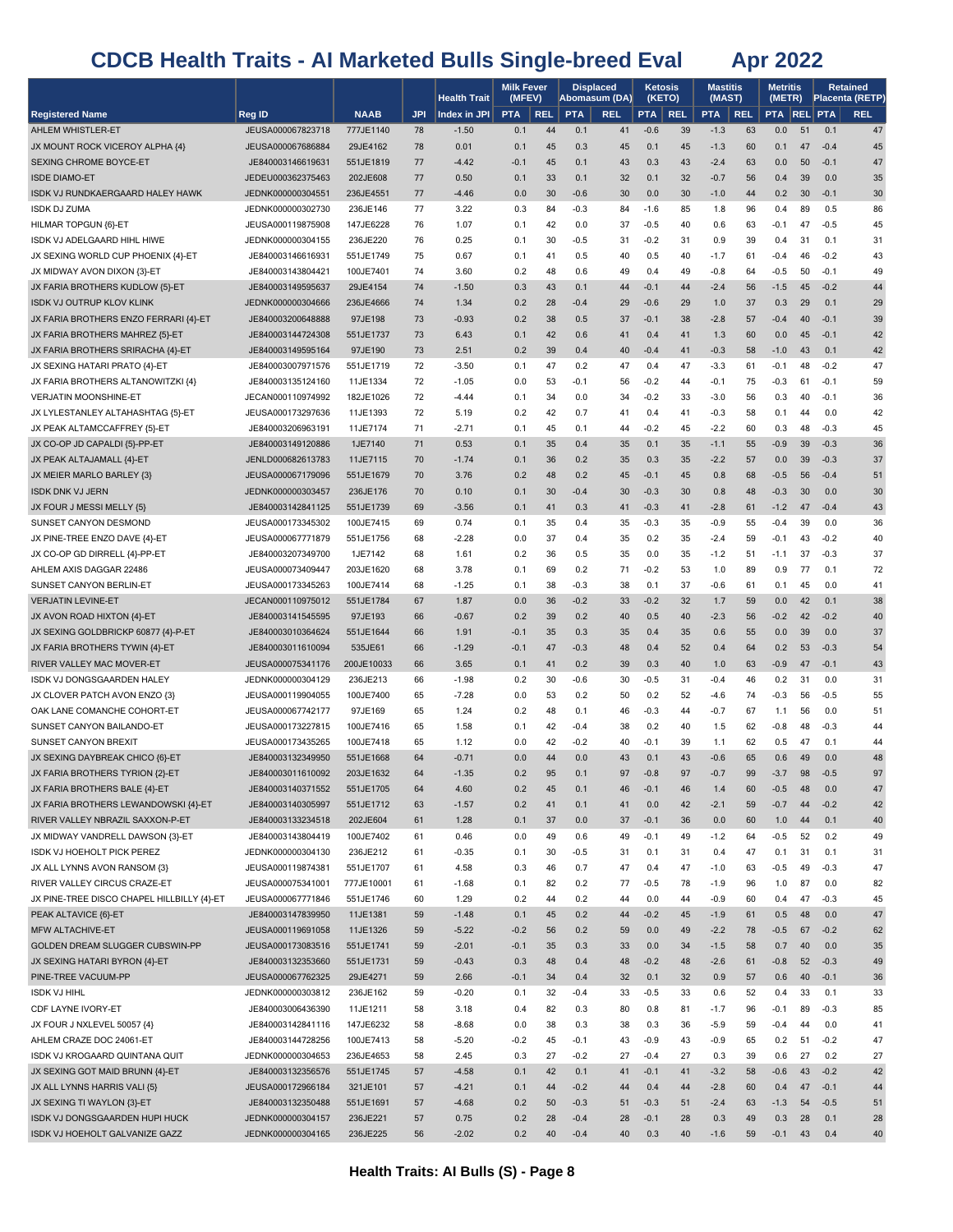|                                                                            |                                        |                         |            | Health Trait    | <b>Milk Fever</b><br>(MFEV) |            |            | <b>Displaced</b><br>Abomasum (DA) |               | Ketosis<br>(KETO) | <b>Mastitis</b><br>(MAST) |            | <b>Metritis</b><br>(METR) |          |                  | <b>Retained</b><br>Placenta (RETP) |
|----------------------------------------------------------------------------|----------------------------------------|-------------------------|------------|-----------------|-----------------------------|------------|------------|-----------------------------------|---------------|-------------------|---------------------------|------------|---------------------------|----------|------------------|------------------------------------|
| <b>Registered Name</b>                                                     | Reg ID                                 | <b>NAAB</b>             | <b>JPI</b> | Index in JPI    | <b>PTA</b>                  | <b>REL</b> | <b>PTA</b> | <b>REL</b>                        | <b>PTA</b>    | <b>REL</b>        | <b>PTA</b>                | <b>REL</b> | <b>PTA REL PTA</b>        |          |                  | <b>REL</b>                         |
| AHLEM WHISTLER-ET                                                          | JEUSA000067823718                      | 777JE1140               | 78         | $-1.50$         | 0.1                         | 44         | 0.1        | 41                                | $-0.6$        | 39                | $-1.3$                    | 63         | 0.0                       | 51       | 0.1              | 47                                 |
| JX MOUNT ROCK VICEROY ALPHA {4}                                            | JEUSA000067686884                      | 29JE4162                | 78         | 0.01            | 0.1                         | 45         | 0.3        | 45                                | 0.1           | 45                | $-1.3$                    | 60         | 0.1                       | 47       | $-0.4$           | 45                                 |
| SEXING CHROME BOYCE-ET                                                     | JE840003146619631                      | 551JE1819               | 77         | $-4.42$         | $-0.1$                      | 45         | 0.1        | 43                                | 0.3           | 43                | $-2.4$                    | 63         | 0.0                       | 50       | $-0.1$           | 47                                 |
| <b>ISDE DIAMO-ET</b>                                                       | JEDEU000362375463                      | 202JE608                | 77         | 0.50            | 0.1                         | 33         | 0.1        | 32                                | 0.1           | 32                | $-0.7$                    | 56         | 0.4                       | 39       | 0.0              | 35                                 |
| ISDK VJ RUNDKAERGAARD HALEY HAWK                                           | JEDNK000000304551                      | 236JE4551               | 77         | $-4.46$         | 0.0                         | 30         | $-0.6$     | 30                                | 0.0           | 30                | $-1.0$                    | 44         | 0.2                       | 30       | $-0.1$           | 30                                 |
| <b>ISDK DJ ZUMA</b>                                                        | JEDNK000000302730                      | 236JE146                | 77         | 3.22            | 0.3                         | 84         | $-0.3$     | 84                                | $-1.6$        | 85                | 1.8                       | 96         | 0.4                       | 89       | 0.5              | 86                                 |
| HILMAR TOPGUN {6}-ET                                                       | JEUSA000119875908                      | 147JE6228               | 76         | 1.07            | 0.1                         | 42         | 0.0        | 37                                | $-0.5$        | 40                | 0.6                       | 63         | $-0.1$                    | 47       | $-0.5$           | 45                                 |
| ISDK VJ ADELGAARD HIHL HIWE                                                | JEDNK000000304155                      | 236JE220                | 76         | 0.25            | 0.1                         | 30         | -0.5       | 31                                | $-0.2$        | 31                | 0.9                       | 39         | 0.4                       | 31       | 0.1              | 31                                 |
| JX SEXING WORLD CUP PHOENIX {4}-ET                                         | JE840003146616931                      | 551JE1749               | 75         | 0.67            | 0.1                         | 41         | 0.5        | 40                                | 0.5           | 40                | -1.7                      | 61         | $-0.4$                    | 46       | $-0.2$           | 43                                 |
| JX MIDWAY AVON DIXON {3}-ET                                                | JE840003143804421                      | 100JE7401               | 74         | 3.60            | 0.2                         | 48         | 0.6        | 49                                | 0.4           | 49                | $-0.8$                    | 64         | $-0.5$                    | 50       | $-0.1$           | 49                                 |
| JX FARIA BROTHERS KUDLOW {5}-ET                                            | JE840003149595637                      | 29JE4154                | 74         | $-1.50$         | 0.3                         | 43         | 0.1        | 44                                | $-0.1$        | 44                | $-2.4$                    | 56         | $-1.5$                    | 45       | $-0.2$           | 44                                 |
| <b>ISDK VJ OUTRUP KLOV KLINK</b>                                           | JEDNK000000304666                      | 236JE4666               | 74         | 1.34            | 0.2                         | 28         | $-0.4$     | 29                                | $-0.6$        | 29                | 1.0                       | 37         | 0.3                       | 29       | 0.1              | 29                                 |
| JX FARIA BROTHERS ENZO FERRARI {4}-ET                                      | JE840003200648888                      | 97JE198                 | 73         | $-0.93$         | 0.2                         | 38         | 0.5        | 37                                | $-0.1$        | 38                | $-2.8$                    | 57         | $-0.4$                    | 40       | $-0.1$           | 39                                 |
| JX FARIA BROTHERS MAHREZ {5}-ET                                            | JE840003144724308                      | 551JE1737               | 73         | 6.43            | 0.1                         | 42         | 0.6        | 41                                | 0.4           | 41                | 1.3                       | 60         | 0.0                       | 45       | $-0.1$           | 42                                 |
| JX FARIA BROTHERS SRIRACHA {4}-ET                                          | JE840003149595164                      | 97JE190                 | 73         | 2.51            | 0.2                         | 39         | 0.4        | 40                                | $-0.4$        | 41                | $-0.3$                    | 58         | $-1.0$                    | 43       | 0.1              | 42                                 |
| JX SEXING HATARI PRATO {4}-ET                                              | JE840003007971576                      | 551JE1719               | 72         | $-3.50$         | 0.1                         | 47         | 0.2        | 47                                | 0.4           | 47                | $-3.3$                    | 61         | $-0.1$                    | 48       | $-0.2$           | 47                                 |
| JX FARIA BROTHERS ALTANOWITZKI {4}                                         | JE840003135124160                      | 11JE1334                | 72         | $-1.05$         | 0.0                         | 53         | $-0.1$     | 56                                | $-0.2$        | 44                | $-0.1$                    | 75         | $-0.3$                    | 61       | $-0.1$           | 59                                 |
| <b>VERJATIN MOONSHINE-ET</b>                                               | JECAN000110974992                      | 182JE1026               | 72         | $-4.44$         | 0.1                         | 34         | 0.0        | 34                                | $-0.2$        | 33                | $-3.0$                    | 56         | 0.3                       | 40       | $-0.1$           | 36                                 |
| JX LYLESTANLEY ALTAHASHTAG {5}-ET                                          | JEUSA000173297636                      | 11JE1393                | 72         | 5.19            | 0.2                         | 42         | 0.7        | 41                                | 0.4           | 41                | $-0.3$                    | 58         | 0.1                       | 44       | 0.0              | 42                                 |
| JX PEAK ALTAMCCAFFREY {5}-ET                                               | JE840003206963191                      | 11JE7174                | 71<br>71   | $-2.71$         | 0.1                         | 45         | 0.1        | 44                                | $-0.2$        | 45                | $-2.2$                    | 60         | 0.3<br>$-0.9$             | 48<br>39 | $-0.3$<br>$-0.3$ | 45                                 |
| JX CO-OP JD CAPALDI {5}-PP-ET<br>JX PEAK ALTAJAMALL {4}-ET                 | JE840003149120886<br>JENLD000682613783 | 1JE7140<br>11JE7115     | 70         | 0.53<br>$-1.74$ | 0.1<br>0.1                  | 35<br>36   | 0.4<br>0.2 | 35<br>35                          | 0.1<br>0.3    | 35<br>35          | $-1.1$<br>$-2.2$          | 55<br>57   | 0.0                       | 39       | $-0.3$           | 36<br>37                           |
| JX MEIER MARLO BARLEY {3}                                                  | JEUSA000067179096                      | 551JE1679               | 70         | 3.76            | 0.2                         | 48         | 0.2        | 45                                | $-0.1$        | 45                | 0.8                       | 68         | $-0.5$                    | 56       | $-0.4$           | 51                                 |
| <b>ISDK DNK VJ JERN</b>                                                    | JEDNK000000303457                      | 236JE176                | 70         | 0.10            | 0.1                         | 30         | $-0.4$     | 30                                | $-0.3$        | 30                | 0.8                       | 48         | $-0.3$                    | 30       | 0.0              | 30                                 |
| JX FOUR J MESSI MELLY {5}                                                  | JE840003142841125                      | 551JE1739               | 69         | $-3.56$         | 0.1                         | 41         | 0.3        | 41                                | $-0.3$        | 41                | $-2.8$                    | 61         | $-1.2$                    | 47       | $-0.4$           | 43                                 |
| SUNSET CANYON DESMOND                                                      | JEUSA000173345302                      | 100JE7415               | 69         | 0.74            | 0.1                         | 35         | 0.4        | 35                                | $-0.3$        | 35                | $-0.9$                    | 55         | $-0.4$                    | 39       | 0.0              | 36                                 |
| JX PINE-TREE ENZO DAVE {4}-ET                                              | JEUSA000067771879                      | 551JE1756               | 68         | $-2.28$         | 0.0                         | 37         | 0.4        | 35                                | 0.2           | 35                | -2.4                      | 59         | $-0.1$                    | 43       | $-0.2$           | 40                                 |
| JX CO-OP GD DIRRELL {4}-PP-ET                                              | JE840003207349700                      | 1JE7142                 | 68         | 1.61            | 0.2                         | 36         | 0.5        | 35                                | 0.0           | 35                | $-1.2$                    | 51         | $-1.1$                    | 37       | $-0.3$           | 37                                 |
| AHLEM AXIS DAGGAR 22486                                                    | JEUSA000073409447                      | 203JE1620               | 68         | 3.78            | 0.1                         | 69         | 0.2        | 71                                | $-0.2$        | 53                | 1.0                       | 89         | 0.9                       | 77       | 0.1              | 72                                 |
| SUNSET CANYON BERLIN-ET                                                    | JEUSA000173345263                      | 100JE7414               | 68         | $-1.25$         | 0.1                         | 38         | $-0.3$     | 38                                | 0.1           | 37                | -0.6                      | 61         | 0.1                       | 45       | 0.0              | 41                                 |
| <b>VERJATIN LEVINE-ET</b>                                                  | JECAN000110975012                      | 551JE1784               | 67         | 1.87            | 0.0                         | 36         | $-0.2$     | 33                                | $-0.2$        | 32                | 1.7                       | 59         | 0.0                       | 42       | 0.1              | 38                                 |
| JX AVON ROAD HIXTON {4}-ET                                                 | JE840003141545595                      | 97JE193                 | 66         | $-0.67$         | 0.2                         | 39         | 0.2        | 40                                | 0.5           | 40                | $-2.3$                    | 56         | $-0.2$                    | 42       | $-0.2$           | 40                                 |
| JX SEXING GOLDBRICKP 60877 {4}-P-ET                                        | JE840003010364624                      | 551JE1644               | 66         | 1.91            | $-0.1$                      | 35         | 0.3        | 35                                | 0.4           | 35                | 0.6                       | 55         | 0.0                       | 39       | 0.0              | 37                                 |
| JX FARIA BROTHERS TYWIN {4}-ET                                             | JE840003011610094                      | 535JE61                 | 66         | $-1.29$         | $-0.1$                      | 47         | $-0.3$     | 48                                | 0.4           | 52                | 0.4                       | 64         | 0.2                       | 53       | $-0.3$           | 54                                 |
| RIVER VALLEY MAC MOVER-ET                                                  | JEUSA000075341176                      | 200JE10033              | 66         | 3.65            | 0.1                         | 41         | 0.2        | 39                                | 0.3           | 40                | 1.0                       | 63         | $-0.9$                    | 47       | $-0.1$           | 43                                 |
| ISDK VJ DONGSGAARDEN HALEY                                                 | JEDNK000000304129                      | 236JE213                | 66         | $-1.98$         | 0.2                         | 30         | -0.6       | 30                                | -0.5          | 31                | $-0.4$                    | 46         | 0.2                       | 31       | 0.0              | 31                                 |
| JX CLOVER PATCH AVON ENZO {3}                                              | JEUSA000119904055                      | 100JE7400               | 65         | $-7.28$         | 0.0                         | 53         | 0.2        | 50                                | 0.2           | 52                | -4.6                      | 74         | $-0.3$                    | 56       | $-0.5$           | 55                                 |
| OAK LANE COMANCHE COHORT-ET                                                | JEUSA000067742177                      | 97JE169                 | 65         | 1.24            | 0.2                         | 48         | 0.1        | 46                                | $-0.3$        | 44                | $-0.7$                    | 67         | 1.1                       | 56       | 0.0              | 51                                 |
| SUNSET CANYON BAILANDO-ET                                                  | JEUSA000173227815                      | 100JE7416               | 65         | 1.58            | 0.1                         | 42         | -0.4       | 38                                | 0.2           | 40                | 1.5                       | 62         | $-0.8$                    | 48       | $-0.3$           | 44                                 |
| SUNSET CANYON BREXIT                                                       | JEUSA000173435265                      | 100JE7418               | 65         | 1.12            | 0.0                         | 42         | -0.2       | 40                                | $-0.1$        | 39                | 1.1                       | 62         | 0.5                       | 47       | 0.1              | 44                                 |
| JX SEXING DAYBREAK CHICO {6}-ET                                            | JE840003132349950                      | 551JE1668               | 64         | $-0.71$         | 0.0                         | 44         | 0.0        | 43                                | 0.1           | 43                | $-0.6$                    | 65         | 0.6                       | 49       | 0.0              | 48                                 |
| JX FARIA BROTHERS TYRION {2}-ET                                            | JE840003011610092                      | 203JE1632               | 64         | $-1.35$         | 0.2                         | 95         | 0.1        | 97                                | $-0.8$        | 97                | $-0.7$                    | 99         | $-3.7$                    | 98       | $-0.5$           | 97                                 |
| JX FARIA BROTHERS BALE {4}-ET                                              | JE840003140371552                      | 551JE1705               | 64         | 4.60            | 0.2                         | 45         | 0.1        | 46                                | $-0.1$        | 46                | 1.4                       | 60         | $-0.5$                    | 48       | 0.0              | 47                                 |
| JX FARIA BROTHERS LEWANDOWSKI {4}-ET                                       | JE840003140305997                      | 551JE1712               | 63         | $-1.57$         | 0.2                         | 41         | 0.1        | 41                                | 0.0           | 42                | $-2.1$                    | 59         | $-0.7$                    | 44       | $-0.2$           | 42                                 |
| RIVER VALLEY NBRAZIL SAXXON-P-ET                                           | JE840003133234518                      | 202JE604                | 61         | 1.28            | 0.1                         | 37         | 0.0        | 37                                | $-0.1$        | 36                | 0.0                       | 60         | 1.0                       | 44       | 0.1              | 40                                 |
| JX MIDWAY VANDRELL DAWSON {3}-ET                                           | JE840003143804419                      | 100JE7402               | 61         | 0.46            | 0.0                         | 49         | 0.6        | 49                                | $-0.1$        | 49                | $-1.2$                    | 64         | $-0.5$                    | 52       | 0.2              | 49                                 |
| ISDK VJ HOEHOLT PICK PEREZ                                                 | JEDNK000000304130                      | 236JE212                | 61         | $-0.35$         | 0.1                         | 30         | -0.5       | 31                                | 0.1           | 31                | 0.4                       | 47         | 0.1                       | 31       | 0.1              | 31                                 |
| JX ALL LYNNS AVON RANSOM {3}                                               | JEUSA000119874381                      | 551JE1707               | 61         | 4.58            | 0.3                         | 46         | 0.7        | 47                                | 0.4           | 47                | $-1.0$                    | 63         | $-0.5$                    | 49       | $-0.3$           | 47                                 |
| RIVER VALLEY CIRCUS CRAZE-ET<br>JX PINE-TREE DISCO CHAPEL HILLBILLY {4}-ET | JEUSA000075341001<br>JEUSA000067771846 | 777JE10001<br>551JE1746 | 61<br>60   | $-1.68$<br>1.29 | 0.1<br>0.2                  | 82<br>44   | 0.2<br>0.2 | 77<br>44                          | $-0.5$<br>0.0 | 78<br>44          | $-1.9$<br>$-0.9$          | 96         | 1.0                       | 87<br>47 | 0.0<br>$-0.3$    | 82<br>45                           |
| PEAK ALTAVICE {6}-ET                                                       | JE840003147839950                      | 11JE1381                | 59         | $-1.48$         | 0.1                         | 45         | 0.2        | 44                                | $-0.2$        | 45                | $-1.9$                    | 60<br>61   | 0.4<br>0.5                | 48       | 0.0              | 47                                 |
| MFW ALTACHIVE-ET                                                           | JEUSA000119691058                      | 11JE1326                | 59         | $-5.22$         | $-0.2$                      | 56         | 0.2        | 59                                | 0.0           | 49                | $-2.2$                    | 78         | $-0.5$                    | 67       | $-0.2$           | 62                                 |
| GOLDEN DREAM SLUGGER CUBSWIN-PP                                            | JEUSA000173083516                      | 551JE1741               | 59         | $-2.01$         | $-0.1$                      | 35         | 0.3        | 33                                | 0.0           | 34                | $-1.5$                    | 58         | 0.7                       | 40       | 0.0              | 35                                 |
| JX SEXING HATARI BYRON {4}-ET                                              | JE840003132353660                      | 551JE1731               | 59         | $-0.43$         | 0.3                         | 48         | 0.4        | 48                                | $-0.2$        | 48                | $-2.6$                    | 61         | $-0.8$                    | 52       | $-0.3$           | 49                                 |
| PINE-TREE VACUUM-PP                                                        | JEUSA000067762325                      | 29JE4271                | 59         | 2.66            | $-0.1$                      | 34         | 0.4        | 32                                | 0.1           | 32                | 0.9                       | 57         | 0.6                       | 40       | $-0.1$           | 36                                 |
| <b>ISDK VJ HIHL</b>                                                        | JEDNK000000303812                      | 236JE162                | 59         | $-0.20$         | 0.1                         | 32         | $-0.4$     | 33                                | $-0.5$        | 33                | 0.6                       | 52         | 0.4                       | 33       | 0.1              | 33                                 |
| CDF LAYNE IVORY-ET                                                         | JE840003006436390                      | 11JE1211                | 58         | 3.18            | 0.4                         | 82         | 0.3        | 80                                | 0.8           | 81                | $-1.7$                    | 96         | $-0.1$                    | 89       | $-0.3$           | 85                                 |
| JX FOUR J NXLEVEL 50057 {4}                                                | JE840003142841116                      | 147JE6232               | 58         | $-8.68$         | 0.0                         | 38         | 0.3        | 38                                | 0.3           | 36                | $-5.9$                    | 59         | $-0.4$                    | 44       | 0.0              | 41                                 |
| AHLEM CRAZE DOC 24061-ET                                                   | JE840003144728256                      | 100JE7413               | 58         | $-5.20$         | $-0.2$                      | 45         | $-0.1$     | 43                                | $-0.9$        | 43                | $-0.9$                    | 65         | 0.2                       | 51       | $-0.2$           | 47                                 |
| ISDK VJ KROGAARD QUINTANA QUIT                                             | JEDNK000000304653                      | 236JE4653               | 58         | 2.45            | 0.3                         | 27         | $-0.2$     | 27                                | $-0.4$        | 27                | 0.3                       | 39         | 0.6                       | 27       | 0.2              | 27                                 |
| JX SEXING GOT MAID BRUNN {4}-ET                                            | JE840003132356576                      | 551JE1745               | 57         | $-4.58$         | 0.1                         | 42         | 0.1        | 41                                | $-0.1$        | 41                | $-3.2$                    | 58         | $-0.6$                    | 43       | $-0.2$           | 42                                 |
| JX ALL LYNNS HARRIS VALI {5}                                               | JEUSA000172966184                      | 321JE101                | 57         | $-4.21$         | 0.1                         | 44         | $-0.2$     | 44                                | 0.4           | 44                | $-2.8$                    | 60         | 0.4                       | 47       | $-0.1$           | 44                                 |
| JX SEXING TI WAYLON {3}-ET                                                 | JE840003132350488                      | 551JE1691               | 57         | $-4.68$         | 0.2                         | 50         | $-0.3$     | 51                                | $-0.3$        | 51                | $-2.4$                    | 63         | $-1.3$                    | 54       | $-0.5$           | 51                                 |
| ISDK VJ DONGSGAARDEN HUPI HUCK                                             | JEDNK000000304157                      | 236JE221                | 57         | 0.75            | 0.2                         | 28         | $-0.4$     | 28                                | $-0.1$        | 28                | 0.3                       | 49         | 0.3                       | 28       | 0.1              | 28                                 |
| ISDK VJ HOEHOLT GALVANIZE GAZZ                                             | JEDNK000000304165                      | 236JE225                | 56         | $-2.02$         | 0.2                         | 40         | $-0.4$     | 40                                | 0.3           | 40                | $-1.6$                    | 59         | $-0.1$                    | 43       | 0.4              | 40                                 |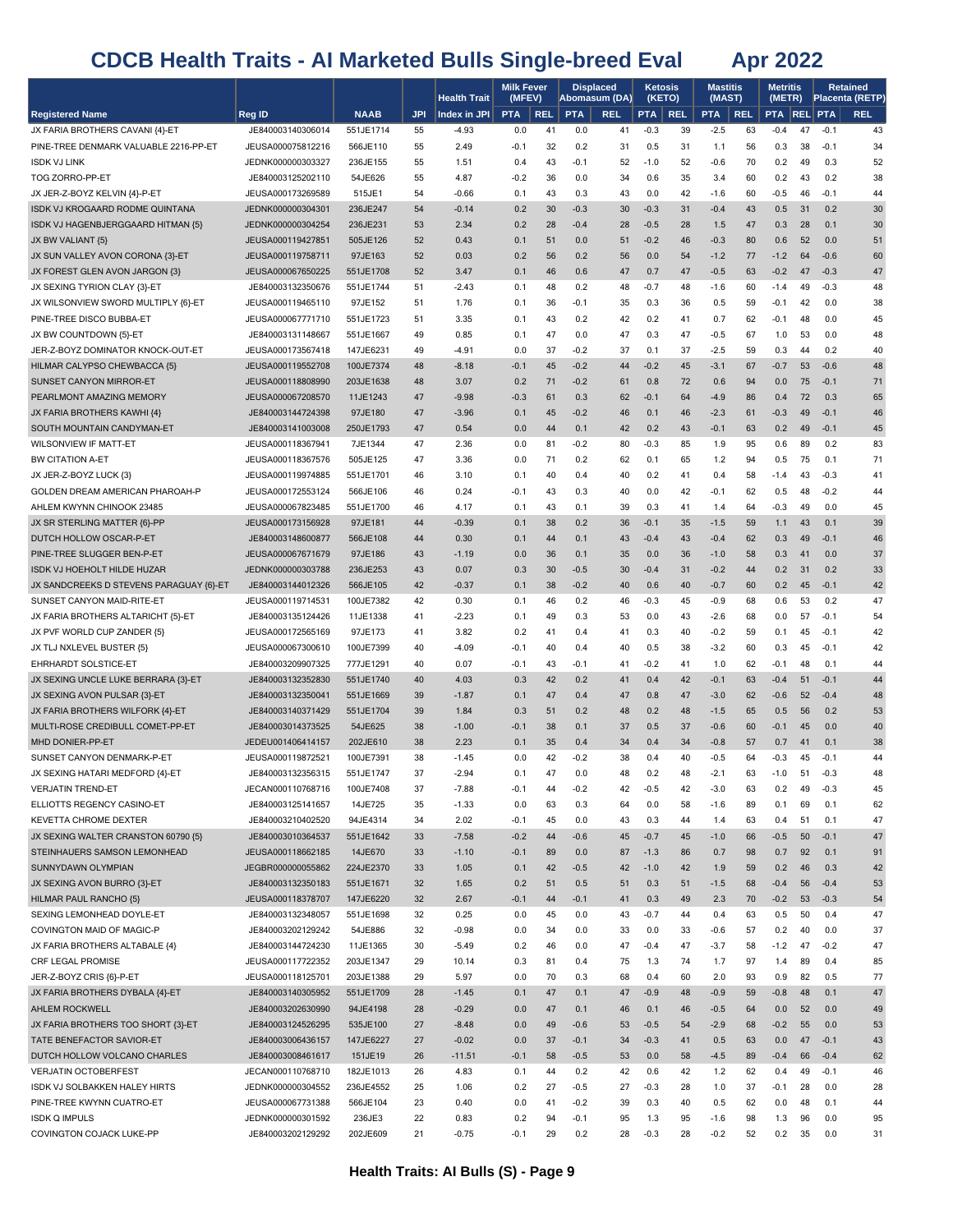|                                                                     |                                        |                        |            | <b>Health Trait</b> | <b>Milk Fever</b><br>(MFEV) |            | <b>Displaced</b><br>Abomasum (DA) |            | <b>Ketosis</b><br>(KETO) |            | <b>Mastitis</b><br>(MAST) |            | Metritis<br>(METR) |          |                  | Retained<br>Placenta (RETP) |
|---------------------------------------------------------------------|----------------------------------------|------------------------|------------|---------------------|-----------------------------|------------|-----------------------------------|------------|--------------------------|------------|---------------------------|------------|--------------------|----------|------------------|-----------------------------|
| <b>Registered Name</b>                                              | Reg ID                                 | <b>NAAB</b>            | <b>JPI</b> | Index in JPI        | <b>PTA</b>                  | <b>REL</b> | <b>PTA</b>                        | <b>REL</b> | <b>PTA</b>               | <b>REL</b> | <b>PTA</b>                | <b>REL</b> | <b>PTA REL PTA</b> |          |                  | <b>REL</b>                  |
| JX FARIA BROTHERS CAVANI {4}-ET                                     | JE840003140306014                      | 551JE1714              | 55         | $-4.93$             | 0.0                         | 41         | 0.0                               | 41         | $-0.3$                   | 39         | $-2.5$                    | 63         | $-0.4$             | 47       | $-0.1$           | 43                          |
| PINE-TREE DENMARK VALUABLE 2216-PP-ET                               | JEUSA000075812216                      | 566JE110               | 55         | 2.49                | $-0.1$                      | 32         | 0.2                               | 31         | 0.5                      | 31         | 1.1                       | 56         | 0.3                | 38       | $-0.1$           | 34                          |
| <b>ISDK VJ LINK</b>                                                 | JEDNK000000303327                      | 236JE155               | 55         | 1.51                | 0.4                         | 43         | -0.1                              | 52         | $-1.0$                   | 52         | $-0.6$                    | 70         | 0.2                | 49       | 0.3              | 52                          |
| TOG ZORRO-PP-ET                                                     | JE840003125202110                      | 54JE626                | 55         | 4.87                | -0.2                        | 36         | 0.0                               | 34         | 0.6                      | 35         | 3.4                       | 60         | 0.2                | 43       | 0.2              | 38                          |
| JX JER-Z-BOYZ KELVIN {4}-P-ET                                       | JEUSA000173269589                      | 515JE1                 | 54         | $-0.66$             | 0.1                         | 43         | 0.3                               | 43         | 0.0                      | 42         | $-1.6$                    | 60         | $-0.5$             | 46       | $-0.1$           | 44                          |
| ISDK VJ KROGAARD RODME QUINTANA                                     | JEDNK000000304301                      | 236JE247               | 54         | $-0.14$             | 0.2                         | 30         | $-0.3$                            | 30         | $-0.3$                   | 31         | $-0.4$                    | 43         | 0.5                | 31       | 0.2              | 30                          |
| ISDK VJ HAGENBJERGGAARD HITMAN {5}                                  | JEDNK000000304254                      | 236JE231               | 53         | 2.34                | 0.2                         | 28         | $-0.4$                            | 28         | $-0.5$                   | 28         | 1.5                       | 47         | 0.3                | 28       | 0.1              | 30                          |
| JX BW VALIANT {5}                                                   | JEUSA000119427851                      | 505JE126               | 52         | 0.43                | 0.1                         | 51         | 0.0                               | 51         | $-0.2$                   | 46         | $-0.3$                    | 80         | 0.6                | 52       | 0.0              | 51                          |
| JX SUN VALLEY AVON CORONA {3}-ET                                    | JEUSA000119758711                      | 97JE163                | 52         | 0.03                | 0.2                         | 56         | 0.2                               | 56         | 0.0                      | 54         | $-1.2$                    | 77         | $-1.2$             | 64       | $-0.6$           | 60                          |
| JX FOREST GLEN AVON JARGON {3}                                      | JEUSA000067650225                      | 551JE1708              | 52         | 3.47                | 0.1                         | 46         | 0.6                               | 47         | 0.7                      | 47         | $-0.5$                    | 63         | $-0.2$             | 47       | $-0.3$           | 47                          |
| JX SEXING TYRION CLAY {3}-ET<br>JX WILSONVIEW SWORD MULTIPLY {6}-ET | JE840003132350676                      | 551JE1744              | 51         | $-2.43$             | 0.1                         | 48         | 0.2<br>$-0.1$                     | 48         | $-0.7$                   | 48<br>36   | -1.6<br>0.5               | 60         | $-1.4$             | 49       | $-0.3$<br>0.0    | 48                          |
| PINE-TREE DISCO BUBBA-ET                                            | JEUSA000119465110<br>JEUSA000067771710 | 97JE152<br>551JE1723   | 51<br>51   | 1.76<br>3.35        | 0.1<br>0.1                  | 36<br>43   | 0.2                               | 35<br>42   | 0.3<br>0.2               | 41         | 0.7                       | 59<br>62   | $-0.1$<br>$-0.1$   | 42<br>48 | 0.0              | 38<br>45                    |
| JX BW COUNTDOWN {5}-ET                                              | JE840003131148667                      | 551JE1667              | 49         | 0.85                | 0.1                         | 47         | 0.0                               | 47         | 0.3                      | 47         | $-0.5$                    | 67         | 1.0                | 53       | 0.0              | 48                          |
| JER-Z-BOYZ DOMINATOR KNOCK-OUT-ET                                   | JEUSA000173567418                      | 147JE6231              | 49         | $-4.91$             | 0.0                         | 37         | $-0.2$                            | 37         | 0.1                      | 37         | $-2.5$                    | 59         | 0.3                | 44       | 0.2              | 40                          |
| HILMAR CALYPSO CHEWBACCA {5}                                        | JEUSA000119552708                      | 100JE7374              | 48         | $-8.18$             | $-0.1$                      | 45         | $-0.2$                            | 44         | $-0.2$                   | 45         | $-3.1$                    | 67         | $-0.7$             | 53       | $-0.6$           | 48                          |
| SUNSET CANYON MIRROR-ET                                             | JEUSA000118808990                      | 203JE1638              | 48         | 3.07                | 0.2                         | 71         | $-0.2$                            | 61         | 0.8                      | 72         | 0.6                       | 94         | 0.0                | 75       | $-0.1$           | 71                          |
| PEARLMONT AMAZING MEMORY                                            | JEUSA000067208570                      | 11JE1243               | 47         | $-9.98$             | $-0.3$                      | 61         | 0.3                               | 62         | $-0.1$                   | 64         | $-4.9$                    | 86         | 0.4                | 72       | 0.3              | 65                          |
| JX FARIA BROTHERS KAWHI {4}                                         | JE840003144724398                      | 97JE180                | 47         | $-3.96$             | 0.1                         | 45         | $-0.2$                            | 46         | 0.1                      | 46         | $-2.3$                    | 61         | $-0.3$             | 49       | $-0.1$           | 46                          |
| SOUTH MOUNTAIN CANDYMAN-ET                                          | JE840003141003008                      | 250JE1793              | 47         | 0.54                | 0.0                         | 44         | 0.1                               | 42         | 0.2                      | 43         | $-0.1$                    | 63         | 0.2                | 49       | $-0.1$           | 45                          |
| <b>WILSONVIEW IF MATT-ET</b>                                        | JEUSA000118367941                      | 7JE1344                | 47         | 2.36                | 0.0                         | 81         | $-0.2$                            | 80         | $-0.3$                   | 85         | 1.9                       | 95         | 0.6                | 89       | 0.2              | 83                          |
| <b>BW CITATION A-ET</b>                                             | JEUSA000118367576                      | 505JE125               | 47         | 3.36                | 0.0                         | 71         | 0.2                               | 62         | 0.1                      | 65         | 1.2                       | 94         | 0.5                | 75       | 0.1              | 71                          |
| JX JER-Z-BOYZ LUCK {3}                                              | JEUSA000119974885                      | 551JE1701              | 46         | 3.10                | 0.1                         | 40         | 0.4                               | 40         | 0.2                      | 41         | 0.4                       | 58         | $-1.4$             | 43       | $-0.3$           | 41                          |
| GOLDEN DREAM AMERICAN PHAROAH-P                                     | JEUSA000172553124                      | 566JE106               | 46         | 0.24                | $-0.1$                      | 43         | 0.3                               | 40         | 0.0                      | 42         | $-0.1$                    | 62         | 0.5                | 48       | $-0.2$           | 44                          |
| AHLEM KWYNN CHINOOK 23485                                           | JEUSA000067823485                      | 551JE1700              | 46         | 4.17                | 0.1                         | 43         | 0.1                               | 39         | 0.3                      | 41         | 1.4                       | 64         | $-0.3$             | 49       | 0.0              | 45                          |
| JX SR STERLING MATTER {6}-PP                                        | JEUSA000173156928                      | 97JE181                | 44         | $-0.39$             | 0.1                         | 38         | 0.2                               | 36         | $-0.1$                   | 35         | $-1.5$                    | 59         | 1.1                | 43       | 0.1              | 39                          |
| DUTCH HOLLOW OSCAR-P-ET                                             | JE840003148600877                      | 566JE108               | 44         | 0.30                | 0.1                         | 44         | 0.1                               | 43         | $-0.4$                   | 43         | $-0.4$                    | 62         | 0.3                | 49       | $-0.1$           | 46                          |
| PINE-TREE SLUGGER BEN-P-ET                                          | JEUSA000067671679                      | 97JE186                | 43         | $-1.19$             | 0.0                         | 36         | 0.1                               | 35         | 0.0                      | 36         | $-1.0$                    | 58         | 0.3                | 41       | 0.0              | 37                          |
| <b>ISDK VJ HOEHOLT HILDE HUZAR</b>                                  | JEDNK000000303788                      | 236JE253               | 43         | 0.07                | 0.3                         | 30         | $-0.5$                            | 30         | $-0.4$                   | 31         | $-0.2$                    | 44         | 0.2                | 31       | 0.2              | 33                          |
| JX SANDCREEKS D STEVENS PARAGUAY {6}-ET                             | JE840003144012326                      | 566JE105               | 42         | $-0.37$             | 0.1                         | 38         | $-0.2$                            | 40         | 0.6                      | 40         | $-0.7$                    | 60         | 0.2                | 45       | $-0.1$           | 42                          |
| SUNSET CANYON MAID-RITE-ET                                          | JEUSA000119714531                      | 100JE7382              | 42         | 0.30                | 0.1                         | 46         | 0.2                               | 46         | $-0.3$                   | 45         | $-0.9$                    | 68         | 0.6                | 53       | 0.2              | 47                          |
| JX FARIA BROTHERS ALTARICHT {5}-ET                                  | JE840003135124426                      | 11JE1338               | 41         | $-2.23$             | 0.1                         | 49         | 0.3                               | 53         | 0.0                      | 43         | $-2.6$                    | 68         | 0.0                | 57       | $-0.1$           | 54                          |
| JX PVF WORLD CUP ZANDER {5}                                         | JEUSA000172565169                      | 97JE173                | 41         | 3.82                | 0.2                         | 41         | 0.4                               | 41         | 0.3                      | 40         | $-0.2$                    | 59         | 0.1                | 45       | $-0.1$           | 42                          |
| JX TLJ NXLEVEL BUSTER {5}                                           | JEUSA000067300610                      | 100JE7399              | 40         | $-4.09$             | $-0.1$                      | 40         | 0.4                               | 40         | 0.5                      | 38         | $-3.2$                    | 60         | 0.3                | 45       | $-0.1$           | 42                          |
| <b>EHRHARDT SOLSTICE-ET</b>                                         | JE840003209907325                      | 777JE1291              | 40         | 0.07                | $-0.1$                      | 43         | -0.1                              | 41         | $-0.2$                   | 41         | 1.0                       | 62         | $-0.1$             | 48       | 0.1              | 44                          |
| JX SEXING UNCLE LUKE BERRARA {3}-ET                                 | JE840003132352830                      | 551JE1740              | 40         | 4.03                | 0.3                         | 42         | 0.2                               | 41         | 0.4                      | 42         | $-0.1$                    | 63         | $-0.4$             | 51       | $-0.1$           | 44                          |
| JX SEXING AVON PULSAR {3}-ET                                        | JE840003132350041                      | 551JE1669              | 39         | $-1.87$             | 0.1                         | 47         | 0.4                               | 47         | 0.8                      | 47         | $-3.0$                    | 62         | $-0.6$             | 52       | $-0.4$           | 48                          |
| JX FARIA BROTHERS WILFORK {4}-ET                                    | JE840003140371429                      | 551JE1704              | 39         | 1.84                | 0.3                         | 51         | 0.2                               | 48         | 0.2                      | 48         | $-1.5$                    | 65         | 0.5                | 56       | 0.2              | 53                          |
| MULTI-ROSE CREDIBULL COMET-PP-ET                                    | JE840003014373525                      | 54JE625                | 38         | $-1.00$             | $-0.1$                      | 38         | 0.1                               | 37         | 0.5                      | 37         | $-0.6$                    | 60         | $-0.1$             | 45       | 0.0              | 40                          |
| MHD DONIER-PP-ET                                                    | JEDEU001406414157                      | 202JE610               | 38         | 2.23                | 0.1                         | 35         | 0.4                               | 34         | 0.4                      | 34         | $-0.8$                    | 57         | 0.7                | 41       | 0.1              | 38                          |
| SUNSET CANYON DENMARK-P-ET                                          | JEUSA000119872521<br>JE840003132356315 | 100JE7391<br>551JE1747 | 38<br>37   | $-1.45$<br>$-2.94$  | 0.0<br>0.1                  | 42<br>47   | $-0.2$<br>0.0                     | 38<br>48   | 0.4<br>0.2               | 40<br>48   | $-0.5$<br>$-2.1$          | 64<br>63   | $-0.3$<br>$-1.0$   | 45<br>51 | $-0.1$<br>$-0.3$ | 44                          |
| JX SEXING HATARI MEDFORD {4}-ET<br><b>VERJATIN TREND-ET</b>         | JECAN000110768716                      | 100JE7408              | 37         | $-7.88$             | $-0.1$                      | 44         | $-0.2$                            | 42         | $-0.5$                   | 42         | $-3.0$                    | 63         | 0.2                | 49       | $-0.3$           | 48<br>45                    |
| ELLIOTTS REGENCY CASINO-ET                                          | JE840003125141657                      | 14JE725                | 35         | $-1.33$             | 0.0                         | 63         | 0.3                               | 64         | 0.0                      | 58         | $-1.6$                    | 89         | 0.1                | 69       | 0.1              | 62                          |
| <b>KEVETTA CHROME DEXTER</b>                                        | JE840003210402520                      | 94JE4314               | 34         | 2.02                | $-0.1$                      | 45         | 0.0                               | 43         | 0.3                      | 44         | 1.4                       | 63         | 0.4                | 51       | 0.1              | 47                          |
| JX SEXING WALTER CRANSTON 60790 {5}                                 | JE840003010364537                      | 551JE1642              | 33         | $-7.58$             | $-0.2$                      | 44         | $-0.6$                            | 45         | $-0.7$                   | 45         | $-1.0$                    | 66         | $-0.5$             | 50       | $-0.1$           | 47                          |
| STEINHAUERS SAMSON LEMONHEAD                                        | JEUSA000118662185                      | 14JE670                | 33         | $-1.10$             | $-0.1$                      | 89         | 0.0                               | 87         | $-1.3$                   | 86         | 0.7                       | 98         | 0.7                | 92       | 0.1              | 91                          |
| <b>SUNNYDAWN OLYMPIAN</b>                                           | JEGBR000000055862                      | 224JE2370              | 33         | 1.05                | 0.1                         | 42         | $-0.5$                            | 42         | $-1.0$                   | 42         | 1.9                       | 59         | 0.2                | 46       | 0.3              | 42                          |
| JX SEXING AVON BURRO {3}-ET                                         | JE840003132350183                      | 551JE1671              | 32         | 1.65                | 0.2                         | 51         | 0.5                               | 51         | 0.3                      | 51         | $-1.5$                    | 68         | $-0.4$             | 56       | $-0.4$           | 53                          |
| HILMAR PAUL RANCHO {5}                                              | JEUSA000118378707                      | 147JE6220              | 32         | 2.67                | $-0.1$                      | 44         | $-0.1$                            | 41         | 0.3                      | 49         | 2.3                       | 70         | $-0.2$             | 53       | $-0.3$           | 54                          |
| SEXING LEMONHEAD DOYLE-ET                                           | JE840003132348057                      | 551JE1698              | 32         | 0.25                | 0.0                         | 45         | 0.0                               | 43         | $-0.7$                   | 44         | 0.4                       | 63         | 0.5                | 50       | 0.4              | 47                          |
| COVINGTON MAID OF MAGIC-P                                           | JE840003202129242                      | 54JE886                | 32         | $-0.98$             | 0.0                         | 34         | 0.0                               | 33         | 0.0                      | 33         | -0.6                      | 57         | 0.2                | 40       | 0.0              | 37                          |
| JX FARIA BROTHERS ALTABALE {4}                                      | JE840003144724230                      | 11JE1365               | 30         | $-5.49$             | 0.2                         | 46         | 0.0                               | 47         | $-0.4$                   | 47         | -3.7                      | 58         | $-1.2$             | 47       | $-0.2$           | 47                          |
| CRF LEGAL PROMISE                                                   | JEUSA000117722352                      | 203JE1347              | 29         | 10.14               | 0.3                         | 81         | 0.4                               | 75         | 1.3                      | 74         | 1.7                       | 97         | 1.4                | 89       | 0.4              | 85                          |
| JER-Z-BOYZ CRIS {6}-P-ET                                            | JEUSA000118125701                      | 203JE1388              | 29         | 5.97                | 0.0                         | 70         | 0.3                               | 68         | 0.4                      | 60         | 2.0                       | 93         | 0.9                | 82       | 0.5              | 77                          |
| JX FARIA BROTHERS DYBALA {4}-ET                                     | JE840003140305952                      | 551JE1709              | 28         | $-1.45$             | 0.1                         | 47         | 0.1                               | 47         | $-0.9$                   | 48         | $-0.9$                    | 59         | $-0.8$             | 48       | 0.1              | 47                          |
| AHLEM ROCKWELL                                                      | JE840003202630990                      | 94JE4198               | 28         | $-0.29$             | 0.0                         | 47         | 0.1                               | 46         | 0.1                      | 46         | $-0.5$                    | 64         | 0.0                | 52       | 0.0              | 49                          |
| JX FARIA BROTHERS TOO SHORT {3}-ET                                  | JE840003124526295                      | 535JE100               | 27         | $-8.48$             | 0.0                         | 49         | $-0.6$                            | 53         | $-0.5$                   | 54         | $-2.9$                    | 68         | $-0.2$             | 55       | 0.0              | 53                          |
| TATE BENEFACTOR SAVIOR-ET                                           | JE840003006436157                      | 147JE6227              | 27         | $-0.02$             | 0.0                         | 37         | $-0.1$                            | 34         | $-0.3$                   | 41         | 0.5                       | 63         | 0.0                | 47       | $-0.1$           | 43                          |
| DUTCH HOLLOW VOLCANO CHARLES                                        | JE840003008461617                      | 151JE19                | 26         | $-11.51$            | $-0.1$                      | 58         | $-0.5$                            | 53         | 0.0                      | 58         | $-4.5$                    | 89         | $-0.4$             | 66       | $-0.4$           | 62                          |
| <b>VERJATIN OCTOBERFEST</b>                                         | JECAN000110768710                      | 182JE1013              | 26         | 4.83                | 0.1                         | 44         | 0.2                               | 42         | 0.6                      | 42         | $1.2$                     | 62         | 0.4                | 49       | $-0.1$           | 46                          |
| ISDK VJ SOLBAKKEN HALEY HIRTS                                       | JEDNK000000304552                      | 236JE4552              | 25         | 1.06                | 0.2                         | 27         | $-0.5$                            | 27         | $-0.3$                   | 28         | 1.0                       | 37         | $-0.1$             | 28       | 0.0              | 28                          |
| PINE-TREE KWYNN CUATRO-ET                                           | JEUSA000067731388                      | 566JE104               | 23         | 0.40                | 0.0                         | 41         | $-0.2$                            | 39         | 0.3                      | 40         | 0.5                       | 62         | 0.0                | 48       | 0.1              | 44                          |
| <b>ISDK Q IMPULS</b>                                                | JEDNK000000301592                      | 236JE3                 | 22         | 0.83                | 0.2                         | 94         | $-0.1$                            | 95         | 1.3                      | 95         | $-1.6$                    | 98         | 1.3                | 96       | 0.0              | 95                          |
| COVINGTON COJACK LUKE-PP                                            | JE840003202129292                      | 202JE609               | 21         | $-0.75$             | $-0.1$                      | 29         | 0.2                               | 28         | $-0.3$                   | 28         | $-0.2$                    | 52         | 0.2                | 35       | 0.0              | 31                          |